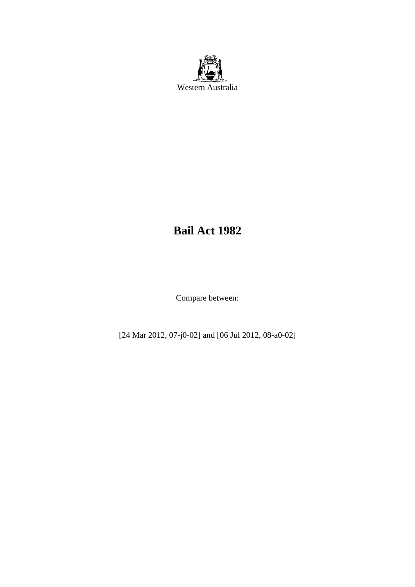

# **Bail Act 1982**

Compare between:

[24 Mar 2012, 07-j0-02] and [06 Jul 2012, 08-a0-02]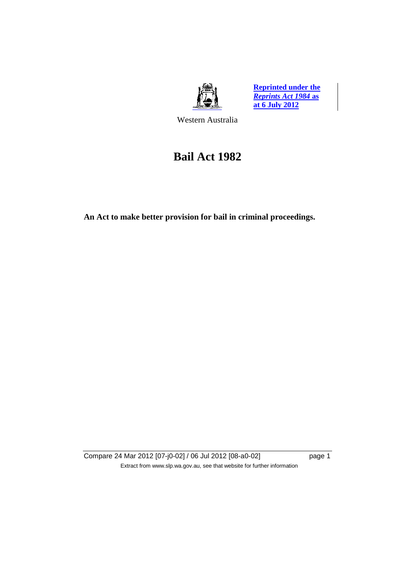

**Reprinted under the**  *Reprints Act 1984* **as at 6 July 2012**

Western Australia

# **Bail Act 1982**

**An Act to make better provision for bail in criminal proceedings.** 

Compare 24 Mar 2012 [07-j0-02] / 06 Jul 2012 [08-a0-02] page 1 Extract from www.slp.wa.gov.au, see that website for further information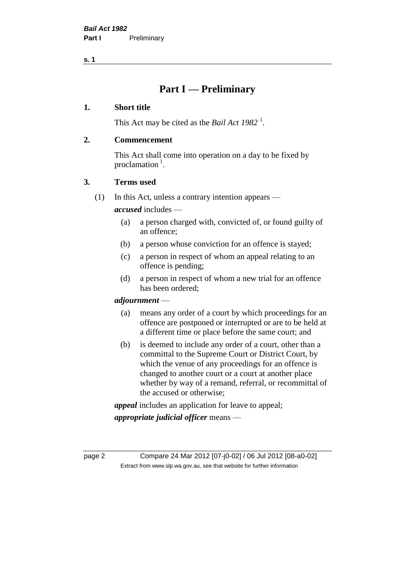**s. 1**

## **Part I — Preliminary**

## **1. Short title**

This Act may be cited as the *Bail Act* 1982<sup>1</sup>.

## **2. Commencement**

This Act shall come into operation on a day to be fixed by proclamation  $<sup>1</sup>$ .</sup>

## **3. Terms used**

(1) In this Act, unless a contrary intention appears —

*accused* includes —

- (a) a person charged with, convicted of, or found guilty of an offence;
- (b) a person whose conviction for an offence is stayed;
- (c) a person in respect of whom an appeal relating to an offence is pending;
- (d) a person in respect of whom a new trial for an offence has been ordered;

## *adjournment* —

- (a) means any order of a court by which proceedings for an offence are postponed or interrupted or are to be held at a different time or place before the same court; and
- (b) is deemed to include any order of a court, other than a committal to the Supreme Court or District Court, by which the venue of any proceedings for an offence is changed to another court or a court at another place whether by way of a remand, referral, or recommittal of the accused or otherwise;

*appeal* includes an application for leave to appeal;

*appropriate judicial officer* means —

page 2 Compare 24 Mar 2012 [07-j0-02] / 06 Jul 2012 [08-a0-02] Extract from www.slp.wa.gov.au, see that website for further information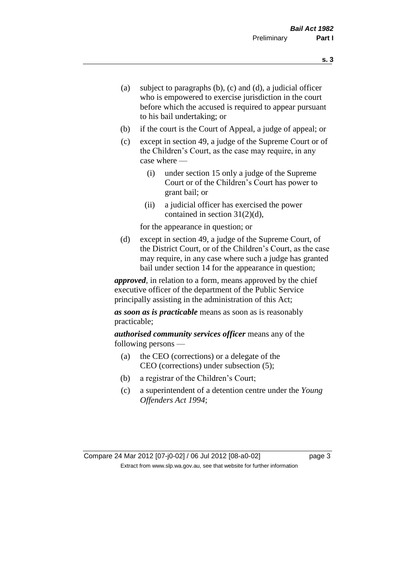- (a) subject to paragraphs (b), (c) and (d), a judicial officer who is empowered to exercise jurisdiction in the court before which the accused is required to appear pursuant to his bail undertaking; or
- (b) if the court is the Court of Appeal, a judge of appeal; or
- (c) except in section 49, a judge of the Supreme Court or of the Children's Court, as the case may require, in any case where —
	- (i) under section 15 only a judge of the Supreme Court or of the Children's Court has power to grant bail; or
	- (ii) a judicial officer has exercised the power contained in section 31(2)(d),

for the appearance in question; or

(d) except in section 49, a judge of the Supreme Court, of the District Court, or of the Children's Court, as the case may require, in any case where such a judge has granted bail under section 14 for the appearance in question;

*approved*, in relation to a form, means approved by the chief executive officer of the department of the Public Service principally assisting in the administration of this Act;

*as soon as is practicable* means as soon as is reasonably practicable;

*authorised community services officer* means any of the following persons —

- (a) the CEO (corrections) or a delegate of the CEO (corrections) under subsection (5);
- (b) a registrar of the Children's Court;
- (c) a superintendent of a detention centre under the *Young Offenders Act 1994*;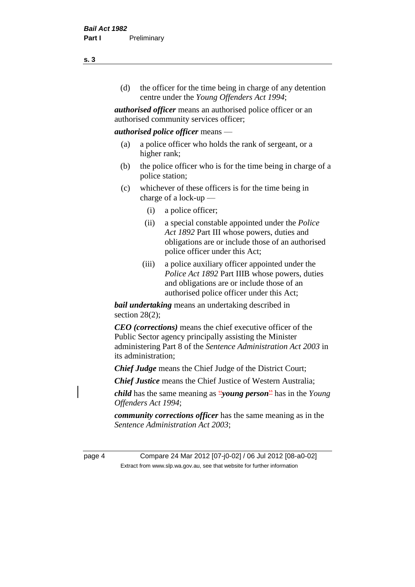(d) the officer for the time being in charge of any detention centre under the *Young Offenders Act 1994*;

*authorised officer* means an authorised police officer or an authorised community services officer;

## *authorised police officer* means —

- (a) a police officer who holds the rank of sergeant, or a higher rank;
- (b) the police officer who is for the time being in charge of a police station;
- (c) whichever of these officers is for the time being in charge of a lock-up —
	- (i) a police officer;
	- (ii) a special constable appointed under the *Police Act 1892* Part III whose powers, duties and obligations are or include those of an authorised police officer under this Act;
	- (iii) a police auxiliary officer appointed under the *Police Act 1892* Part IIIB whose powers, duties and obligations are or include those of an authorised police officer under this Act;

*bail undertaking* means an undertaking described in section  $28(2)$ ;

*CEO (corrections)* means the chief executive officer of the Public Sector agency principally assisting the Minister administering Part 8 of the *Sentence Administration Act 2003* in its administration;

*Chief Judge* means the Chief Judge of the District Court;

*Chief Justice* means the Chief Justice of Western Australia;

*child* has the same meaning as "*young person*" has in the *Young Offenders Act 1994*;

*community corrections officer* has the same meaning as in the *Sentence Administration Act 2003*;

page 4 Compare 24 Mar 2012 [07-j0-02] / 06 Jul 2012 [08-a0-02] Extract from www.slp.wa.gov.au, see that website for further information

**s. 3**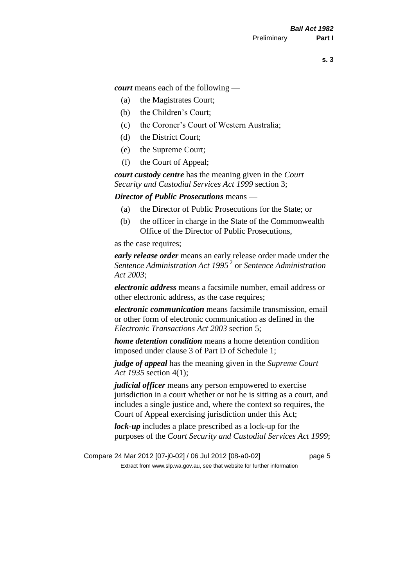*court* means each of the following —

- (a) the Magistrates Court;
- (b) the Children's Court;
- (c) the Coroner's Court of Western Australia;
- (d) the District Court;
- (e) the Supreme Court;
- (f) the Court of Appeal;

*court custody centre* has the meaning given in the *Court Security and Custodial Services Act 1999* section 3;

*Director of Public Prosecutions* means —

- (a) the Director of Public Prosecutions for the State; or
- (b) the officer in charge in the State of the Commonwealth Office of the Director of Public Prosecutions,

as the case requires;

*early release order* means an early release order made under the *Sentence Administration Act 1995* <sup>2</sup> or *Sentence Administration Act 2003*;

*electronic address* means a facsimile number, email address or other electronic address, as the case requires;

*electronic communication* means facsimile transmission, email or other form of electronic communication as defined in the *Electronic Transactions Act 2003* section 5;

*home detention condition* means a home detention condition imposed under clause 3 of Part D of Schedule 1;

*judge of appeal* has the meaning given in the *Supreme Court Act 1935* section 4(1);

*judicial officer* means any person empowered to exercise jurisdiction in a court whether or not he is sitting as a court, and includes a single justice and, where the context so requires, the Court of Appeal exercising jurisdiction under this Act;

*lock-up* includes a place prescribed as a lock-up for the purposes of the *Court Security and Custodial Services Act 1999*;

Compare 24 Mar 2012 [07-j0-02] / 06 Jul 2012 [08-a0-02] page 5 Extract from www.slp.wa.gov.au, see that website for further information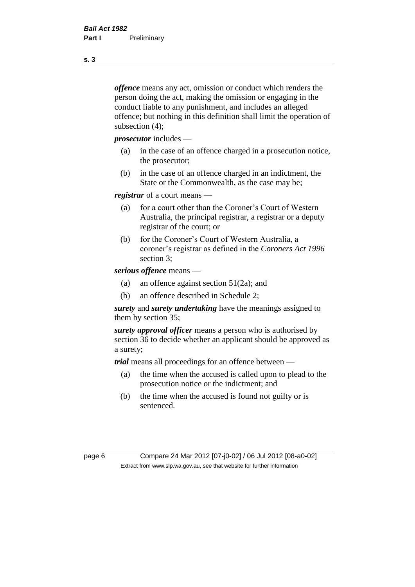*offence* means any act, omission or conduct which renders the person doing the act, making the omission or engaging in the conduct liable to any punishment, and includes an alleged offence; but nothing in this definition shall limit the operation of subsection (4);

*prosecutor* includes —

- (a) in the case of an offence charged in a prosecution notice, the prosecutor;
- (b) in the case of an offence charged in an indictment, the State or the Commonwealth, as the case may be;

*registrar* of a court means —

- (a) for a court other than the Coroner's Court of Western Australia, the principal registrar, a registrar or a deputy registrar of the court; or
- (b) for the Coroner's Court of Western Australia, a coroner's registrar as defined in the *Coroners Act 1996* section 3;

*serious offence* means —

- (a) an offence against section 51(2a); and
- (b) an offence described in Schedule 2;

*surety* and *surety undertaking* have the meanings assigned to them by section 35;

*surety approval officer* means a person who is authorised by section 36 to decide whether an applicant should be approved as a surety;

*trial* means all proceedings for an offence between —

- (a) the time when the accused is called upon to plead to the prosecution notice or the indictment; and
- (b) the time when the accused is found not guilty or is sentenced.

page 6 Compare 24 Mar 2012 [07-j0-02] / 06 Jul 2012 [08-a0-02] Extract from www.slp.wa.gov.au, see that website for further information

**s. 3**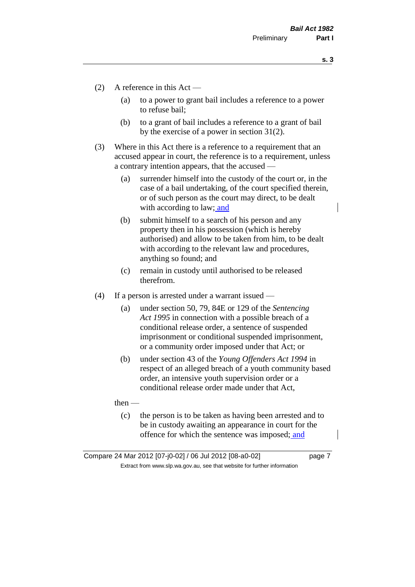**s. 3**

- (2) A reference in this Act
	- (a) to a power to grant bail includes a reference to a power to refuse bail;
	- (b) to a grant of bail includes a reference to a grant of bail by the exercise of a power in section 31(2).
- (3) Where in this Act there is a reference to a requirement that an accused appear in court, the reference is to a requirement, unless a contrary intention appears, that the accused —
	- (a) surrender himself into the custody of the court or, in the case of a bail undertaking, of the court specified therein, or of such person as the court may direct, to be dealt with according to law; and
	- (b) submit himself to a search of his person and any property then in his possession (which is hereby authorised) and allow to be taken from him, to be dealt with according to the relevant law and procedures, anything so found; and
	- (c) remain in custody until authorised to be released therefrom.
- (4) If a person is arrested under a warrant issued
	- (a) under section 50, 79, 84E or 129 of the *Sentencing Act 1995* in connection with a possible breach of a conditional release order, a sentence of suspended imprisonment or conditional suspended imprisonment, or a community order imposed under that Act; or
	- (b) under section 43 of the *Young Offenders Act 1994* in respect of an alleged breach of a youth community based order, an intensive youth supervision order or a conditional release order made under that Act,

then —

(c) the person is to be taken as having been arrested and to be in custody awaiting an appearance in court for the offence for which the sentence was imposed; and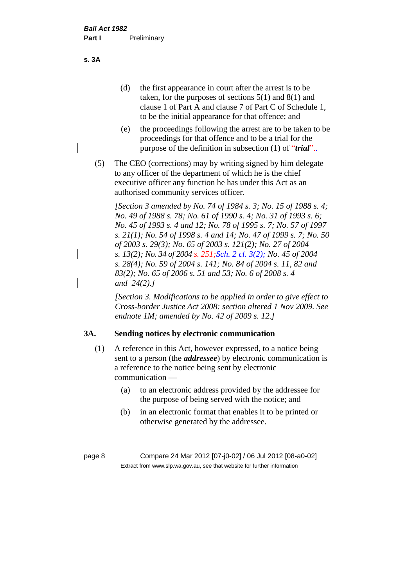**s. 3A**

- (d) the first appearance in court after the arrest is to be taken, for the purposes of sections 5(1) and 8(1) and clause 1 of Part A and clause 7 of Part C of Schedule 1, to be the initial appearance for that offence; and
- (e) the proceedings following the arrest are to be taken to be proceedings for that offence and to be a trial for the purpose of the definition in subsection (1) of *"trial*"...
- (5) The CEO (corrections) may by writing signed by him delegate to any officer of the department of which he is the chief executive officer any function he has under this Act as an authorised community services officer.

*[Section 3 amended by No. 74 of 1984 s. 3; No. 15 of 1988 s. 4; No. 49 of 1988 s. 78; No. 61 of 1990 s. 4; No. 31 of 1993 s. 6; No. 45 of 1993 s. 4 and 12; No. 78 of 1995 s. 7; No. 57 of 1997 s. 21(1); No. 54 of 1998 s. 4 and 14; No. 47 of 1999 s. 7; No. 50 of 2003 s. 29(3); No. 65 of 2003 s. 121(2); No. 27 of 2004 s. 13(2); No. 34 of 2004 s. 251;Sch. 2 cl. 3(2); No. 45 of 2004 s. 28(4); No. 59 of 2004 s. 141; No. 84 of 2004 s. 11, 82 and 83(2); No. 65 of 2006 s. 51 and 53; No. 6 of 2008 s. 4 and 24(2).]* 

*[Section 3. Modifications to be applied in order to give effect to Cross-border Justice Act 2008: section altered 1 Nov 2009. See endnote 1M; amended by No. 42 of 2009 s. 12.]*

## **3A. Sending notices by electronic communication**

- (1) A reference in this Act, however expressed, to a notice being sent to a person (the *addressee*) by electronic communication is a reference to the notice being sent by electronic communication —
	- (a) to an electronic address provided by the addressee for the purpose of being served with the notice; and
	- (b) in an electronic format that enables it to be printed or otherwise generated by the addressee.

page 8 Compare 24 Mar 2012 [07-j0-02] / 06 Jul 2012 [08-a0-02] Extract from www.slp.wa.gov.au, see that website for further information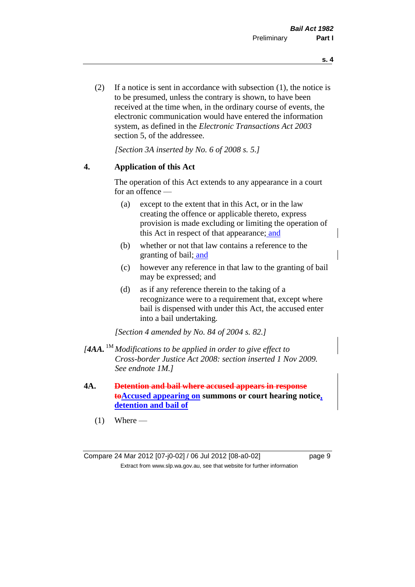(2) If a notice is sent in accordance with subsection (1), the notice is to be presumed, unless the contrary is shown, to have been received at the time when, in the ordinary course of events, the electronic communication would have entered the information system, as defined in the *Electronic Transactions Act 2003* section 5, of the addressee.

*[Section 3A inserted by No. 6 of 2008 s. 5.]*

## **4. Application of this Act**

The operation of this Act extends to any appearance in a court for an offence —

- (a) except to the extent that in this Act, or in the law creating the offence or applicable thereto, express provision is made excluding or limiting the operation of this Act in respect of that appearance; and
- (b) whether or not that law contains a reference to the granting of bail; and
- (c) however any reference in that law to the granting of bail may be expressed; and
- (d) as if any reference therein to the taking of a recognizance were to a requirement that, except where bail is dispensed with under this Act, the accused enter into a bail undertaking.

*[Section 4 amended by No. 84 of 2004 s. 82.]*

- *[4AA.* 1M *Modifications to be applied in order to give effect to Cross-border Justice Act 2008: section inserted 1 Nov 2009. See endnote 1M.]*
- **4A. Detention and bail where accused appears in response toAccused appearing on summons or court hearing notice, detention and bail of**
	- $(1)$  Where —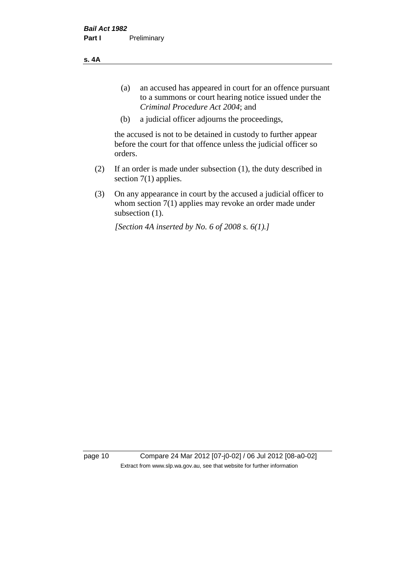**s. 4A**

- (a) an accused has appeared in court for an offence pursuant to a summons or court hearing notice issued under the *Criminal Procedure Act 2004*; and
- (b) a judicial officer adjourns the proceedings,

the accused is not to be detained in custody to further appear before the court for that offence unless the judicial officer so orders.

- (2) If an order is made under subsection (1), the duty described in section 7(1) applies.
- (3) On any appearance in court by the accused a judicial officer to whom section 7(1) applies may revoke an order made under subsection  $(1)$ .

*[Section 4A inserted by No. 6 of 2008 s. 6(1).]*

page 10 Compare 24 Mar 2012 [07-j0-02] / 06 Jul 2012 [08-a0-02] Extract from www.slp.wa.gov.au, see that website for further information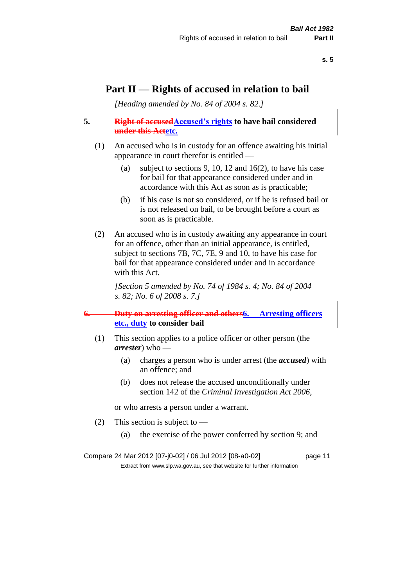## **Part II — Rights of accused in relation to bail**

*[Heading amended by No. 84 of 2004 s. 82.]* 

## **5. Right of accused Accused's rights** to have bail considered **under this Actetc.**

- (1) An accused who is in custody for an offence awaiting his initial appearance in court therefor is entitled —
	- (a) subject to sections 9, 10, 12 and 16(2), to have his case for bail for that appearance considered under and in accordance with this Act as soon as is practicable;
	- (b) if his case is not so considered, or if he is refused bail or is not released on bail, to be brought before a court as soon as is practicable.
- (2) An accused who is in custody awaiting any appearance in court for an offence, other than an initial appearance, is entitled, subject to sections 7B, 7C, 7E, 9 and 10, to have his case for bail for that appearance considered under and in accordance with this Act.

*[Section 5 amended by No. 74 of 1984 s. 4; No. 84 of 2004 s. 82; No. 6 of 2008 s. 7.]* 

## **6. Duty on arresting officer and others6. Arresting officers etc., duty to consider bail**

- (1) This section applies to a police officer or other person (the *arrester*) who —
	- (a) charges a person who is under arrest (the *accused*) with an offence; and
	- (b) does not release the accused unconditionally under section 142 of the *Criminal Investigation Act 2006*,

or who arrests a person under a warrant.

- (2) This section is subject to  $-$ 
	- (a) the exercise of the power conferred by section 9; and

Compare 24 Mar 2012 [07-j0-02] / 06 Jul 2012 [08-a0-02] page 11 Extract from www.slp.wa.gov.au, see that website for further information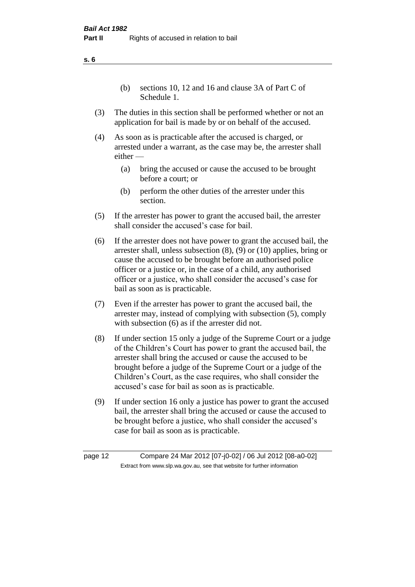(b) sections 10, 12 and 16 and clause 3A of Part C of Schedule 1.

- (3) The duties in this section shall be performed whether or not an application for bail is made by or on behalf of the accused.
- (4) As soon as is practicable after the accused is charged, or arrested under a warrant, as the case may be, the arrester shall either —
	- (a) bring the accused or cause the accused to be brought before a court; or
	- (b) perform the other duties of the arrester under this section.
- (5) If the arrester has power to grant the accused bail, the arrester shall consider the accused's case for bail.
- (6) If the arrester does not have power to grant the accused bail, the arrester shall, unless subsection (8), (9) or (10) applies, bring or cause the accused to be brought before an authorised police officer or a justice or, in the case of a child, any authorised officer or a justice, who shall consider the accused's case for bail as soon as is practicable.
- (7) Even if the arrester has power to grant the accused bail, the arrester may, instead of complying with subsection (5), comply with subsection (6) as if the arrester did not.
- (8) If under section 15 only a judge of the Supreme Court or a judge of the Children's Court has power to grant the accused bail, the arrester shall bring the accused or cause the accused to be brought before a judge of the Supreme Court or a judge of the Children's Court, as the case requires, who shall consider the accused's case for bail as soon as is practicable.
- (9) If under section 16 only a justice has power to grant the accused bail, the arrester shall bring the accused or cause the accused to be brought before a justice, who shall consider the accused's case for bail as soon as is practicable.

**s. 6**

page 12 Compare 24 Mar 2012 [07-j0-02] / 06 Jul 2012 [08-a0-02] Extract from www.slp.wa.gov.au, see that website for further information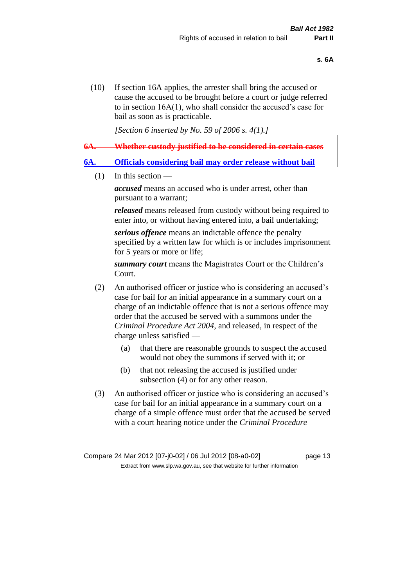(10) If section 16A applies, the arrester shall bring the accused or cause the accused to be brought before a court or judge referred to in section 16A(1), who shall consider the accused's case for bail as soon as is practicable.

*[Section 6 inserted by No. 59 of 2006 s. 4(1).]* 

**6A. Whether custody justified to be considered in certain cases**

#### **6A. Officials considering bail may order release without bail**

 $(1)$  In this section —

*accused* means an accused who is under arrest, other than pursuant to a warrant;

*released* means released from custody without being required to enter into, or without having entered into, a bail undertaking;

*serious offence* means an indictable offence the penalty specified by a written law for which is or includes imprisonment for 5 years or more or life;

*summary court* means the Magistrates Court or the Children's Court.

- (2) An authorised officer or justice who is considering an accused's case for bail for an initial appearance in a summary court on a charge of an indictable offence that is not a serious offence may order that the accused be served with a summons under the *Criminal Procedure Act 2004*, and released, in respect of the charge unless satisfied —
	- (a) that there are reasonable grounds to suspect the accused would not obey the summons if served with it; or
	- (b) that not releasing the accused is justified under subsection (4) or for any other reason.
- (3) An authorised officer or justice who is considering an accused's case for bail for an initial appearance in a summary court on a charge of a simple offence must order that the accused be served with a court hearing notice under the *Criminal Procedure*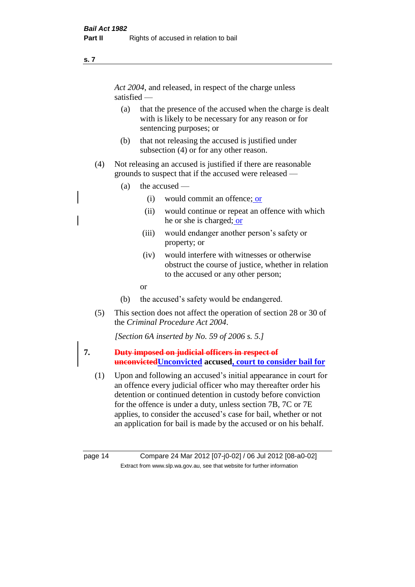#### **s. 7**

*Act 2004*, and released, in respect of the charge unless satisfied —

- (a) that the presence of the accused when the charge is dealt with is likely to be necessary for any reason or for sentencing purposes; or
- (b) that not releasing the accused is justified under subsection (4) or for any other reason.
- (4) Not releasing an accused is justified if there are reasonable grounds to suspect that if the accused were released —
	- (a) the accused
		- (i) would commit an offence; or
		- (ii) would continue or repeat an offence with which he or she is charged; or
		- (iii) would endanger another person's safety or property; or
		- (iv) would interfere with witnesses or otherwise obstruct the course of justice, whether in relation to the accused or any other person;
		- or
	- (b) the accused's safety would be endangered.
- (5) This section does not affect the operation of section 28 or 30 of the *Criminal Procedure Act 2004*.

*[Section 6A inserted by No. 59 of 2006 s. 5.]* 

## **7. Duty imposed on judicial officers in respect of unconvictedUnconvicted accused, court to consider bail for**

(1) Upon and following an accused's initial appearance in court for an offence every judicial officer who may thereafter order his detention or continued detention in custody before conviction for the offence is under a duty, unless section 7B, 7C or 7E applies, to consider the accused's case for bail, whether or not an application for bail is made by the accused or on his behalf.

page 14 Compare 24 Mar 2012 [07-j0-02] / 06 Jul 2012 [08-a0-02] Extract from www.slp.wa.gov.au, see that website for further information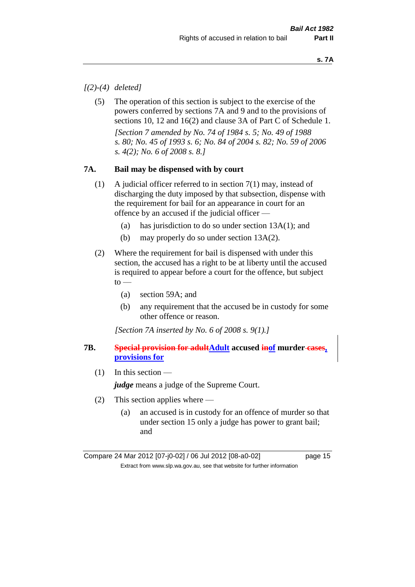## *[(2)-(4) deleted]*

(5) The operation of this section is subject to the exercise of the powers conferred by sections 7A and 9 and to the provisions of sections 10, 12 and 16(2) and clause 3A of Part C of Schedule 1. *[Section 7 amended by No. 74 of 1984 s. 5; No. 49 of 1988 s. 80; No. 45 of 1993 s. 6; No. 84 of 2004 s. 82; No. 59 of 2006 s. 4(2); No. 6 of 2008 s. 8.]* 

## **7A. Bail may be dispensed with by court**

- (1) A judicial officer referred to in section 7(1) may, instead of discharging the duty imposed by that subsection, dispense with the requirement for bail for an appearance in court for an offence by an accused if the judicial officer —
	- (a) has jurisdiction to do so under section 13A(1); and
	- (b) may properly do so under section 13A(2).
- (2) Where the requirement for bail is dispensed with under this section, the accused has a right to be at liberty until the accused is required to appear before a court for the offence, but subject  $to -$ 
	- (a) section 59A; and
	- (b) any requirement that the accused be in custody for some other offence or reason.

*[Section 7A inserted by No. 6 of 2008 s. 9(1).]*

## **7B. Special provision for adultAdult accused inof murder cases, provisions for**

(1) In this section —

*judge* means a judge of the Supreme Court.

- (2) This section applies where
	- (a) an accused is in custody for an offence of murder so that under section 15 only a judge has power to grant bail; and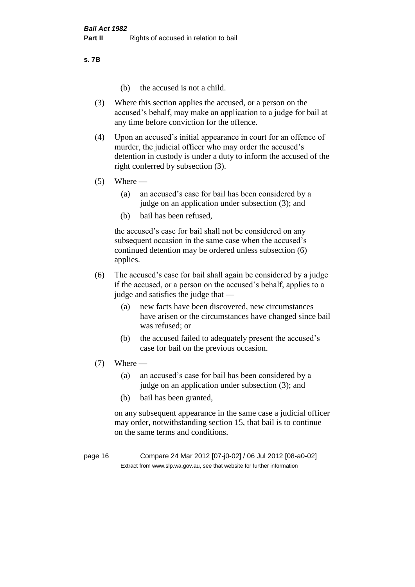**s. 7B**

- (b) the accused is not a child.
- (3) Where this section applies the accused, or a person on the accused's behalf, may make an application to a judge for bail at any time before conviction for the offence.
- (4) Upon an accused's initial appearance in court for an offence of murder, the judicial officer who may order the accused's detention in custody is under a duty to inform the accused of the right conferred by subsection (3).
- $(5)$  Where
	- (a) an accused's case for bail has been considered by a judge on an application under subsection (3); and
	- (b) bail has been refused,

the accused's case for bail shall not be considered on any subsequent occasion in the same case when the accused's continued detention may be ordered unless subsection (6) applies.

- (6) The accused's case for bail shall again be considered by a judge if the accused, or a person on the accused's behalf, applies to a judge and satisfies the judge that —
	- (a) new facts have been discovered, new circumstances have arisen or the circumstances have changed since bail was refused; or
	- (b) the accused failed to adequately present the accused's case for bail on the previous occasion.
- (7) Where
	- (a) an accused's case for bail has been considered by a judge on an application under subsection (3); and
	- (b) bail has been granted,

on any subsequent appearance in the same case a judicial officer may order, notwithstanding section 15, that bail is to continue on the same terms and conditions.

page 16 Compare 24 Mar 2012 [07-j0-02] / 06 Jul 2012 [08-a0-02] Extract from www.slp.wa.gov.au, see that website for further information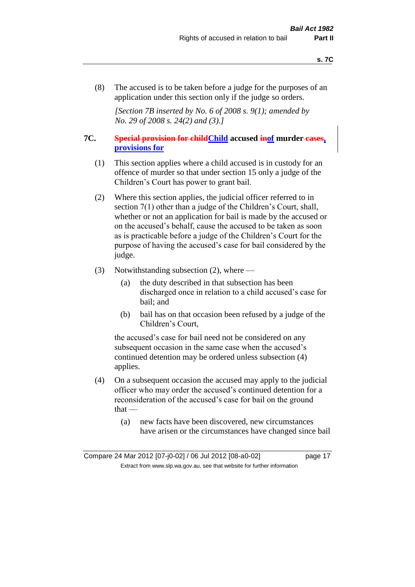(8) The accused is to be taken before a judge for the purposes of an application under this section only if the judge so orders.

*[Section 7B inserted by No. 6 of 2008 s. 9(1); amended by No. 29 of 2008 s. 24(2) and (3).]*

## **7C. Special provision for childChild accused inof murder cases, provisions for**

- (1) This section applies where a child accused is in custody for an offence of murder so that under section 15 only a judge of the Children's Court has power to grant bail.
- (2) Where this section applies, the judicial officer referred to in section 7(1) other than a judge of the Children's Court, shall, whether or not an application for bail is made by the accused or on the accused's behalf, cause the accused to be taken as soon as is practicable before a judge of the Children's Court for the purpose of having the accused's case for bail considered by the judge.
- (3) Notwithstanding subsection (2), where
	- (a) the duty described in that subsection has been discharged once in relation to a child accused's case for bail; and
	- (b) bail has on that occasion been refused by a judge of the Children's Court,

the accused's case for bail need not be considered on any subsequent occasion in the same case when the accused's continued detention may be ordered unless subsection (4) applies.

- (4) On a subsequent occasion the accused may apply to the judicial officer who may order the accused's continued detention for a reconsideration of the accused's case for bail on the ground that —
	- (a) new facts have been discovered, new circumstances have arisen or the circumstances have changed since bail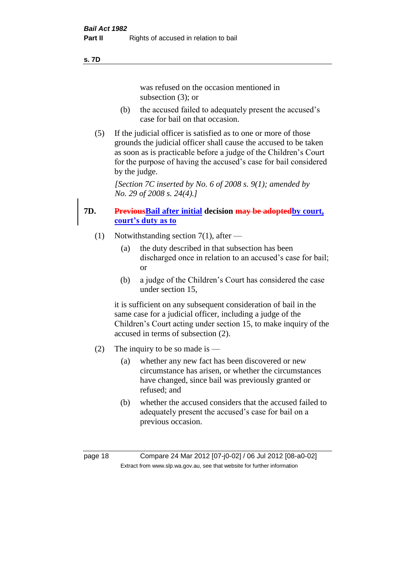#### **s. 7D**

was refused on the occasion mentioned in subsection (3); or

- (b) the accused failed to adequately present the accused's case for bail on that occasion.
- (5) If the judicial officer is satisfied as to one or more of those grounds the judicial officer shall cause the accused to be taken as soon as is practicable before a judge of the Children's Court for the purpose of having the accused's case for bail considered by the judge.

*[Section 7C inserted by No. 6 of 2008 s. 9(1); amended by No. 29 of 2008 s. 24(4).]*

## **7D. PreviousBail after initial decision may be adoptedby court, court's duty as to**

- (1) Notwithstanding section 7(1), after
	- (a) the duty described in that subsection has been discharged once in relation to an accused's case for bail; or
	- (b) a judge of the Children's Court has considered the case under section 15,

it is sufficient on any subsequent consideration of bail in the same case for a judicial officer, including a judge of the Children's Court acting under section 15, to make inquiry of the accused in terms of subsection (2).

- (2) The inquiry to be so made is
	- (a) whether any new fact has been discovered or new circumstance has arisen, or whether the circumstances have changed, since bail was previously granted or refused; and
	- (b) whether the accused considers that the accused failed to adequately present the accused's case for bail on a previous occasion.

page 18 Compare 24 Mar 2012 [07-j0-02] / 06 Jul 2012 [08-a0-02] Extract from www.slp.wa.gov.au, see that website for further information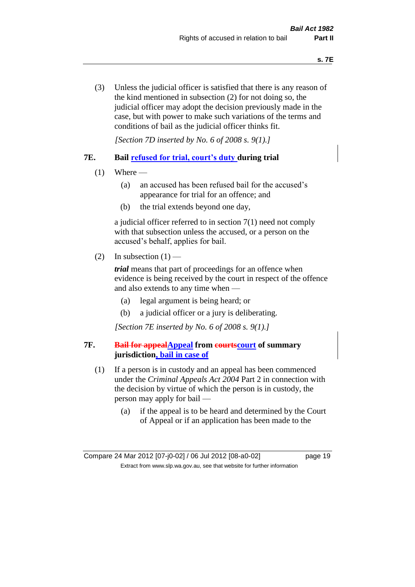(3) Unless the judicial officer is satisfied that there is any reason of the kind mentioned in subsection (2) for not doing so, the judicial officer may adopt the decision previously made in the case, but with power to make such variations of the terms and conditions of bail as the judicial officer thinks fit.

*[Section 7D inserted by No. 6 of 2008 s. 9(1).]*

## **7E. Bail refused for trial, court's duty during trial**

- $(1)$  Where
	- (a) an accused has been refused bail for the accused's appearance for trial for an offence; and
	- (b) the trial extends beyond one day,

a judicial officer referred to in section 7(1) need not comply with that subsection unless the accused, or a person on the accused's behalf, applies for bail.

(2) In subsection  $(1)$  —

*trial* means that part of proceedings for an offence when evidence is being received by the court in respect of the offence and also extends to any time when —

- (a) legal argument is being heard; or
- (b) a judicial officer or a jury is deliberating.

*[Section 7E inserted by No. 6 of 2008 s. 9(1).]*

## **7F. Bail for appealAppeal from courtscourt of summary jurisdiction, bail in case of**

- (1) If a person is in custody and an appeal has been commenced under the *Criminal Appeals Act 2004* Part 2 in connection with the decision by virtue of which the person is in custody, the person may apply for bail —
	- (a) if the appeal is to be heard and determined by the Court of Appeal or if an application has been made to the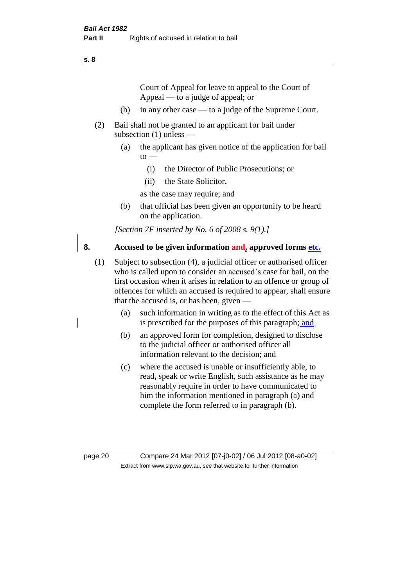#### **s. 8**

Court of Appeal for leave to appeal to the Court of Appeal — to a judge of appeal; or

- (b) in any other case to a judge of the Supreme Court.
- (2) Bail shall not be granted to an applicant for bail under subsection (1) unless —
	- (a) the applicant has given notice of the application for bail  $to -$ 
		- (i) the Director of Public Prosecutions; or
		- (ii) the State Solicitor,
		- as the case may require; and
	- (b) that official has been given an opportunity to be heard on the application.

*[Section 7F inserted by No. 6 of 2008 s. 9(1).]*

## **8. Accused to be given information and, approved forms etc.**

- (1) Subject to subsection (4), a judicial officer or authorised officer who is called upon to consider an accused's case for bail, on the first occasion when it arises in relation to an offence or group of offences for which an accused is required to appear, shall ensure that the accused is, or has been, given —
	- (a) such information in writing as to the effect of this Act as is prescribed for the purposes of this paragraph; and
	- (b) an approved form for completion, designed to disclose to the judicial officer or authorised officer all information relevant to the decision; and
	- (c) where the accused is unable or insufficiently able, to read, speak or write English, such assistance as he may reasonably require in order to have communicated to him the information mentioned in paragraph (a) and complete the form referred to in paragraph (b).

page 20 Compare 24 Mar 2012 [07-j0-02] / 06 Jul 2012 [08-a0-02] Extract from www.slp.wa.gov.au, see that website for further information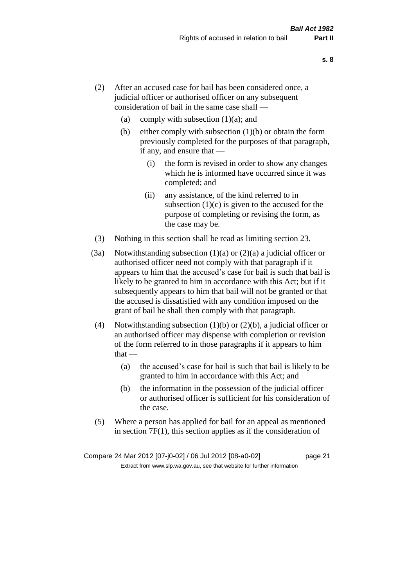- (2) After an accused case for bail has been considered once, a judicial officer or authorised officer on any subsequent consideration of bail in the same case shall —
	- (a) comply with subsection  $(1)(a)$ ; and
	- (b) either comply with subsection  $(1)(b)$  or obtain the form previously completed for the purposes of that paragraph, if any, and ensure that —
		- (i) the form is revised in order to show any changes which he is informed have occurred since it was completed; and
		- (ii) any assistance, of the kind referred to in subsection  $(1)(c)$  is given to the accused for the purpose of completing or revising the form, as the case may be.
- (3) Nothing in this section shall be read as limiting section 23.
- (3a) Notwithstanding subsection  $(1)(a)$  or  $(2)(a)$  a judicial officer or authorised officer need not comply with that paragraph if it appears to him that the accused's case for bail is such that bail is likely to be granted to him in accordance with this Act; but if it subsequently appears to him that bail will not be granted or that the accused is dissatisfied with any condition imposed on the grant of bail he shall then comply with that paragraph.
- (4) Notwithstanding subsection (1)(b) or (2)(b), a judicial officer or an authorised officer may dispense with completion or revision of the form referred to in those paragraphs if it appears to him  $that -$ 
	- (a) the accused's case for bail is such that bail is likely to be granted to him in accordance with this Act; and
	- (b) the information in the possession of the judicial officer or authorised officer is sufficient for his consideration of the case.
- (5) Where a person has applied for bail for an appeal as mentioned in section 7F(1), this section applies as if the consideration of

**s. 8**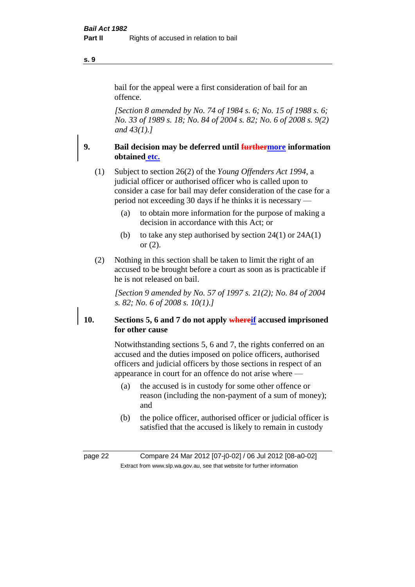bail for the appeal were a first consideration of bail for an offence.

*[Section 8 amended by No. 74 of 1984 s. 6; No. 15 of 1988 s. 6; No. 33 of 1989 s. 18; No. 84 of 2004 s. 82; No. 6 of 2008 s. 9(2) and 43(1).]* 

## **9. Bail decision may be deferred until furthermore information obtained etc.**

(1) Subject to section 26(2) of the *Young Offenders Act 1994*, a judicial officer or authorised officer who is called upon to consider a case for bail may defer consideration of the case for a period not exceeding 30 days if he thinks it is necessary —

- (a) to obtain more information for the purpose of making a decision in accordance with this Act; or
- (b) to take any step authorised by section  $24(1)$  or  $24A(1)$ or (2).
- (2) Nothing in this section shall be taken to limit the right of an accused to be brought before a court as soon as is practicable if he is not released on bail.

*[Section 9 amended by No. 57 of 1997 s. 21(2); No. 84 of 2004 s. 82; No. 6 of 2008 s. 10(1).]*

## **10. Sections 5, 6 and 7 do not apply whereif accused imprisoned for other cause**

Notwithstanding sections 5, 6 and 7, the rights conferred on an accused and the duties imposed on police officers, authorised officers and judicial officers by those sections in respect of an appearance in court for an offence do not arise where —

- (a) the accused is in custody for some other offence or reason (including the non-payment of a sum of money); and
- (b) the police officer, authorised officer or judicial officer is satisfied that the accused is likely to remain in custody

**s. 9**

page 22 Compare 24 Mar 2012 [07-j0-02] / 06 Jul 2012 [08-a0-02] Extract from www.slp.wa.gov.au, see that website for further information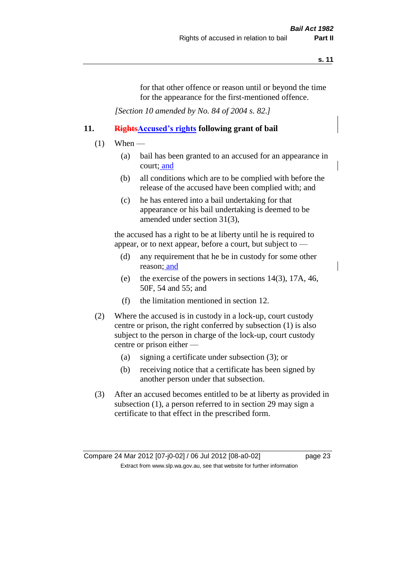for that other offence or reason until or beyond the time for the appearance for the first-mentioned offence.

*[Section 10 amended by No. 84 of 2004 s. 82.]*

## **11. RightsAccused's rights following grant of bail**

- $(1)$  When
	- (a) bail has been granted to an accused for an appearance in court; and
	- (b) all conditions which are to be complied with before the release of the accused have been complied with; and
	- (c) he has entered into a bail undertaking for that appearance or his bail undertaking is deemed to be amended under section 31(3),

the accused has a right to be at liberty until he is required to appear, or to next appear, before a court, but subject to —

- (d) any requirement that he be in custody for some other reason; and
- (e) the exercise of the powers in sections 14(3), 17A, 46, 50F, 54 and 55; and
- (f) the limitation mentioned in section 12.
- (2) Where the accused is in custody in a lock-up, court custody centre or prison, the right conferred by subsection (1) is also subject to the person in charge of the lock-up, court custody centre or prison either —
	- (a) signing a certificate under subsection (3); or
	- (b) receiving notice that a certificate has been signed by another person under that subsection.
- (3) After an accused becomes entitled to be at liberty as provided in subsection (1), a person referred to in section 29 may sign a certificate to that effect in the prescribed form.

Compare 24 Mar 2012 [07-j0-02] / 06 Jul 2012 [08-a0-02] page 23 Extract from www.slp.wa.gov.au, see that website for further information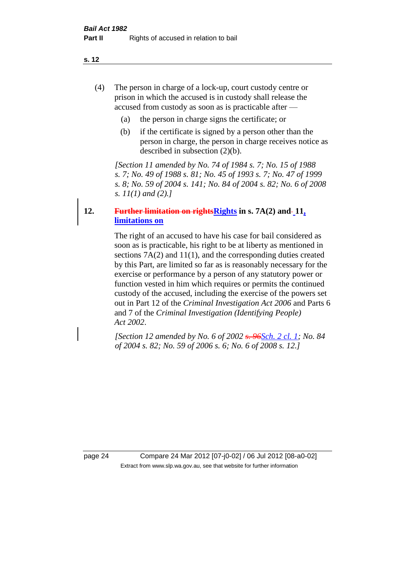**s. 12**

- (4) The person in charge of a lock-up, court custody centre or prison in which the accused is in custody shall release the accused from custody as soon as is practicable after —
	- (a) the person in charge signs the certificate; or
	- (b) if the certificate is signed by a person other than the person in charge, the person in charge receives notice as described in subsection (2)(b).

*[Section 11 amended by No. 74 of 1984 s. 7; No. 15 of 1988 s. 7; No. 49 of 1988 s. 81; No. 45 of 1993 s. 7; No. 47 of 1999 s. 8; No. 59 of 2004 s. 141; No. 84 of 2004 s. 82; No. 6 of 2008 s. 11(1) and (2).]* 

## **12. Further limitation on rightsRights in s. 7A(2) and 11, limitations on**

The right of an accused to have his case for bail considered as soon as is practicable, his right to be at liberty as mentioned in sections 7A(2) and 11(1), and the corresponding duties created by this Part, are limited so far as is reasonably necessary for the exercise or performance by a person of any statutory power or function vested in him which requires or permits the continued custody of the accused, including the exercise of the powers set out in Part 12 of the *Criminal Investigation Act 2006* and Parts 6 and 7 of the *Criminal Investigation (Identifying People) Act 2002*.

*[Section 12 amended by No. 6 of 2002 s. 96Sch. 2 cl. 1; No. 84 of 2004 s. 82; No. 59 of 2006 s. 6; No. 6 of 2008 s. 12.]*

page 24 Compare 24 Mar 2012 [07-j0-02] / 06 Jul 2012 [08-a0-02] Extract from www.slp.wa.gov.au, see that website for further information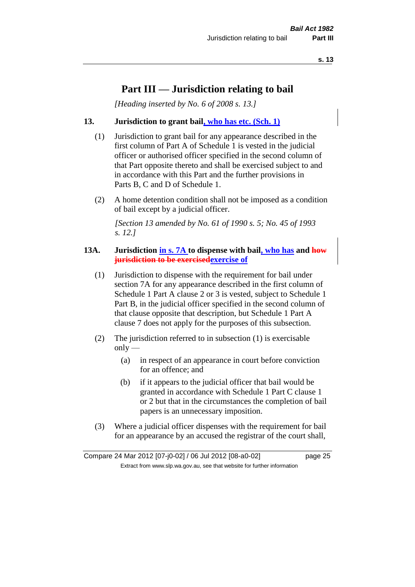## **Part III — Jurisdiction relating to bail**

*[Heading inserted by No. 6 of 2008 s. 13.]*

## **13. Jurisdiction to grant bail, who has etc. (Sch. 1)**

- (1) Jurisdiction to grant bail for any appearance described in the first column of Part A of Schedule 1 is vested in the judicial officer or authorised officer specified in the second column of that Part opposite thereto and shall be exercised subject to and in accordance with this Part and the further provisions in Parts B, C and D of Schedule 1.
- (2) A home detention condition shall not be imposed as a condition of bail except by a judicial officer.

*[Section 13 amended by No. 61 of 1990 s. 5; No. 45 of 1993 s. 12.]* 

## **13A. Jurisdiction in s. 7A to dispense with bail, who has and how jurisdiction to be exercisedexercise of**

- (1) Jurisdiction to dispense with the requirement for bail under section 7A for any appearance described in the first column of Schedule 1 Part A clause 2 or 3 is vested, subject to Schedule 1 Part B, in the judicial officer specified in the second column of that clause opposite that description, but Schedule 1 Part A clause 7 does not apply for the purposes of this subsection.
- (2) The jurisdiction referred to in subsection (1) is exercisable  $only$ —
	- (a) in respect of an appearance in court before conviction for an offence; and
	- (b) if it appears to the judicial officer that bail would be granted in accordance with Schedule 1 Part C clause 1 or 2 but that in the circumstances the completion of bail papers is an unnecessary imposition.
- (3) Where a judicial officer dispenses with the requirement for bail for an appearance by an accused the registrar of the court shall,

Compare 24 Mar 2012 [07-j0-02] / 06 Jul 2012 [08-a0-02] page 25 Extract from www.slp.wa.gov.au, see that website for further information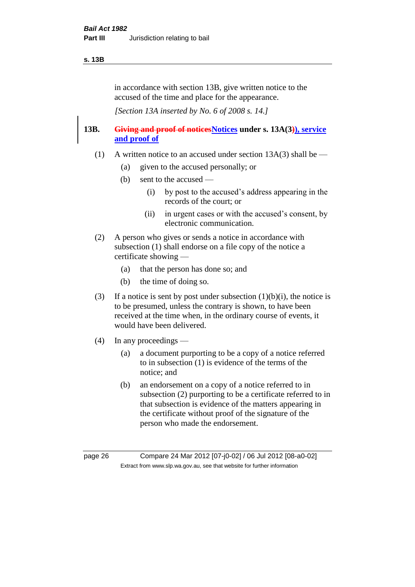#### **s. 13B**

in accordance with section 13B, give written notice to the accused of the time and place for the appearance.

*[Section 13A inserted by No. 6 of 2008 s. 14.]*

## **13B. Giving and proof of noticesNotices under s. 13A(3)), service and proof of**

- (1) A written notice to an accused under section  $13A(3)$  shall be
	- (a) given to the accused personally; or
	- (b) sent to the accused
		- (i) by post to the accused's address appearing in the records of the court; or
		- (ii) in urgent cases or with the accused's consent, by electronic communication.
- (2) A person who gives or sends a notice in accordance with subsection (1) shall endorse on a file copy of the notice a certificate showing —
	- (a) that the person has done so; and
	- (b) the time of doing so.
- (3) If a notice is sent by post under subsection  $(1)(b)(i)$ , the notice is to be presumed, unless the contrary is shown, to have been received at the time when, in the ordinary course of events, it would have been delivered.
- (4) In any proceedings
	- (a) a document purporting to be a copy of a notice referred to in subsection (1) is evidence of the terms of the notice; and
	- (b) an endorsement on a copy of a notice referred to in subsection (2) purporting to be a certificate referred to in that subsection is evidence of the matters appearing in the certificate without proof of the signature of the person who made the endorsement.

page 26 Compare 24 Mar 2012 [07-j0-02] / 06 Jul 2012 [08-a0-02] Extract from www.slp.wa.gov.au, see that website for further information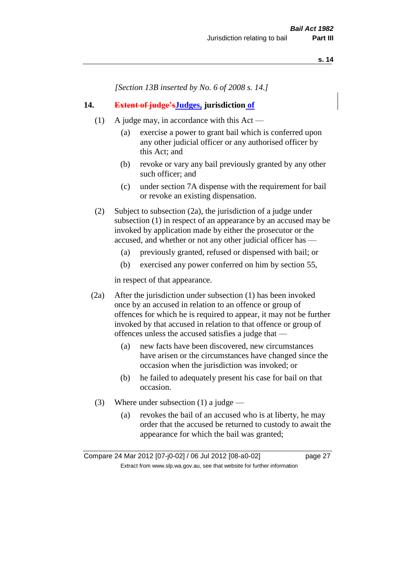*[Section 13B inserted by No. 6 of 2008 s. 14.]*

## **14. Extent of judge'sJudges, jurisdiction of**

- (1) A judge may, in accordance with this Act
	- (a) exercise a power to grant bail which is conferred upon any other judicial officer or any authorised officer by this Act; and
	- (b) revoke or vary any bail previously granted by any other such officer; and
	- (c) under section 7A dispense with the requirement for bail or revoke an existing dispensation.
- (2) Subject to subsection (2a), the jurisdiction of a judge under subsection (1) in respect of an appearance by an accused may be invoked by application made by either the prosecutor or the accused, and whether or not any other judicial officer has —
	- (a) previously granted, refused or dispensed with bail; or
	- (b) exercised any power conferred on him by section 55,

in respect of that appearance.

- (2a) After the jurisdiction under subsection (1) has been invoked once by an accused in relation to an offence or group of offences for which he is required to appear, it may not be further invoked by that accused in relation to that offence or group of offences unless the accused satisfies a judge that —
	- (a) new facts have been discovered, new circumstances have arisen or the circumstances have changed since the occasion when the jurisdiction was invoked; or
	- (b) he failed to adequately present his case for bail on that occasion.
	- (3) Where under subsection (1) a judge
		- (a) revokes the bail of an accused who is at liberty, he may order that the accused be returned to custody to await the appearance for which the bail was granted;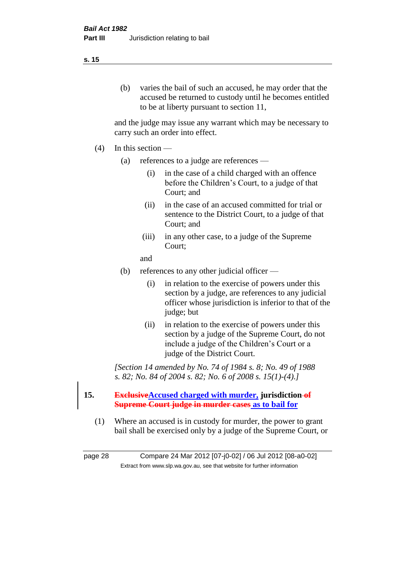## (b) varies the bail of such an accused, he may order that the accused be returned to custody until he becomes entitled to be at liberty pursuant to section 11,

and the judge may issue any warrant which may be necessary to carry such an order into effect.

- (4) In this section
	- (a) references to a judge are references
		- (i) in the case of a child charged with an offence before the Children's Court, to a judge of that Court; and
		- (ii) in the case of an accused committed for trial or sentence to the District Court, to a judge of that Court; and
		- (iii) in any other case, to a judge of the Supreme Court;
		- and
	- (b) references to any other judicial officer
		- (i) in relation to the exercise of powers under this section by a judge, are references to any judicial officer whose jurisdiction is inferior to that of the judge; but
		- (ii) in relation to the exercise of powers under this section by a judge of the Supreme Court, do not include a judge of the Children's Court or a judge of the District Court.

*[Section 14 amended by No. 74 of 1984 s. 8; No. 49 of 1988 s. 82; No. 84 of 2004 s. 82; No. 6 of 2008 s. 15(1)-(4).]* 

- **15. ExclusiveAccused charged with murder, jurisdiction of Supreme Court judge in murder cases as to bail for**
	- (1) Where an accused is in custody for murder, the power to grant bail shall be exercised only by a judge of the Supreme Court, or

page 28 Compare 24 Mar 2012 [07-j0-02] / 06 Jul 2012 [08-a0-02] Extract from www.slp.wa.gov.au, see that website for further information

#### **s. 15**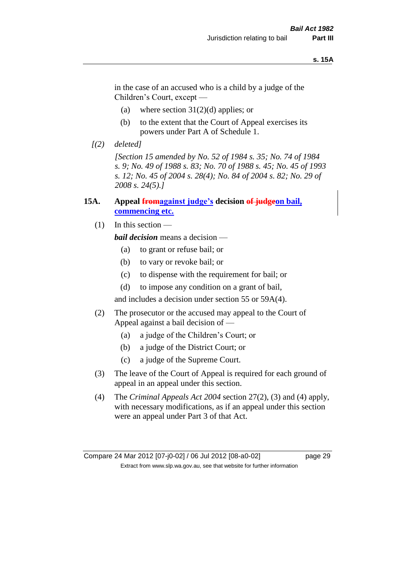#### **s. 15A**

in the case of an accused who is a child by a judge of the Children's Court, except —

- (a) where section  $31(2)(d)$  applies; or
- (b) to the extent that the Court of Appeal exercises its powers under Part A of Schedule 1.
- *[(2) deleted]*

*[Section 15 amended by No. 52 of 1984 s. 35; No. 74 of 1984 s. 9; No. 49 of 1988 s. 83; No. 70 of 1988 s. 45; No. 45 of 1993 s. 12; No. 45 of 2004 s. 28(4); No. 84 of 2004 s. 82; No. 29 of 2008 s. 24(5).]* 

## **15A. Appeal fromagainst judge's decision of judgeon bail, commencing etc.**

(1) In this section —

*bail decision* means a decision —

- (a) to grant or refuse bail; or
- (b) to vary or revoke bail; or
- (c) to dispense with the requirement for bail; or
- (d) to impose any condition on a grant of bail,

and includes a decision under section 55 or 59A(4).

- (2) The prosecutor or the accused may appeal to the Court of Appeal against a bail decision of —
	- (a) a judge of the Children's Court; or
	- (b) a judge of the District Court; or
	- (c) a judge of the Supreme Court.
- (3) The leave of the Court of Appeal is required for each ground of appeal in an appeal under this section.
- (4) The *Criminal Appeals Act 2004* section 27(2), (3) and (4) apply, with necessary modifications, as if an appeal under this section were an appeal under Part 3 of that Act.

Compare 24 Mar 2012 [07-j0-02] / 06 Jul 2012 [08-a0-02] page 29 Extract from www.slp.wa.gov.au, see that website for further information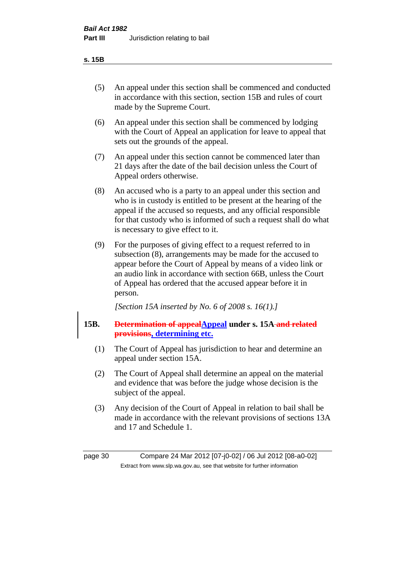| v<br>× | ×<br>۰, |
|--------|---------|
|--------|---------|

- (5) An appeal under this section shall be commenced and conducted in accordance with this section, section 15B and rules of court made by the Supreme Court.
- (6) An appeal under this section shall be commenced by lodging with the Court of Appeal an application for leave to appeal that sets out the grounds of the appeal.
- (7) An appeal under this section cannot be commenced later than 21 days after the date of the bail decision unless the Court of Appeal orders otherwise.
- (8) An accused who is a party to an appeal under this section and who is in custody is entitled to be present at the hearing of the appeal if the accused so requests, and any official responsible for that custody who is informed of such a request shall do what is necessary to give effect to it.
- (9) For the purposes of giving effect to a request referred to in subsection (8), arrangements may be made for the accused to appear before the Court of Appeal by means of a video link or an audio link in accordance with section 66B, unless the Court of Appeal has ordered that the accused appear before it in person.

*[Section 15A inserted by No. 6 of 2008 s. 16(1).]*

- **15B. Determination of appealAppeal under s. 15A and related provisions, determining etc.**
	- (1) The Court of Appeal has jurisdiction to hear and determine an appeal under section 15A.
	- (2) The Court of Appeal shall determine an appeal on the material and evidence that was before the judge whose decision is the subject of the appeal.
	- (3) Any decision of the Court of Appeal in relation to bail shall be made in accordance with the relevant provisions of sections 13A and 17 and Schedule 1.

page 30 Compare 24 Mar 2012 [07-j0-02] / 06 Jul 2012 [08-a0-02] Extract from www.slp.wa.gov.au, see that website for further information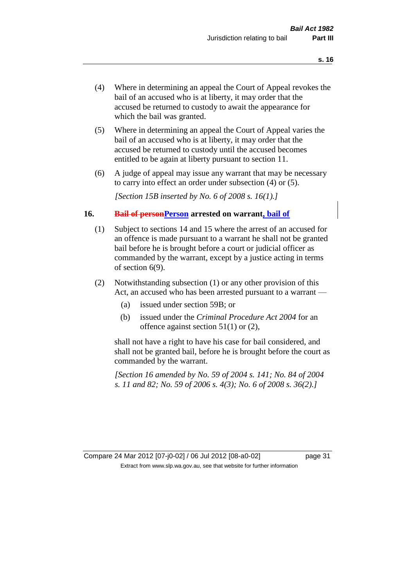- (4) Where in determining an appeal the Court of Appeal revokes the bail of an accused who is at liberty, it may order that the accused be returned to custody to await the appearance for which the bail was granted.
- (5) Where in determining an appeal the Court of Appeal varies the bail of an accused who is at liberty, it may order that the accused be returned to custody until the accused becomes entitled to be again at liberty pursuant to section 11.
- (6) A judge of appeal may issue any warrant that may be necessary to carry into effect an order under subsection (4) or (5).

*[Section 15B inserted by No. 6 of 2008 s. 16(1).]*

## **16. Bail of personPerson arrested on warrant, bail of**

- (1) Subject to sections 14 and 15 where the arrest of an accused for an offence is made pursuant to a warrant he shall not be granted bail before he is brought before a court or judicial officer as commanded by the warrant, except by a justice acting in terms of section 6(9).
- (2) Notwithstanding subsection (1) or any other provision of this Act, an accused who has been arrested pursuant to a warrant —
	- (a) issued under section 59B; or
	- (b) issued under the *Criminal Procedure Act 2004* for an offence against section 51(1) or (2),

shall not have a right to have his case for bail considered, and shall not be granted bail, before he is brought before the court as commanded by the warrant.

*[Section 16 amended by No. 59 of 2004 s. 141; No. 84 of 2004 s. 11 and 82; No. 59 of 2006 s. 4(3); No. 6 of 2008 s. 36(2).]*

Compare 24 Mar 2012 [07-j0-02] / 06 Jul 2012 [08-a0-02] page 31 Extract from www.slp.wa.gov.au, see that website for further information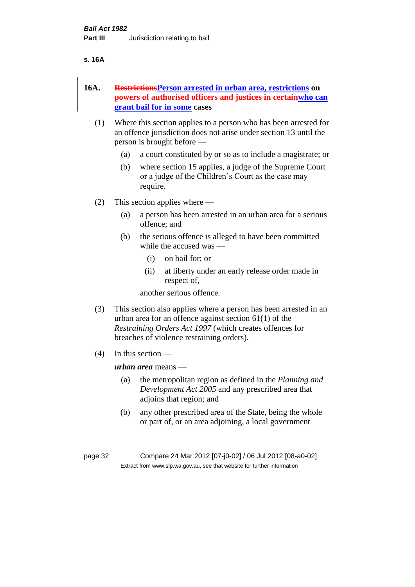#### **s. 16A**

## **16A. RestrictionsPerson arrested in urban area, restrictions on powers of authorised officers and justices in certainwho can grant bail for in some cases**

- (1) Where this section applies to a person who has been arrested for an offence jurisdiction does not arise under section 13 until the person is brought before —
	- (a) a court constituted by or so as to include a magistrate; or
	- (b) where section 15 applies, a judge of the Supreme Court or a judge of the Children's Court as the case may require.
- (2) This section applies where
	- (a) a person has been arrested in an urban area for a serious offence; and
	- (b) the serious offence is alleged to have been committed while the accused was —
		- (i) on bail for; or
		- (ii) at liberty under an early release order made in respect of,

another serious offence.

- (3) This section also applies where a person has been arrested in an urban area for an offence against section 61(1) of the *Restraining Orders Act 1997* (which creates offences for breaches of violence restraining orders).
- $(4)$  In this section —

*urban area* means —

- (a) the metropolitan region as defined in the *Planning and Development Act 2005* and any prescribed area that adjoins that region; and
- (b) any other prescribed area of the State, being the whole or part of, or an area adjoining, a local government

page 32 Compare 24 Mar 2012 [07-j0-02] / 06 Jul 2012 [08-a0-02] Extract from www.slp.wa.gov.au, see that website for further information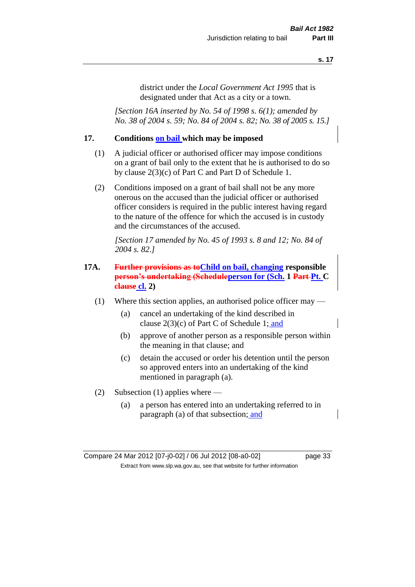district under the *Local Government Act 1995* that is designated under that Act as a city or a town.

*[Section 16A inserted by No. 54 of 1998 s. 6(1); amended by No. 38 of 2004 s. 59; No. 84 of 2004 s. 82; No. 38 of 2005 s. 15.]*

## **17. Conditions on bail which may be imposed**

- (1) A judicial officer or authorised officer may impose conditions on a grant of bail only to the extent that he is authorised to do so by clause 2(3)(c) of Part C and Part D of Schedule 1.
- (2) Conditions imposed on a grant of bail shall not be any more onerous on the accused than the judicial officer or authorised officer considers is required in the public interest having regard to the nature of the offence for which the accused is in custody and the circumstances of the accused.

*[Section 17 amended by No. 45 of 1993 s. 8 and 12; No. 84 of 2004 s. 82.]* 

## **17A. Further provisions as toChild on bail, changing responsible person's undertaking (Scheduleperson for (Sch. 1 Part Pt. C clause cl. 2)**

- (1) Where this section applies, an authorised police officer may
	- (a) cancel an undertaking of the kind described in clause 2(3)(c) of Part C of Schedule 1; and
	- (b) approve of another person as a responsible person within the meaning in that clause; and
	- (c) detain the accused or order his detention until the person so approved enters into an undertaking of the kind mentioned in paragraph (a).
- (2) Subsection (1) applies where
	- (a) a person has entered into an undertaking referred to in paragraph (a) of that subsection; and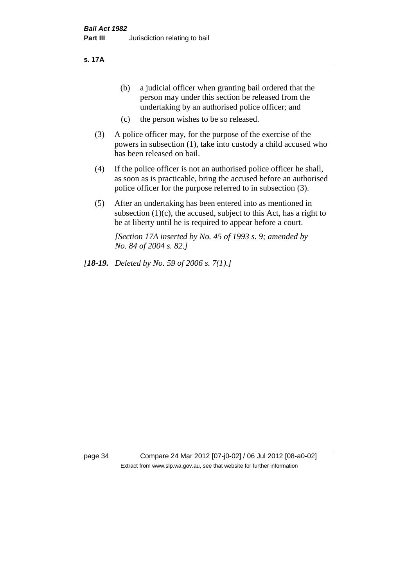**s. 17A**

- (b) a judicial officer when granting bail ordered that the person may under this section be released from the undertaking by an authorised police officer; and
- (c) the person wishes to be so released.
- (3) A police officer may, for the purpose of the exercise of the powers in subsection (1), take into custody a child accused who has been released on bail.
- (4) If the police officer is not an authorised police officer he shall, as soon as is practicable, bring the accused before an authorised police officer for the purpose referred to in subsection (3).
- (5) After an undertaking has been entered into as mentioned in subsection  $(1)(c)$ , the accused, subject to this Act, has a right to be at liberty until he is required to appear before a court.

*[Section 17A inserted by No. 45 of 1993 s. 9; amended by No. 84 of 2004 s. 82.]* 

*[18-19. Deleted by No. 59 of 2006 s. 7(1).]*

page 34 Compare 24 Mar 2012 [07-j0-02] / 06 Jul 2012 [08-a0-02] Extract from www.slp.wa.gov.au, see that website for further information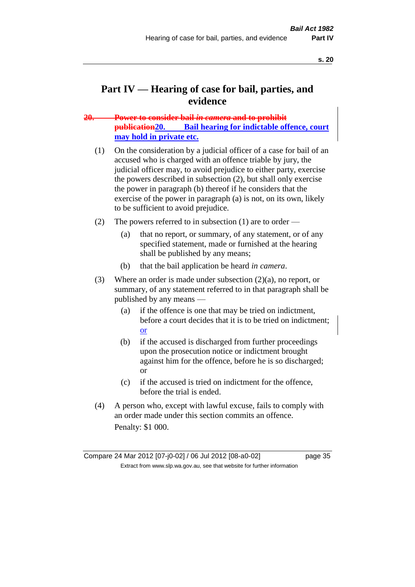## **Part IV — Hearing of case for bail, parties, and evidence**

## **20. Power to consider bail** *in camera* **and to prohibit publication20. Bail hearing for indictable offence, court may hold in private etc.**

- (1) On the consideration by a judicial officer of a case for bail of an accused who is charged with an offence triable by jury, the judicial officer may, to avoid prejudice to either party, exercise the powers described in subsection (2), but shall only exercise the power in paragraph (b) thereof if he considers that the exercise of the power in paragraph (a) is not, on its own, likely to be sufficient to avoid prejudice.
- (2) The powers referred to in subsection (1) are to order
	- (a) that no report, or summary, of any statement, or of any specified statement, made or furnished at the hearing shall be published by any means;
	- (b) that the bail application be heard *in camera*.
- (3) Where an order is made under subsection (2)(a), no report, or summary, of any statement referred to in that paragraph shall be published by any means —
	- (a) if the offence is one that may be tried on indictment, before a court decides that it is to be tried on indictment; or
	- (b) if the accused is discharged from further proceedings upon the prosecution notice or indictment brought against him for the offence, before he is so discharged; or
	- (c) if the accused is tried on indictment for the offence, before the trial is ended.
- (4) A person who, except with lawful excuse, fails to comply with an order made under this section commits an offence. Penalty: \$1 000.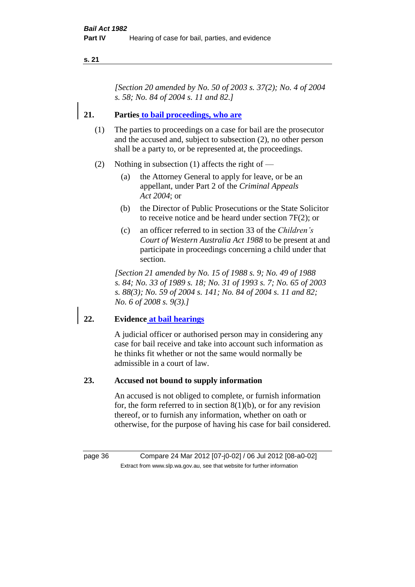*[Section 20 amended by No. 50 of 2003 s. 37(2); No. 4 of 2004 s. 58; No. 84 of 2004 s. 11 and 82.]*

## **21. Parties to bail proceedings, who are**

- (1) The parties to proceedings on a case for bail are the prosecutor and the accused and, subject to subsection (2), no other person shall be a party to, or be represented at, the proceedings.
- (2) Nothing in subsection (1) affects the right of  $-$ 
	- (a) the Attorney General to apply for leave, or be an appellant, under Part 2 of the *Criminal Appeals Act 2004*; or
	- (b) the Director of Public Prosecutions or the State Solicitor to receive notice and be heard under section 7F(2); or
	- (c) an officer referred to in section 33 of the *Children's Court of Western Australia Act 1988* to be present at and participate in proceedings concerning a child under that section.

*[Section 21 amended by No. 15 of 1988 s. 9; No. 49 of 1988 s. 84; No. 33 of 1989 s. 18; No. 31 of 1993 s. 7; No. 65 of 2003 s. 88(3); No. 59 of 2004 s. 141; No. 84 of 2004 s. 11 and 82; No. 6 of 2008 s. 9(3).]* 

#### **22. Evidence at bail hearings**

A judicial officer or authorised person may in considering any case for bail receive and take into account such information as he thinks fit whether or not the same would normally be admissible in a court of law.

#### **23. Accused not bound to supply information**

An accused is not obliged to complete, or furnish information for, the form referred to in section  $8(1)(b)$ , or for any revision thereof, or to furnish any information, whether on oath or otherwise, for the purpose of having his case for bail considered.

page 36 Compare 24 Mar 2012 [07-j0-02] / 06 Jul 2012 [08-a0-02] Extract from www.slp.wa.gov.au, see that website for further information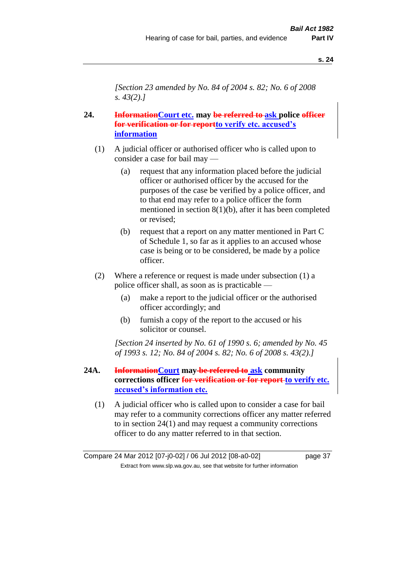*[Section 23 amended by No. 84 of 2004 s. 82; No. 6 of 2008 s. 43(2).]* 

## **24. InformationCourt etc. may be referred to ask police officer for verification or for reportto verify etc. accused's information**

- (1) A judicial officer or authorised officer who is called upon to consider a case for bail may —
	- (a) request that any information placed before the judicial officer or authorised officer by the accused for the purposes of the case be verified by a police officer, and to that end may refer to a police officer the form mentioned in section 8(1)(b), after it has been completed or revised;
	- (b) request that a report on any matter mentioned in Part C of Schedule 1, so far as it applies to an accused whose case is being or to be considered, be made by a police officer.
- (2) Where a reference or request is made under subsection (1) a police officer shall, as soon as is practicable —
	- (a) make a report to the judicial officer or the authorised officer accordingly; and
	- (b) furnish a copy of the report to the accused or his solicitor or counsel.

*[Section 24 inserted by No. 61 of 1990 s. 6; amended by No. 45 of 1993 s. 12; No. 84 of 2004 s. 82; No. 6 of 2008 s. 43(2).]* 

- **24A. InformationCourt may be referred to ask community corrections officer for verification or for report to verify etc. accused's information etc.**
	- (1) A judicial officer who is called upon to consider a case for bail may refer to a community corrections officer any matter referred to in section 24(1) and may request a community corrections officer to do any matter referred to in that section.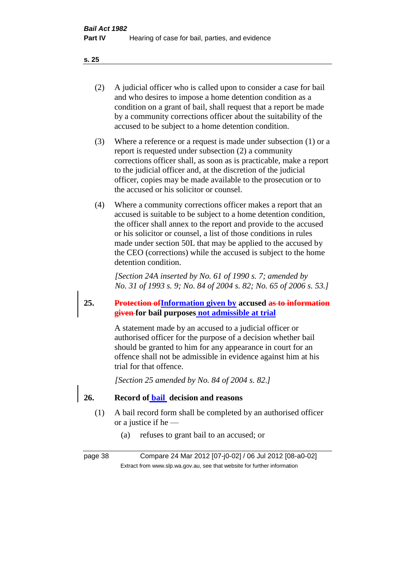- (2) A judicial officer who is called upon to consider a case for bail and who desires to impose a home detention condition as a condition on a grant of bail, shall request that a report be made by a community corrections officer about the suitability of the accused to be subject to a home detention condition.
- (3) Where a reference or a request is made under subsection (1) or a report is requested under subsection (2) a community corrections officer shall, as soon as is practicable, make a report to the judicial officer and, at the discretion of the judicial officer, copies may be made available to the prosecution or to the accused or his solicitor or counsel.
- (4) Where a community corrections officer makes a report that an accused is suitable to be subject to a home detention condition, the officer shall annex to the report and provide to the accused or his solicitor or counsel, a list of those conditions in rules made under section 50L that may be applied to the accused by the CEO (corrections) while the accused is subject to the home detention condition.

*[Section 24A inserted by No. 61 of 1990 s. 7; amended by No. 31 of 1993 s. 9; No. 84 of 2004 s. 82; No. 65 of 2006 s. 53.]* 

**25. Protection ofInformation given by accused as to information given for bail purposes not admissible at trial**

> A statement made by an accused to a judicial officer or authorised officer for the purpose of a decision whether bail should be granted to him for any appearance in court for an offence shall not be admissible in evidence against him at his trial for that offence.

*[Section 25 amended by No. 84 of 2004 s. 82.]* 

**26. Record of bail decision and reasons** 

- (1) A bail record form shall be completed by an authorised officer or a justice if he —
	- (a) refuses to grant bail to an accused; or

page 38 Compare 24 Mar 2012 [07-j0-02] / 06 Jul 2012 [08-a0-02] Extract from www.slp.wa.gov.au, see that website for further information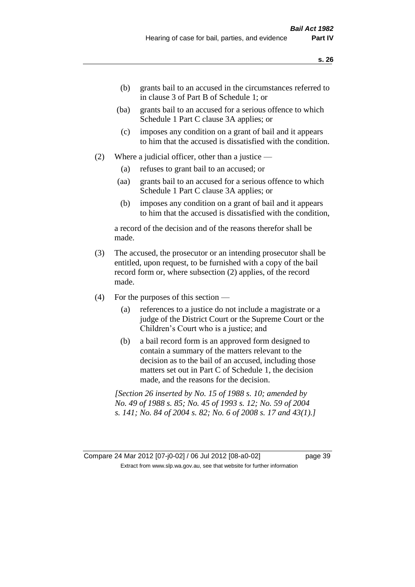- (b) grants bail to an accused in the circumstances referred to in clause 3 of Part B of Schedule 1; or
- (ba) grants bail to an accused for a serious offence to which Schedule 1 Part C clause 3A applies; or
- (c) imposes any condition on a grant of bail and it appears to him that the accused is dissatisfied with the condition.
- (2) Where a judicial officer, other than a justice
	- (a) refuses to grant bail to an accused; or
	- (aa) grants bail to an accused for a serious offence to which Schedule 1 Part C clause 3A applies; or
	- (b) imposes any condition on a grant of bail and it appears to him that the accused is dissatisfied with the condition,

a record of the decision and of the reasons therefor shall be made.

- (3) The accused, the prosecutor or an intending prosecutor shall be entitled, upon request, to be furnished with a copy of the bail record form or, where subsection (2) applies, of the record made.
- (4) For the purposes of this section
	- (a) references to a justice do not include a magistrate or a judge of the District Court or the Supreme Court or the Children's Court who is a justice; and
	- (b) a bail record form is an approved form designed to contain a summary of the matters relevant to the decision as to the bail of an accused, including those matters set out in Part C of Schedule 1, the decision made, and the reasons for the decision.

*[Section 26 inserted by No. 15 of 1988 s. 10; amended by No. 49 of 1988 s. 85; No. 45 of 1993 s. 12; No. 59 of 2004 s. 141; No. 84 of 2004 s. 82; No. 6 of 2008 s. 17 and 43(1).]* 

Compare 24 Mar 2012 [07-j0-02] / 06 Jul 2012 [08-a0-02] page 39 Extract from www.slp.wa.gov.au, see that website for further information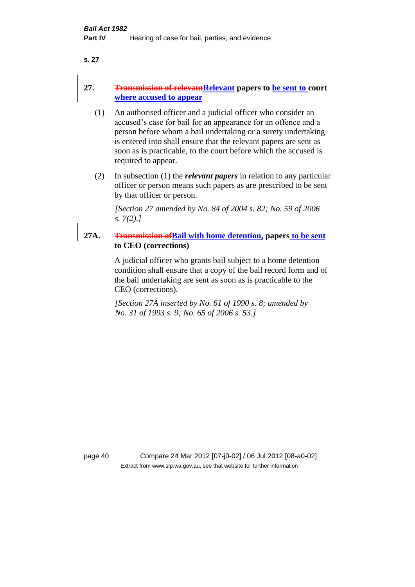## 27. **Transmission of relevant Relevant** papers to be sent to court **where accused to appear**

- (1) An authorised officer and a judicial officer who consider an accused's case for bail for an appearance for an offence and a person before whom a bail undertaking or a surety undertaking is entered into shall ensure that the relevant papers are sent as soon as is practicable, to the court before which the accused is required to appear.
- (2) In subsection (1) the *relevant papers* in relation to any particular officer or person means such papers as are prescribed to be sent by that officer or person.

*[Section 27 amended by No. 84 of 2004 s. 82; No. 59 of 2006 s. 7(2).]* 

**27A. Transmission ofBail with home detention, papers to be sent to CEO (corrections)**

> A judicial officer who grants bail subject to a home detention condition shall ensure that a copy of the bail record form and of the bail undertaking are sent as soon as is practicable to the CEO (corrections).

*[Section 27A inserted by No. 61 of 1990 s. 8; amended by No. 31 of 1993 s. 9; No. 65 of 2006 s. 53.]* 

page 40 Compare 24 Mar 2012 [07-j0-02] / 06 Jul 2012 [08-a0-02] Extract from www.slp.wa.gov.au, see that website for further information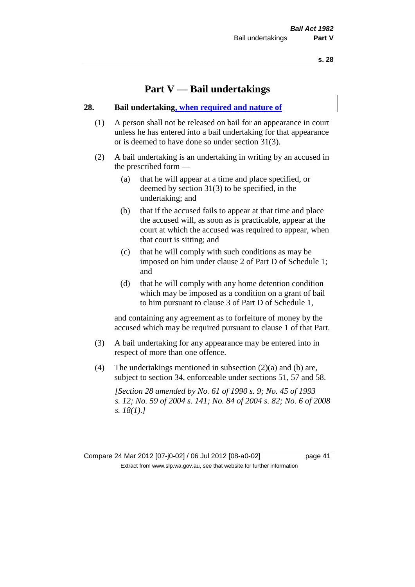## **Part V — Bail undertakings**

#### **28. Bail undertaking, when required and nature of**

- (1) A person shall not be released on bail for an appearance in court unless he has entered into a bail undertaking for that appearance or is deemed to have done so under section 31(3).
- (2) A bail undertaking is an undertaking in writing by an accused in the prescribed form —
	- (a) that he will appear at a time and place specified, or deemed by section 31(3) to be specified, in the undertaking; and
	- (b) that if the accused fails to appear at that time and place the accused will, as soon as is practicable, appear at the court at which the accused was required to appear, when that court is sitting; and
	- (c) that he will comply with such conditions as may be imposed on him under clause 2 of Part D of Schedule 1; and
	- (d) that he will comply with any home detention condition which may be imposed as a condition on a grant of bail to him pursuant to clause 3 of Part D of Schedule 1,

and containing any agreement as to forfeiture of money by the accused which may be required pursuant to clause 1 of that Part.

- (3) A bail undertaking for any appearance may be entered into in respect of more than one offence.
- (4) The undertakings mentioned in subsection (2)(a) and (b) are, subject to section 34, enforceable under sections 51, 57 and 58.

*[Section 28 amended by No. 61 of 1990 s. 9; No. 45 of 1993 s. 12; No. 59 of 2004 s. 141; No. 84 of 2004 s. 82; No. 6 of 2008 s. 18(1).]*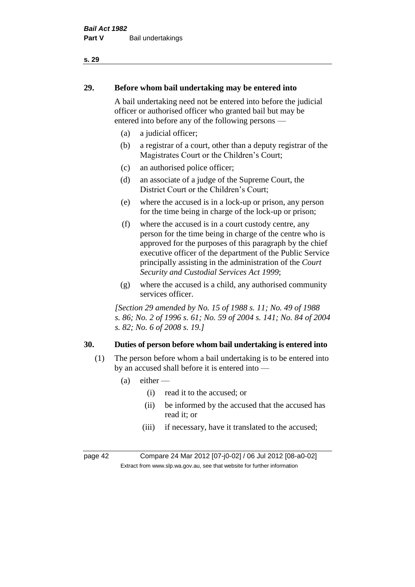# **29. Before whom bail undertaking may be entered into**

A bail undertaking need not be entered into before the judicial officer or authorised officer who granted bail but may be entered into before any of the following persons —

- (a) a judicial officer;
- (b) a registrar of a court, other than a deputy registrar of the Magistrates Court or the Children's Court;
- (c) an authorised police officer;
- (d) an associate of a judge of the Supreme Court, the District Court or the Children's Court;
- (e) where the accused is in a lock-up or prison, any person for the time being in charge of the lock-up or prison;
- (f) where the accused is in a court custody centre, any person for the time being in charge of the centre who is approved for the purposes of this paragraph by the chief executive officer of the department of the Public Service principally assisting in the administration of the *Court Security and Custodial Services Act 1999*;
- (g) where the accused is a child, any authorised community services officer.

*[Section 29 amended by No. 15 of 1988 s. 11; No. 49 of 1988 s. 86; No. 2 of 1996 s. 61; No. 59 of 2004 s. 141; No. 84 of 2004 s. 82; No. 6 of 2008 s. 19.]* 

#### **30. Duties of person before whom bail undertaking is entered into**

- (1) The person before whom a bail undertaking is to be entered into by an accused shall before it is entered into —
	- $(a)$  either
		- (i) read it to the accused; or
		- (ii) be informed by the accused that the accused has read it; or
		- (iii) if necessary, have it translated to the accused;

page 42 Compare 24 Mar 2012 [07-j0-02] / 06 Jul 2012 [08-a0-02] Extract from www.slp.wa.gov.au, see that website for further information

#### **s. 29**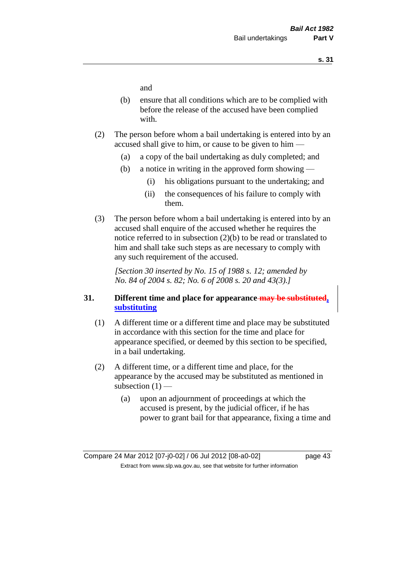and

- (b) ensure that all conditions which are to be complied with before the release of the accused have been complied with.
- (2) The person before whom a bail undertaking is entered into by an accused shall give to him, or cause to be given to him —
	- (a) a copy of the bail undertaking as duly completed; and
	- (b) a notice in writing in the approved form showing
		- (i) his obligations pursuant to the undertaking; and
		- (ii) the consequences of his failure to comply with them.
- (3) The person before whom a bail undertaking is entered into by an accused shall enquire of the accused whether he requires the notice referred to in subsection (2)(b) to be read or translated to him and shall take such steps as are necessary to comply with any such requirement of the accused.

*[Section 30 inserted by No. 15 of 1988 s. 12; amended by No. 84 of 2004 s. 82; No. 6 of 2008 s. 20 and 43(3).]* 

## **31. Different time and place for appearance may be substituted, substituting**

- (1) A different time or a different time and place may be substituted in accordance with this section for the time and place for appearance specified, or deemed by this section to be specified, in a bail undertaking.
- (2) A different time, or a different time and place, for the appearance by the accused may be substituted as mentioned in subsection  $(1)$  —
	- (a) upon an adjournment of proceedings at which the accused is present, by the judicial officer, if he has power to grant bail for that appearance, fixing a time and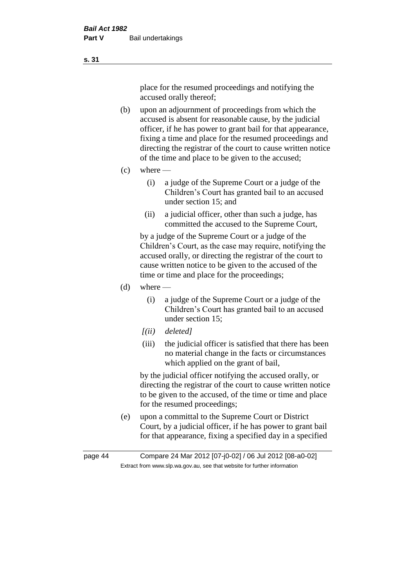place for the resumed proceedings and notifying the accused orally thereof;

- (b) upon an adjournment of proceedings from which the accused is absent for reasonable cause, by the judicial officer, if he has power to grant bail for that appearance, fixing a time and place for the resumed proceedings and directing the registrar of the court to cause written notice of the time and place to be given to the accused;
- $(c)$  where
	- (i) a judge of the Supreme Court or a judge of the Children's Court has granted bail to an accused under section 15; and
	- (ii) a judicial officer, other than such a judge, has committed the accused to the Supreme Court,

by a judge of the Supreme Court or a judge of the Children's Court, as the case may require, notifying the accused orally, or directing the registrar of the court to cause written notice to be given to the accused of the time or time and place for the proceedings;

- $(d)$  where
	- (i) a judge of the Supreme Court or a judge of the Children's Court has granted bail to an accused under section 15;
	- *[(ii) deleted]*
	- (iii) the judicial officer is satisfied that there has been no material change in the facts or circumstances which applied on the grant of bail,

by the judicial officer notifying the accused orally, or directing the registrar of the court to cause written notice to be given to the accused, of the time or time and place for the resumed proceedings;

(e) upon a committal to the Supreme Court or District Court, by a judicial officer, if he has power to grant bail for that appearance, fixing a specified day in a specified

**s. 31**

page 44 Compare 24 Mar 2012 [07-j0-02] / 06 Jul 2012 [08-a0-02] Extract from www.slp.wa.gov.au, see that website for further information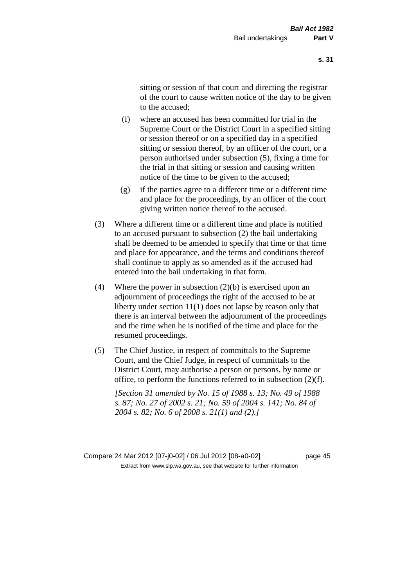sitting or session of that court and directing the registrar of the court to cause written notice of the day to be given to the accused;

- (f) where an accused has been committed for trial in the Supreme Court or the District Court in a specified sitting or session thereof or on a specified day in a specified sitting or session thereof, by an officer of the court, or a person authorised under subsection (5), fixing a time for the trial in that sitting or session and causing written notice of the time to be given to the accused;
- (g) if the parties agree to a different time or a different time and place for the proceedings, by an officer of the court giving written notice thereof to the accused.
- (3) Where a different time or a different time and place is notified to an accused pursuant to subsection (2) the bail undertaking shall be deemed to be amended to specify that time or that time and place for appearance, and the terms and conditions thereof shall continue to apply as so amended as if the accused had entered into the bail undertaking in that form.
- (4) Where the power in subsection (2)(b) is exercised upon an adjournment of proceedings the right of the accused to be at liberty under section 11(1) does not lapse by reason only that there is an interval between the adjournment of the proceedings and the time when he is notified of the time and place for the resumed proceedings.
- (5) The Chief Justice, in respect of committals to the Supreme Court, and the Chief Judge, in respect of committals to the District Court, may authorise a person or persons, by name or office, to perform the functions referred to in subsection (2)(f).

*[Section 31 amended by No. 15 of 1988 s. 13; No. 49 of 1988 s. 87; No. 27 of 2002 s. 21; No. 59 of 2004 s. 141; No. 84 of 2004 s. 82; No. 6 of 2008 s. 21(1) and (2).]* 

Compare 24 Mar 2012 [07-j0-02] / 06 Jul 2012 [08-a0-02] page 45 Extract from www.slp.wa.gov.au, see that website for further information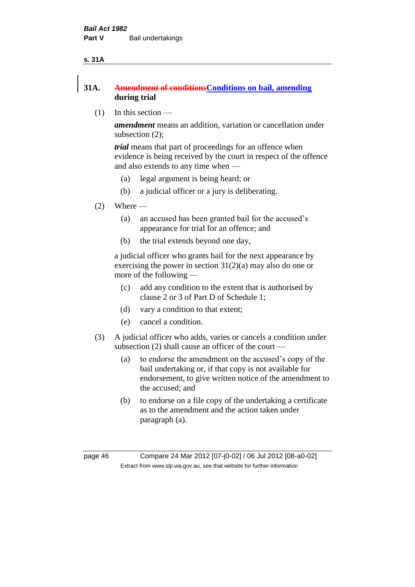#### **s. 31A**

## **31A. Amendment of conditionsConditions on bail, amending during trial**

(1) In this section —

*amendment* means an addition, variation or cancellation under subsection (2);

*trial* means that part of proceedings for an offence when evidence is being received by the court in respect of the offence and also extends to any time when —

- (a) legal argument is being heard; or
- (b) a judicial officer or a jury is deliberating.
- $(2)$  Where
	- (a) an accused has been granted bail for the accused's appearance for trial for an offence; and
	- (b) the trial extends beyond one day,

a judicial officer who grants bail for the next appearance by exercising the power in section  $31(2)(a)$  may also do one or more of the following —

- (c) add any condition to the extent that is authorised by clause 2 or 3 of Part D of Schedule 1;
- (d) vary a condition to that extent;
- (e) cancel a condition.
- (3) A judicial officer who adds, varies or cancels a condition under subsection (2) shall cause an officer of the court —
	- (a) to endorse the amendment on the accused's copy of the bail undertaking or, if that copy is not available for endorsement, to give written notice of the amendment to the accused; and
	- (b) to endorse on a file copy of the undertaking a certificate as to the amendment and the action taken under paragraph (a).

page 46 Compare 24 Mar 2012 [07-j0-02] / 06 Jul 2012 [08-a0-02] Extract from www.slp.wa.gov.au, see that website for further information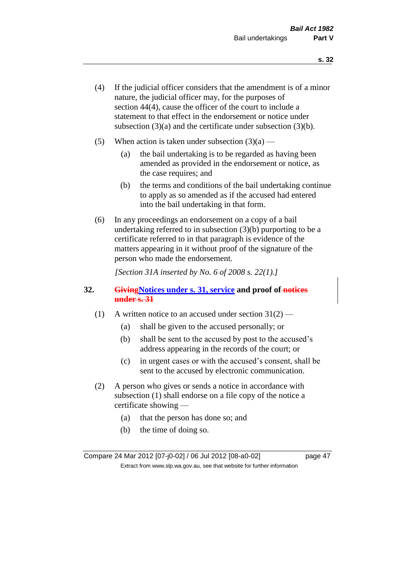- (4) If the judicial officer considers that the amendment is of a minor nature, the judicial officer may, for the purposes of section 44(4), cause the officer of the court to include a statement to that effect in the endorsement or notice under subsection (3)(a) and the certificate under subsection (3)(b).
- (5) When action is taken under subsection  $(3)(a)$ 
	- (a) the bail undertaking is to be regarded as having been amended as provided in the endorsement or notice, as the case requires; and
	- (b) the terms and conditions of the bail undertaking continue to apply as so amended as if the accused had entered into the bail undertaking in that form.
- (6) In any proceedings an endorsement on a copy of a bail undertaking referred to in subsection (3)(b) purporting to be a certificate referred to in that paragraph is evidence of the matters appearing in it without proof of the signature of the person who made the endorsement.

*[Section 31A inserted by No. 6 of 2008 s. 22(1).]*

#### **32. GivingNotices under s. 31, service and proof of notices under s. 31**

- (1) A written notice to an accused under section  $31(2)$ 
	- (a) shall be given to the accused personally; or
	- (b) shall be sent to the accused by post to the accused's address appearing in the records of the court; or
	- (c) in urgent cases or with the accused's consent, shall be sent to the accused by electronic communication.
- (2) A person who gives or sends a notice in accordance with subsection (1) shall endorse on a file copy of the notice a certificate showing —
	- (a) that the person has done so; and
	- (b) the time of doing so.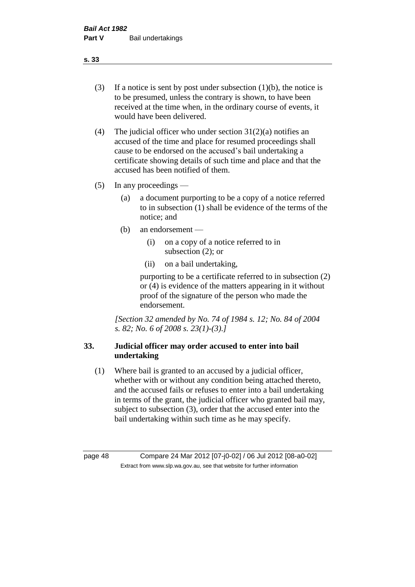- (3) If a notice is sent by post under subsection  $(1)(b)$ , the notice is to be presumed, unless the contrary is shown, to have been received at the time when, in the ordinary course of events, it would have been delivered.
- (4) The judicial officer who under section  $31(2)(a)$  notifies an accused of the time and place for resumed proceedings shall cause to be endorsed on the accused's bail undertaking a certificate showing details of such time and place and that the accused has been notified of them.
- (5) In any proceedings
	- (a) a document purporting to be a copy of a notice referred to in subsection (1) shall be evidence of the terms of the notice; and
	- (b) an endorsement
		- (i) on a copy of a notice referred to in subsection (2); or
		- (ii) on a bail undertaking,

purporting to be a certificate referred to in subsection (2) or (4) is evidence of the matters appearing in it without proof of the signature of the person who made the endorsement.

*[Section 32 amended by No. 74 of 1984 s. 12; No. 84 of 2004 s. 82; No. 6 of 2008 s. 23(1)-(3).]* 

## **33. Judicial officer may order accused to enter into bail undertaking**

(1) Where bail is granted to an accused by a judicial officer, whether with or without any condition being attached thereto, and the accused fails or refuses to enter into a bail undertaking in terms of the grant, the judicial officer who granted bail may, subject to subsection (3), order that the accused enter into the bail undertaking within such time as he may specify.

page 48 Compare 24 Mar 2012 [07-j0-02] / 06 Jul 2012 [08-a0-02] Extract from www.slp.wa.gov.au, see that website for further information

#### **s. 33**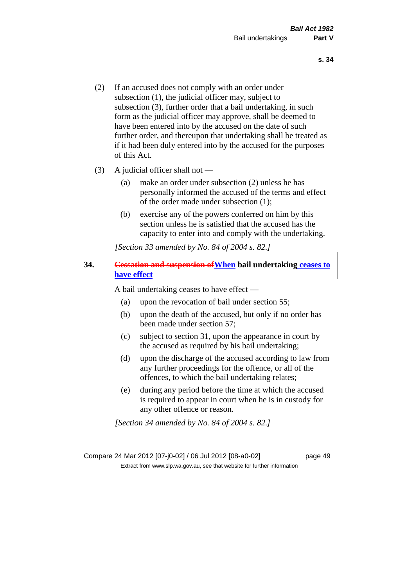- (2) If an accused does not comply with an order under subsection (1), the judicial officer may, subject to subsection (3), further order that a bail undertaking, in such form as the judicial officer may approve, shall be deemed to have been entered into by the accused on the date of such further order, and thereupon that undertaking shall be treated as if it had been duly entered into by the accused for the purposes of this Act.
- (3) A judicial officer shall not
	- (a) make an order under subsection (2) unless he has personally informed the accused of the terms and effect of the order made under subsection (1);
	- (b) exercise any of the powers conferred on him by this section unless he is satisfied that the accused has the capacity to enter into and comply with the undertaking.

*[Section 33 amended by No. 84 of 2004 s. 82.]* 

#### **34. Cessation and suspension ofWhen bail undertaking ceases to have effect**

A bail undertaking ceases to have effect —

- (a) upon the revocation of bail under section 55;
- (b) upon the death of the accused, but only if no order has been made under section 57;
- (c) subject to section 31, upon the appearance in court by the accused as required by his bail undertaking;
- (d) upon the discharge of the accused according to law from any further proceedings for the offence, or all of the offences, to which the bail undertaking relates;
- (e) during any period before the time at which the accused is required to appear in court when he is in custody for any other offence or reason.

*[Section 34 amended by No. 84 of 2004 s. 82.]*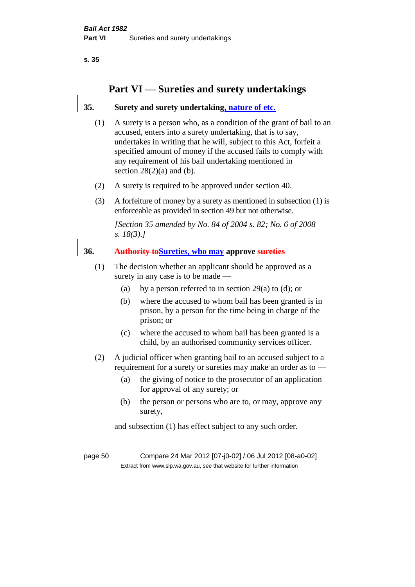## **Part VI — Sureties and surety undertakings**

## **35. Surety and surety undertaking, nature of etc.**

- (1) A surety is a person who, as a condition of the grant of bail to an accused, enters into a surety undertaking, that is to say, undertakes in writing that he will, subject to this Act, forfeit a specified amount of money if the accused fails to comply with any requirement of his bail undertaking mentioned in section  $28(2)(a)$  and (b).
- (2) A surety is required to be approved under section 40.
- (3) A forfeiture of money by a surety as mentioned in subsection (1) is enforceable as provided in section 49 but not otherwise.

*[Section 35 amended by No. 84 of 2004 s. 82; No. 6 of 2008 s. 18(3).]* 

#### **36. Authority toSureties, who may approve sureties**

- (1) The decision whether an applicant should be approved as a surety in any case is to be made —
	- (a) by a person referred to in section 29(a) to (d); or
	- (b) where the accused to whom bail has been granted is in prison, by a person for the time being in charge of the prison; or
	- (c) where the accused to whom bail has been granted is a child, by an authorised community services officer.
- (2) A judicial officer when granting bail to an accused subject to a requirement for a surety or sureties may make an order as to —
	- (a) the giving of notice to the prosecutor of an application for approval of any surety; or
	- (b) the person or persons who are to, or may, approve any surety,

and subsection (1) has effect subject to any such order.

page 50 Compare 24 Mar 2012 [07-j0-02] / 06 Jul 2012 [08-a0-02] Extract from www.slp.wa.gov.au, see that website for further information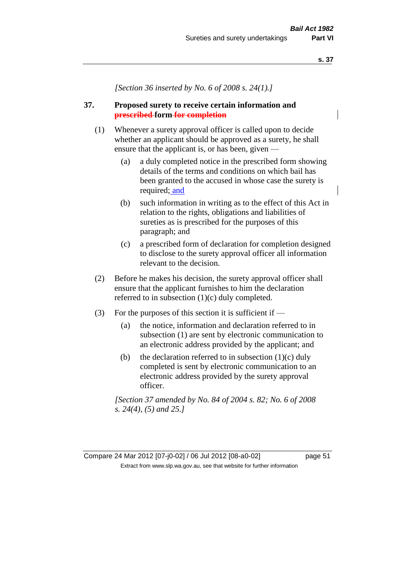*[Section 36 inserted by No. 6 of 2008 s. 24(1).]*

#### **37. Proposed surety to receive certain information and prescribed form for completion**

- (1) Whenever a surety approval officer is called upon to decide whether an applicant should be approved as a surety, he shall ensure that the applicant is, or has been, given —
	- (a) a duly completed notice in the prescribed form showing details of the terms and conditions on which bail has been granted to the accused in whose case the surety is required; and
	- (b) such information in writing as to the effect of this Act in relation to the rights, obligations and liabilities of sureties as is prescribed for the purposes of this paragraph; and
	- (c) a prescribed form of declaration for completion designed to disclose to the surety approval officer all information relevant to the decision.
- (2) Before he makes his decision, the surety approval officer shall ensure that the applicant furnishes to him the declaration referred to in subsection (1)(c) duly completed.
- (3) For the purposes of this section it is sufficient if  $-$ 
	- (a) the notice, information and declaration referred to in subsection (1) are sent by electronic communication to an electronic address provided by the applicant; and
	- (b) the declaration referred to in subsection  $(1)(c)$  duly completed is sent by electronic communication to an electronic address provided by the surety approval officer.

*[Section 37 amended by No. 84 of 2004 s. 82; No. 6 of 2008 s. 24(4), (5) and 25.]* 

Compare 24 Mar 2012 [07-j0-02] / 06 Jul 2012 [08-a0-02] page 51 Extract from www.slp.wa.gov.au, see that website for further information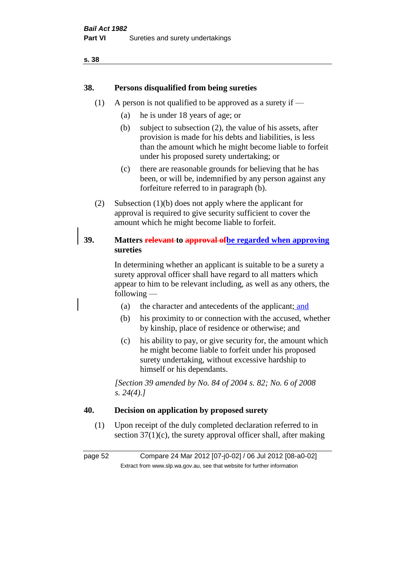## **38. Persons disqualified from being sureties**

- (1) A person is not qualified to be approved as a surety if  $-$ 
	- (a) he is under 18 years of age; or
	- (b) subject to subsection (2), the value of his assets, after provision is made for his debts and liabilities, is less than the amount which he might become liable to forfeit under his proposed surety undertaking; or
	- (c) there are reasonable grounds for believing that he has been, or will be, indemnified by any person against any forfeiture referred to in paragraph (b).
- (2) Subsection (1)(b) does not apply where the applicant for approval is required to give security sufficient to cover the amount which he might become liable to forfeit.

## **39. Matters relevant to approval ofbe regarded when approving sureties**

In determining whether an applicant is suitable to be a surety a surety approval officer shall have regard to all matters which appear to him to be relevant including, as well as any others, the following —

- (a) the character and antecedents of the applicant; and
- (b) his proximity to or connection with the accused, whether by kinship, place of residence or otherwise; and
- (c) his ability to pay, or give security for, the amount which he might become liable to forfeit under his proposed surety undertaking, without excessive hardship to himself or his dependants.

*[Section 39 amended by No. 84 of 2004 s. 82; No. 6 of 2008 s. 24(4).]* 

#### **40. Decision on application by proposed surety**

(1) Upon receipt of the duly completed declaration referred to in section  $37(1)(c)$ , the surety approval officer shall, after making

page 52 Compare 24 Mar 2012 [07-j0-02] / 06 Jul 2012 [08-a0-02] Extract from www.slp.wa.gov.au, see that website for further information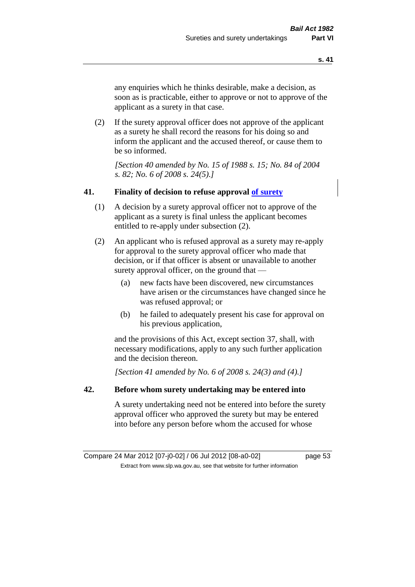any enquiries which he thinks desirable, make a decision, as soon as is practicable, either to approve or not to approve of the applicant as a surety in that case.

(2) If the surety approval officer does not approve of the applicant as a surety he shall record the reasons for his doing so and inform the applicant and the accused thereof, or cause them to be so informed.

*[Section 40 amended by No. 15 of 1988 s. 15; No. 84 of 2004 s. 82; No. 6 of 2008 s. 24(5).]* 

#### **41. Finality of decision to refuse approval of surety**

- (1) A decision by a surety approval officer not to approve of the applicant as a surety is final unless the applicant becomes entitled to re-apply under subsection (2).
- (2) An applicant who is refused approval as a surety may re-apply for approval to the surety approval officer who made that decision, or if that officer is absent or unavailable to another surety approval officer, on the ground that —
	- (a) new facts have been discovered, new circumstances have arisen or the circumstances have changed since he was refused approval; or
	- (b) he failed to adequately present his case for approval on his previous application,

and the provisions of this Act, except section 37, shall, with necessary modifications, apply to any such further application and the decision thereon.

*[Section 41 amended by No. 6 of 2008 s. 24(3) and (4).]*

#### **42. Before whom surety undertaking may be entered into**

A surety undertaking need not be entered into before the surety approval officer who approved the surety but may be entered into before any person before whom the accused for whose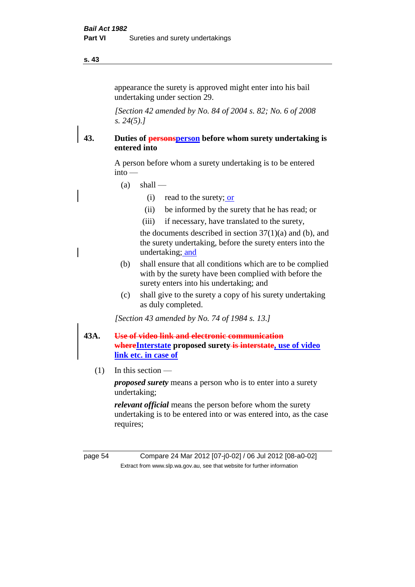appearance the surety is approved might enter into his bail undertaking under section 29.

*[Section 42 amended by No. 84 of 2004 s. 82; No. 6 of 2008 s. 24(5).]* 

## **43. Duties of personsperson before whom surety undertaking is entered into**

A person before whom a surety undertaking is to be entered into —

- $(a)$  shall
	- (i) read to the surety; or
	- (ii) be informed by the surety that he has read; or
	- (iii) if necessary, have translated to the surety,

the documents described in section  $37(1)(a)$  and (b), and the surety undertaking, before the surety enters into the undertaking; and

- (b) shall ensure that all conditions which are to be complied with by the surety have been complied with before the surety enters into his undertaking; and
- (c) shall give to the surety a copy of his surety undertaking as duly completed.

*[Section 43 amended by No. 74 of 1984 s. 13.]* 

## **43A. Use of video link and electronic communication whereInterstate proposed surety is interstate, use of video link etc. in case of**

(1) In this section —

*proposed surety* means a person who is to enter into a surety undertaking;

*relevant official* means the person before whom the surety undertaking is to be entered into or was entered into, as the case requires;

page 54 Compare 24 Mar 2012 [07-j0-02] / 06 Jul 2012 [08-a0-02] Extract from www.slp.wa.gov.au, see that website for further information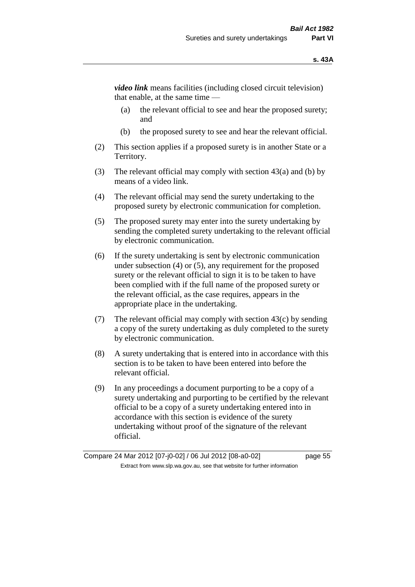*video link* means facilities (including closed circuit television) that enable, at the same time —

- (a) the relevant official to see and hear the proposed surety; and
- (b) the proposed surety to see and hear the relevant official.
- (2) This section applies if a proposed surety is in another State or a Territory.
- (3) The relevant official may comply with section 43(a) and (b) by means of a video link.
- (4) The relevant official may send the surety undertaking to the proposed surety by electronic communication for completion.
- (5) The proposed surety may enter into the surety undertaking by sending the completed surety undertaking to the relevant official by electronic communication.
- (6) If the surety undertaking is sent by electronic communication under subsection (4) or (5), any requirement for the proposed surety or the relevant official to sign it is to be taken to have been complied with if the full name of the proposed surety or the relevant official, as the case requires, appears in the appropriate place in the undertaking.
- (7) The relevant official may comply with section 43(c) by sending a copy of the surety undertaking as duly completed to the surety by electronic communication.
- (8) A surety undertaking that is entered into in accordance with this section is to be taken to have been entered into before the relevant official.
- (9) In any proceedings a document purporting to be a copy of a surety undertaking and purporting to be certified by the relevant official to be a copy of a surety undertaking entered into in accordance with this section is evidence of the surety undertaking without proof of the signature of the relevant official.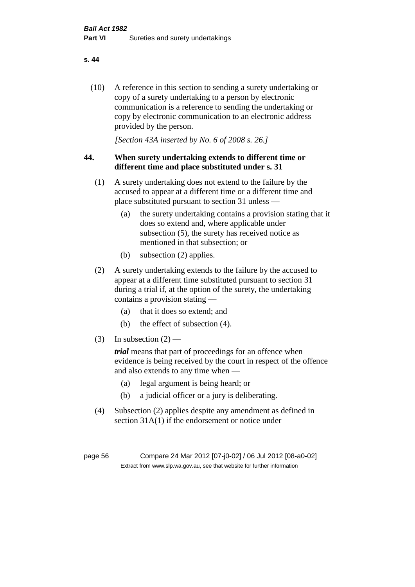(10) A reference in this section to sending a surety undertaking or copy of a surety undertaking to a person by electronic communication is a reference to sending the undertaking or copy by electronic communication to an electronic address provided by the person.

*[Section 43A inserted by No. 6 of 2008 s. 26.]*

## **44. When surety undertaking extends to different time or different time and place substituted under s. 31**

- (1) A surety undertaking does not extend to the failure by the accused to appear at a different time or a different time and place substituted pursuant to section 31 unless —
	- (a) the surety undertaking contains a provision stating that it does so extend and, where applicable under subsection (5), the surety has received notice as mentioned in that subsection; or
	- (b) subsection (2) applies.
- (2) A surety undertaking extends to the failure by the accused to appear at a different time substituted pursuant to section 31 during a trial if, at the option of the surety, the undertaking contains a provision stating —
	- (a) that it does so extend; and
	- (b) the effect of subsection (4).
- (3) In subsection  $(2)$  —

*trial* means that part of proceedings for an offence when evidence is being received by the court in respect of the offence and also extends to any time when —

- (a) legal argument is being heard; or
- (b) a judicial officer or a jury is deliberating.
- (4) Subsection (2) applies despite any amendment as defined in section 31A(1) if the endorsement or notice under

page 56 Compare 24 Mar 2012 [07-j0-02] / 06 Jul 2012 [08-a0-02] Extract from www.slp.wa.gov.au, see that website for further information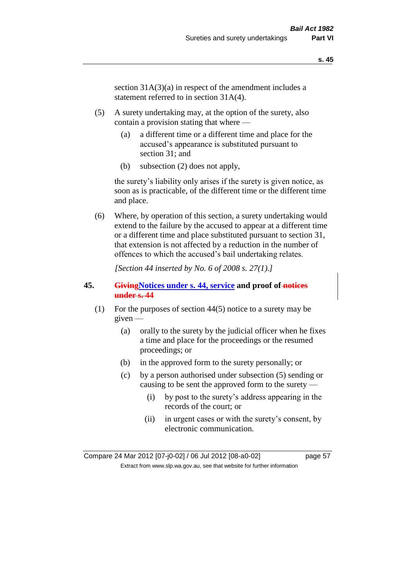section  $31A(3)(a)$  in respect of the amendment includes a statement referred to in section 31A(4).

- (5) A surety undertaking may, at the option of the surety, also contain a provision stating that where —
	- (a) a different time or a different time and place for the accused's appearance is substituted pursuant to section 31; and
	- (b) subsection (2) does not apply,

the surety's liability only arises if the surety is given notice, as soon as is practicable, of the different time or the different time and place.

(6) Where, by operation of this section, a surety undertaking would extend to the failure by the accused to appear at a different time or a different time and place substituted pursuant to section 31, that extension is not affected by a reduction in the number of offences to which the accused's bail undertaking relates.

*[Section 44 inserted by No. 6 of 2008 s. 27(1).]*

#### **45. GivingNotices under s. 44, service and proof of notices under s. 44**

- (1) For the purposes of section 44(5) notice to a surety may be given —
	- (a) orally to the surety by the judicial officer when he fixes a time and place for the proceedings or the resumed proceedings; or
	- (b) in the approved form to the surety personally; or
	- (c) by a person authorised under subsection (5) sending or causing to be sent the approved form to the surety —
		- (i) by post to the surety's address appearing in the records of the court; or
		- (ii) in urgent cases or with the surety's consent, by electronic communication.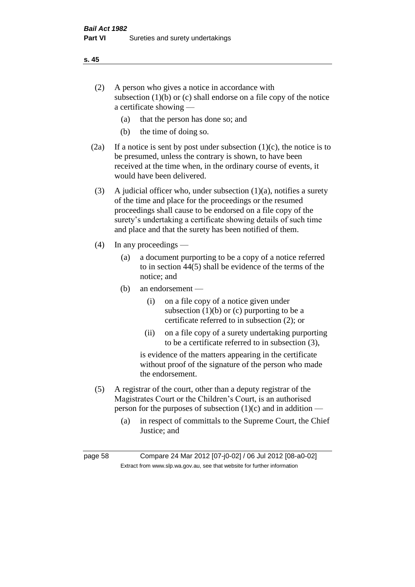- (2) A person who gives a notice in accordance with subsection (1)(b) or (c) shall endorse on a file copy of the notice a certificate showing —
	- (a) that the person has done so; and
	- (b) the time of doing so.
- (2a) If a notice is sent by post under subsection  $(1)(c)$ , the notice is to be presumed, unless the contrary is shown, to have been received at the time when, in the ordinary course of events, it would have been delivered.
- (3) A judicial officer who, under subsection  $(1)(a)$ , notifies a surety of the time and place for the proceedings or the resumed proceedings shall cause to be endorsed on a file copy of the surety's undertaking a certificate showing details of such time and place and that the surety has been notified of them.
- (4) In any proceedings
	- (a) a document purporting to be a copy of a notice referred to in section 44(5) shall be evidence of the terms of the notice; and
	- (b) an endorsement
		- (i) on a file copy of a notice given under subsection  $(1)(b)$  or  $(c)$  purporting to be a certificate referred to in subsection (2); or
		- (ii) on a file copy of a surety undertaking purporting to be a certificate referred to in subsection (3),

is evidence of the matters appearing in the certificate without proof of the signature of the person who made the endorsement.

- (5) A registrar of the court, other than a deputy registrar of the Magistrates Court or the Children's Court, is an authorised person for the purposes of subsection  $(1)(c)$  and in addition —
	- (a) in respect of committals to the Supreme Court, the Chief Justice; and

page 58 Compare 24 Mar 2012 [07-j0-02] / 06 Jul 2012 [08-a0-02] Extract from www.slp.wa.gov.au, see that website for further information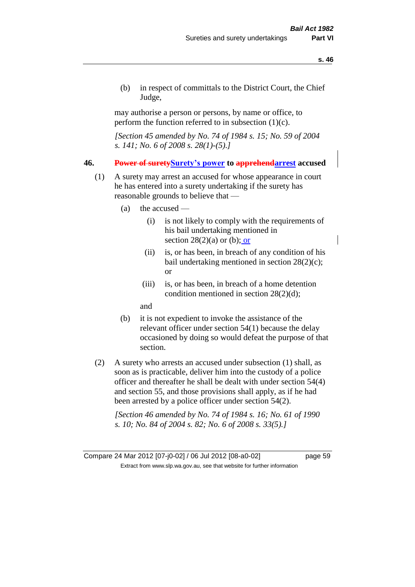(b) in respect of committals to the District Court, the Chief Judge,

may authorise a person or persons, by name or office, to perform the function referred to in subsection  $(1)(c)$ .

*[Section 45 amended by No. 74 of 1984 s. 15; No. 59 of 2004 s. 141; No. 6 of 2008 s. 28(1)-(5).]* 

#### **46. Power of suretySurety's power to apprehendarrest accused**

- (1) A surety may arrest an accused for whose appearance in court he has entered into a surety undertaking if the surety has reasonable grounds to believe that —
	- (a) the accused
		- (i) is not likely to comply with the requirements of his bail undertaking mentioned in section  $28(2)(a)$  or (b); or
		- (ii) is, or has been, in breach of any condition of his bail undertaking mentioned in section 28(2)(c); or
		- (iii) is, or has been, in breach of a home detention condition mentioned in section 28(2)(d);

and

- (b) it is not expedient to invoke the assistance of the relevant officer under section 54(1) because the delay occasioned by doing so would defeat the purpose of that section.
- (2) A surety who arrests an accused under subsection (1) shall, as soon as is practicable, deliver him into the custody of a police officer and thereafter he shall be dealt with under section 54(4) and section 55, and those provisions shall apply, as if he had been arrested by a police officer under section 54(2).

*[Section 46 amended by No. 74 of 1984 s. 16; No. 61 of 1990 s. 10; No. 84 of 2004 s. 82; No. 6 of 2008 s. 33(5).]*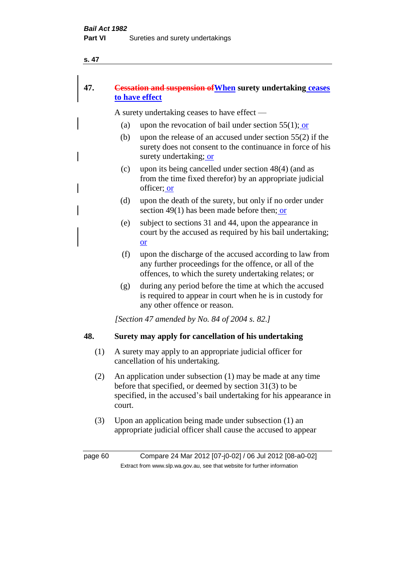## **47. Cessation and suspension ofWhen surety undertaking ceases to have effect**

A surety undertaking ceases to have effect —

- (a) upon the revocation of bail under section  $55(1)$ ; or
- (b) upon the release of an accused under section 55(2) if the surety does not consent to the continuance in force of his surety undertaking; or
- (c) upon its being cancelled under section 48(4) (and as from the time fixed therefor) by an appropriate judicial officer; or
- (d) upon the death of the surety, but only if no order under section 49(1) has been made before then; or
- (e) subject to sections 31 and 44, upon the appearance in court by the accused as required by his bail undertaking; or
- (f) upon the discharge of the accused according to law from any further proceedings for the offence, or all of the offences, to which the surety undertaking relates; or
- (g) during any period before the time at which the accused is required to appear in court when he is in custody for any other offence or reason.

*[Section 47 amended by No. 84 of 2004 s. 82.]* 

## **48. Surety may apply for cancellation of his undertaking**

- (1) A surety may apply to an appropriate judicial officer for cancellation of his undertaking.
- (2) An application under subsection (1) may be made at any time before that specified, or deemed by section 31(3) to be specified, in the accused's bail undertaking for his appearance in court.
- (3) Upon an application being made under subsection (1) an appropriate judicial officer shall cause the accused to appear

page 60 Compare 24 Mar 2012 [07-j0-02] / 06 Jul 2012 [08-a0-02] Extract from www.slp.wa.gov.au, see that website for further information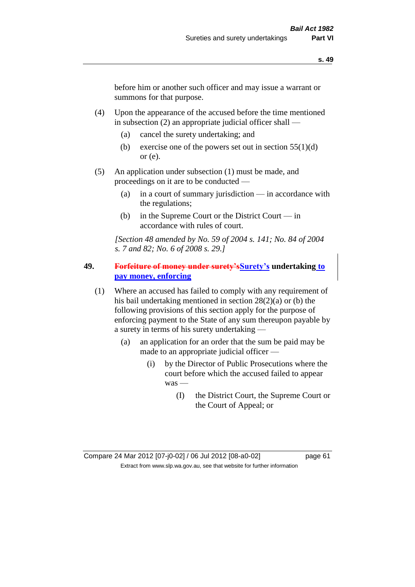before him or another such officer and may issue a warrant or summons for that purpose.

- (4) Upon the appearance of the accused before the time mentioned in subsection (2) an appropriate judicial officer shall —
	- (a) cancel the surety undertaking; and
	- (b) exercise one of the powers set out in section  $55(1)(d)$ or (e).
- (5) An application under subsection (1) must be made, and proceedings on it are to be conducted —
	- (a) in a court of summary jurisdiction in accordance with the regulations;
	- (b) in the Supreme Court or the District Court in accordance with rules of court.

*[Section 48 amended by No. 59 of 2004 s. 141; No. 84 of 2004 s. 7 and 82; No. 6 of 2008 s. 29.]* 

#### **49. Forfeiture of money under surety'sSurety's undertaking to pay money, enforcing**

- (1) Where an accused has failed to comply with any requirement of his bail undertaking mentioned in section 28(2)(a) or (b) the following provisions of this section apply for the purpose of enforcing payment to the State of any sum thereupon payable by a surety in terms of his surety undertaking —
	- (a) an application for an order that the sum be paid may be made to an appropriate judicial officer —
		- (i) by the Director of Public Prosecutions where the court before which the accused failed to appear was —
			- (I) the District Court, the Supreme Court or the Court of Appeal; or

Compare 24 Mar 2012 [07-j0-02] / 06 Jul 2012 [08-a0-02] page 61 Extract from www.slp.wa.gov.au, see that website for further information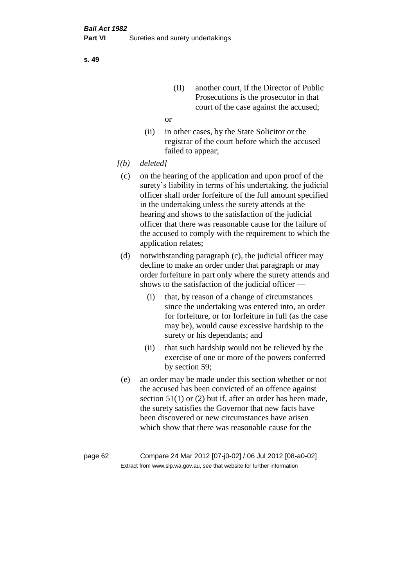(II) another court, if the Director of Public Prosecutions is the prosecutor in that court of the case against the accused;

or

- (ii) in other cases, by the State Solicitor or the registrar of the court before which the accused failed to appear;
- *[(b) deleted]*
	- (c) on the hearing of the application and upon proof of the surety's liability in terms of his undertaking, the judicial officer shall order forfeiture of the full amount specified in the undertaking unless the surety attends at the hearing and shows to the satisfaction of the judicial officer that there was reasonable cause for the failure of the accused to comply with the requirement to which the application relates;
- (d) notwithstanding paragraph (c), the judicial officer may decline to make an order under that paragraph or may order forfeiture in part only where the surety attends and shows to the satisfaction of the judicial officer —
	- (i) that, by reason of a change of circumstances since the undertaking was entered into, an order for forfeiture, or for forfeiture in full (as the case may be), would cause excessive hardship to the surety or his dependants; and
	- (ii) that such hardship would not be relieved by the exercise of one or more of the powers conferred by section 59;
- (e) an order may be made under this section whether or not the accused has been convicted of an offence against section 51(1) or (2) but if, after an order has been made, the surety satisfies the Governor that new facts have been discovered or new circumstances have arisen which show that there was reasonable cause for the

page 62 Compare 24 Mar 2012 [07-j0-02] / 06 Jul 2012 [08-a0-02] Extract from www.slp.wa.gov.au, see that website for further information

**s. 49**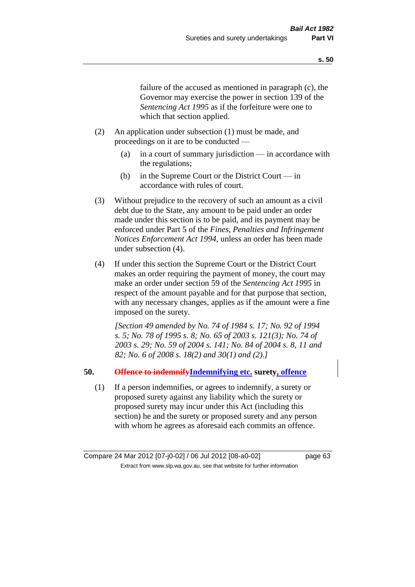failure of the accused as mentioned in paragraph (c), the Governor may exercise the power in section 139 of the *Sentencing Act 1995* as if the forfeiture were one to which that section applied.

- (2) An application under subsection (1) must be made, and proceedings on it are to be conducted —
	- (a) in a court of summary jurisdiction in accordance with the regulations;
	- (b) in the Supreme Court or the District Court in accordance with rules of court.
- (3) Without prejudice to the recovery of such an amount as a civil debt due to the State, any amount to be paid under an order made under this section is to be paid, and its payment may be enforced under Part 5 of the *Fines, Penalties and Infringement Notices Enforcement Act 1994*, unless an order has been made under subsection (4).
- (4) If under this section the Supreme Court or the District Court makes an order requiring the payment of money, the court may make an order under section 59 of the *Sentencing Act 1995* in respect of the amount payable and for that purpose that section, with any necessary changes, applies as if the amount were a fine imposed on the surety.

*[Section 49 amended by No. 74 of 1984 s. 17; No. 92 of 1994 s. 5; No. 78 of 1995 s. 8; No. 65 of 2003 s. 121(3); No. 74 of 2003 s. 29; No. 59 of 2004 s. 141; No. 84 of 2004 s. 8, 11 and 82; No. 6 of 2008 s. 18(2) and 30(1) and (2).]* 

#### **50. Offence to indemnifyIndemnifying etc. surety, offence**

(1) If a person indemnifies, or agrees to indemnify, a surety or proposed surety against any liability which the surety or proposed surety may incur under this Act (including this section) he and the surety or proposed surety and any person with whom he agrees as aforesaid each commits an offence.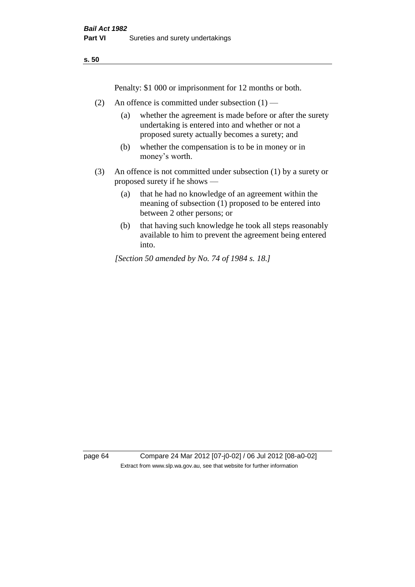Penalty: \$1 000 or imprisonment for 12 months or both.

- (2) An offence is committed under subsection  $(1)$ 
	- (a) whether the agreement is made before or after the surety undertaking is entered into and whether or not a proposed surety actually becomes a surety; and
	- (b) whether the compensation is to be in money or in money's worth.
- (3) An offence is not committed under subsection (1) by a surety or proposed surety if he shows —
	- (a) that he had no knowledge of an agreement within the meaning of subsection (1) proposed to be entered into between 2 other persons; or
	- (b) that having such knowledge he took all steps reasonably available to him to prevent the agreement being entered into.

*[Section 50 amended by No. 74 of 1984 s. 18.]* 

page 64 Compare 24 Mar 2012 [07-j0-02] / 06 Jul 2012 [08-a0-02] Extract from www.slp.wa.gov.au, see that website for further information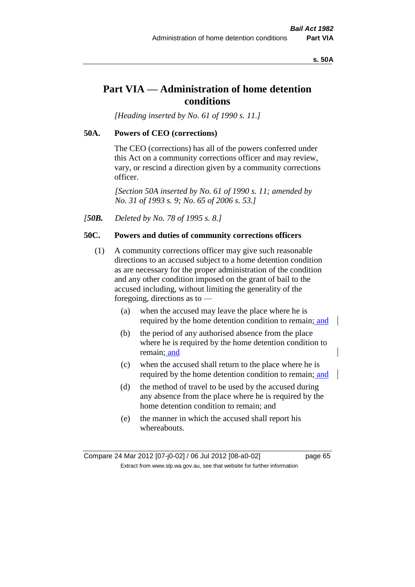#### **s. 50A**

## **Part VIA — Administration of home detention conditions**

*[Heading inserted by No. 61 of 1990 s. 11.]* 

#### **50A. Powers of CEO (corrections)**

The CEO (corrections) has all of the powers conferred under this Act on a community corrections officer and may review, vary, or rescind a direction given by a community corrections officer.

*[Section 50A inserted by No. 61 of 1990 s. 11; amended by No. 31 of 1993 s. 9; No. 65 of 2006 s. 53.]* 

*[50B. Deleted by No. 78 of 1995 s. 8.]* 

## **50C. Powers and duties of community corrections officers**

- (1) A community corrections officer may give such reasonable directions to an accused subject to a home detention condition as are necessary for the proper administration of the condition and any other condition imposed on the grant of bail to the accused including, without limiting the generality of the foregoing, directions as to —
	- (a) when the accused may leave the place where he is required by the home detention condition to remain; and
	- (b) the period of any authorised absence from the place where he is required by the home detention condition to remain; and
	- (c) when the accused shall return to the place where he is required by the home detention condition to remain; and
	- (d) the method of travel to be used by the accused during any absence from the place where he is required by the home detention condition to remain; and
	- (e) the manner in which the accused shall report his whereabouts.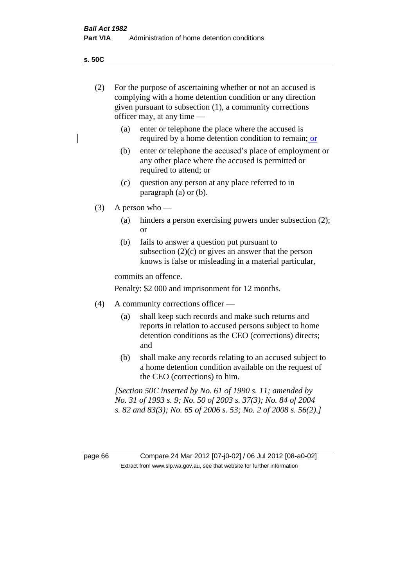**s. 50C**

 $\overline{\phantom{a}}$ 

| (2) | For the purpose of ascertaining whether or not an accused is<br>complying with a home detention condition or any direction<br>given pursuant to subsection (1), a community corrections<br>officer may, at any time - |                                                                                                                                                                              |  |
|-----|-----------------------------------------------------------------------------------------------------------------------------------------------------------------------------------------------------------------------|------------------------------------------------------------------------------------------------------------------------------------------------------------------------------|--|
|     | (a)                                                                                                                                                                                                                   | enter or telephone the place where the accused is<br>required by a home detention condition to remain; or                                                                    |  |
|     | (b)                                                                                                                                                                                                                   | enter or telephone the accused's place of employment or<br>any other place where the accused is permitted or<br>required to attend; or                                       |  |
|     | (c)                                                                                                                                                                                                                   | question any person at any place referred to in<br>paragraph $(a)$ or $(b)$ .                                                                                                |  |
| (3) | A person who $-$                                                                                                                                                                                                      |                                                                                                                                                                              |  |
|     | (a)                                                                                                                                                                                                                   | hinders a person exercising powers under subsection (2);<br><b>or</b>                                                                                                        |  |
|     | (b)                                                                                                                                                                                                                   | fails to answer a question put pursuant to<br>subsection $(2)(c)$ or gives an answer that the person<br>knows is false or misleading in a material particular,               |  |
|     | commits an offence.                                                                                                                                                                                                   |                                                                                                                                                                              |  |
|     | Penalty: \$2 000 and imprisonment for 12 months.                                                                                                                                                                      |                                                                                                                                                                              |  |
| (4) | A community corrections officer -                                                                                                                                                                                     |                                                                                                                                                                              |  |
|     | (a)                                                                                                                                                                                                                   | shall keep such records and make such returns and<br>reports in relation to accused persons subject to home<br>detention conditions as the CEO (corrections) directs;<br>and |  |
|     | (b)                                                                                                                                                                                                                   | shall make any records relating to an accused subject to<br>a home detention condition available on the request of<br>the CEO (corrections) to him.                          |  |
|     | [Section 50C inserted by No. 61 of 1990 s. 11; amended by<br>No. 31 of 1993 s. 9; No. 50 of 2003 s. 37(3); No. 84 of 2004<br>s. 82 and 83(3); No. 65 of 2006 s. 53; No. 2 of 2008 s. 56(2).]                          |                                                                                                                                                                              |  |
|     |                                                                                                                                                                                                                       |                                                                                                                                                                              |  |

page 66 Compare 24 Mar 2012 [07-j0-02] / 06 Jul 2012 [08-a0-02] Extract from www.slp.wa.gov.au, see that website for further information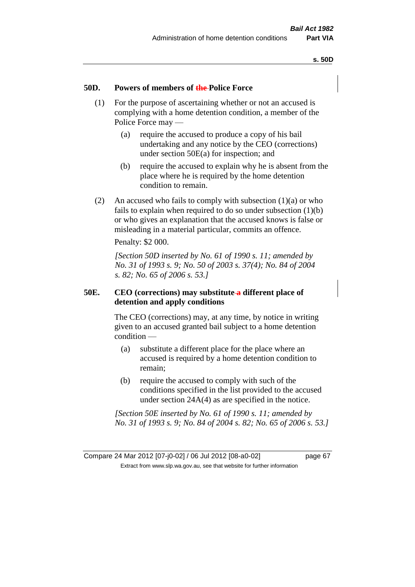#### **50D. Powers of members of the Police Force**

- (1) For the purpose of ascertaining whether or not an accused is complying with a home detention condition, a member of the Police Force may —
	- (a) require the accused to produce a copy of his bail undertaking and any notice by the CEO (corrections) under section 50E(a) for inspection; and
	- (b) require the accused to explain why he is absent from the place where he is required by the home detention condition to remain.
- (2) An accused who fails to comply with subsection  $(1)(a)$  or who fails to explain when required to do so under subsection (1)(b) or who gives an explanation that the accused knows is false or misleading in a material particular, commits an offence.

Penalty: \$2 000.

*[Section 50D inserted by No. 61 of 1990 s. 11; amended by No. 31 of 1993 s. 9; No. 50 of 2003 s. 37(4); No. 84 of 2004 s. 82; No. 65 of 2006 s. 53.]* 

#### **50E. CEO (corrections) may substitute a different place of detention and apply conditions**

The CEO (corrections) may, at any time, by notice in writing given to an accused granted bail subject to a home detention condition —

- (a) substitute a different place for the place where an accused is required by a home detention condition to remain;
- (b) require the accused to comply with such of the conditions specified in the list provided to the accused under section 24A(4) as are specified in the notice.

*[Section 50E inserted by No. 61 of 1990 s. 11; amended by No. 31 of 1993 s. 9; No. 84 of 2004 s. 82; No. 65 of 2006 s. 53.]* 

Compare 24 Mar 2012 [07-j0-02] / 06 Jul 2012 [08-a0-02] page 67 Extract from www.slp.wa.gov.au, see that website for further information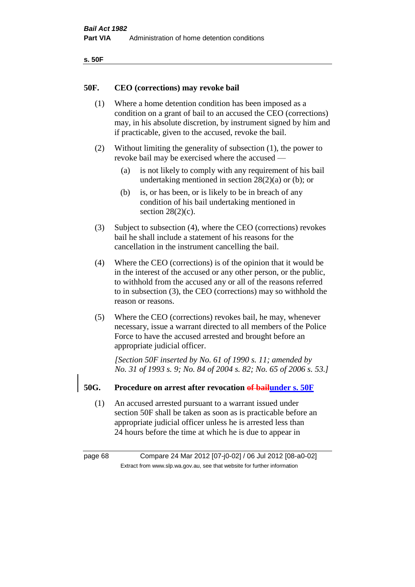| ۰.<br>×<br>-<br>۰.<br>× |  |
|-------------------------|--|
|-------------------------|--|

#### **50F. CEO (corrections) may revoke bail**

- (1) Where a home detention condition has been imposed as a condition on a grant of bail to an accused the CEO (corrections) may, in his absolute discretion, by instrument signed by him and if practicable, given to the accused, revoke the bail.
- (2) Without limiting the generality of subsection (1), the power to revoke bail may be exercised where the accused —
	- (a) is not likely to comply with any requirement of his bail undertaking mentioned in section 28(2)(a) or (b); or
	- (b) is, or has been, or is likely to be in breach of any condition of his bail undertaking mentioned in section  $28(2)(c)$ .
- (3) Subject to subsection (4), where the CEO (corrections) revokes bail he shall include a statement of his reasons for the cancellation in the instrument cancelling the bail.
- (4) Where the CEO (corrections) is of the opinion that it would be in the interest of the accused or any other person, or the public, to withhold from the accused any or all of the reasons referred to in subsection (3), the CEO (corrections) may so withhold the reason or reasons.
- (5) Where the CEO (corrections) revokes bail, he may, whenever necessary, issue a warrant directed to all members of the Police Force to have the accused arrested and brought before an appropriate judicial officer.

*[Section 50F inserted by No. 61 of 1990 s. 11; amended by No. 31 of 1993 s. 9; No. 84 of 2004 s. 82; No. 65 of 2006 s. 53.]* 

#### **50G. Procedure on arrest after revocation of bailunder s. 50F**

(1) An accused arrested pursuant to a warrant issued under section 50F shall be taken as soon as is practicable before an appropriate judicial officer unless he is arrested less than 24 hours before the time at which he is due to appear in

page 68 Compare 24 Mar 2012 [07-j0-02] / 06 Jul 2012 [08-a0-02] Extract from www.slp.wa.gov.au, see that website for further information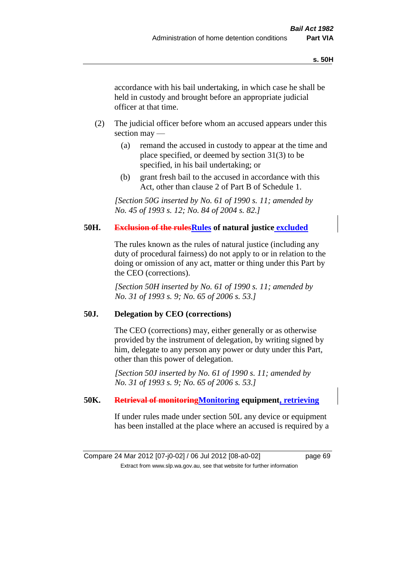accordance with his bail undertaking, in which case he shall be held in custody and brought before an appropriate judicial officer at that time.

- (2) The judicial officer before whom an accused appears under this section may —
	- (a) remand the accused in custody to appear at the time and place specified, or deemed by section 31(3) to be specified, in his bail undertaking; or
	- (b) grant fresh bail to the accused in accordance with this Act, other than clause 2 of Part B of Schedule 1.

*[Section 50G inserted by No. 61 of 1990 s. 11; amended by No. 45 of 1993 s. 12; No. 84 of 2004 s. 82.]* 

## **50H. Exclusion of the rulesRules of natural justice excluded**

The rules known as the rules of natural justice (including any duty of procedural fairness) do not apply to or in relation to the doing or omission of any act, matter or thing under this Part by the CEO (corrections).

*[Section 50H inserted by No. 61 of 1990 s. 11; amended by No. 31 of 1993 s. 9; No. 65 of 2006 s. 53.]* 

#### **50J. Delegation by CEO (corrections)**

The CEO (corrections) may, either generally or as otherwise provided by the instrument of delegation, by writing signed by him, delegate to any person any power or duty under this Part, other than this power of delegation.

*[Section 50J inserted by No. 61 of 1990 s. 11; amended by No. 31 of 1993 s. 9; No. 65 of 2006 s. 53.]* 

#### **50K. Retrieval of monitoringMonitoring equipment, retrieving**

If under rules made under section 50L any device or equipment has been installed at the place where an accused is required by a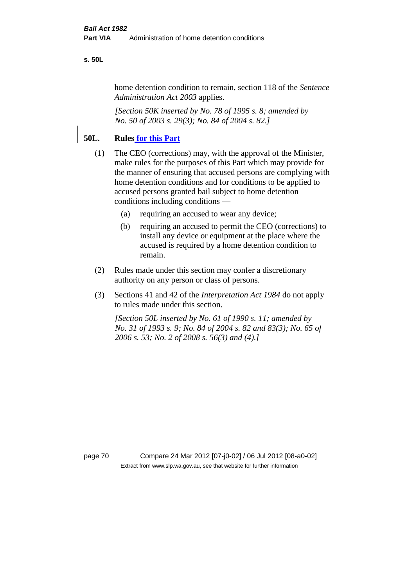#### **s. 50L**

home detention condition to remain, section 118 of the *Sentence Administration Act 2003* applies.

*[Section 50K inserted by No. 78 of 1995 s. 8; amended by No. 50 of 2003 s. 29(3); No. 84 of 2004 s. 82.]* 

## **50L. Rules for this Part**

- (1) The CEO (corrections) may, with the approval of the Minister, make rules for the purposes of this Part which may provide for the manner of ensuring that accused persons are complying with home detention conditions and for conditions to be applied to accused persons granted bail subject to home detention conditions including conditions —
	- (a) requiring an accused to wear any device;
	- (b) requiring an accused to permit the CEO (corrections) to install any device or equipment at the place where the accused is required by a home detention condition to remain.
- (2) Rules made under this section may confer a discretionary authority on any person or class of persons.
- (3) Sections 41 and 42 of the *Interpretation Act 1984* do not apply to rules made under this section.

*[Section 50L inserted by No. 61 of 1990 s. 11; amended by No. 31 of 1993 s. 9; No. 84 of 2004 s. 82 and 83(3); No. 65 of 2006 s. 53; No. 2 of 2008 s. 56(3) and (4).]* 

page 70 Compare 24 Mar 2012 [07-j0-02] / 06 Jul 2012 [08-a0-02] Extract from www.slp.wa.gov.au, see that website for further information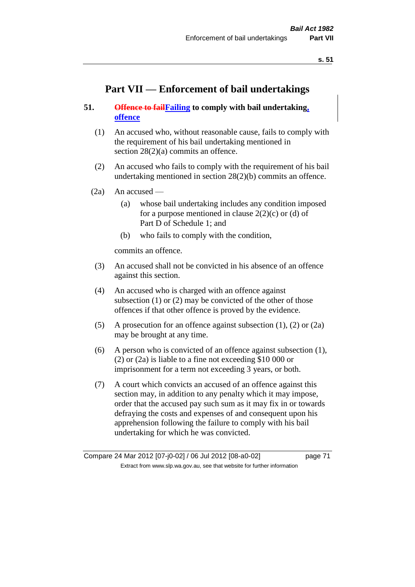# **Part VII — Enforcement of bail undertakings**

# **51. Offence to failFailing to comply with bail undertaking, offence**

- (1) An accused who, without reasonable cause, fails to comply with the requirement of his bail undertaking mentioned in section 28(2)(a) commits an offence.
- (2) An accused who fails to comply with the requirement of his bail undertaking mentioned in section 28(2)(b) commits an offence.
- $(2a)$  An accused
	- (a) whose bail undertaking includes any condition imposed for a purpose mentioned in clause  $2(2)(c)$  or (d) of Part D of Schedule 1; and
	- (b) who fails to comply with the condition,

commits an offence.

- (3) An accused shall not be convicted in his absence of an offence against this section.
- (4) An accused who is charged with an offence against subsection (1) or (2) may be convicted of the other of those offences if that other offence is proved by the evidence.
- (5) A prosecution for an offence against subsection (1), (2) or (2a) may be brought at any time.
- (6) A person who is convicted of an offence against subsection (1), (2) or (2a) is liable to a fine not exceeding \$10 000 or imprisonment for a term not exceeding 3 years, or both.
- (7) A court which convicts an accused of an offence against this section may, in addition to any penalty which it may impose, order that the accused pay such sum as it may fix in or towards defraying the costs and expenses of and consequent upon his apprehension following the failure to comply with his bail undertaking for which he was convicted.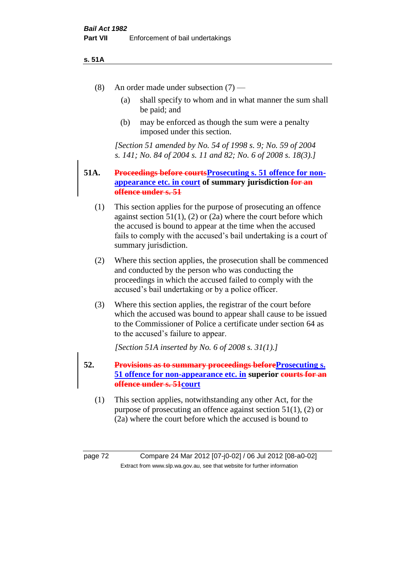### **s. 51A**

- (8) An order made under subsection (7)
	- (a) shall specify to whom and in what manner the sum shall be paid; and
	- (b) may be enforced as though the sum were a penalty imposed under this section.

*[Section 51 amended by No. 54 of 1998 s. 9; No. 59 of 2004 s. 141; No. 84 of 2004 s. 11 and 82; No. 6 of 2008 s. 18(3).]*

## **51A. Proceedings before courtsProsecuting s. 51 offence for nonappearance etc. in court of summary jurisdiction for an offence under s. 51**

- (1) This section applies for the purpose of prosecuting an offence against section  $51(1)$ , (2) or (2a) where the court before which the accused is bound to appear at the time when the accused fails to comply with the accused's bail undertaking is a court of summary jurisdiction.
- (2) Where this section applies, the prosecution shall be commenced and conducted by the person who was conducting the proceedings in which the accused failed to comply with the accused's bail undertaking or by a police officer.
- (3) Where this section applies, the registrar of the court before which the accused was bound to appear shall cause to be issued to the Commissioner of Police a certificate under section 64 as to the accused's failure to appear.

*[Section 51A inserted by No. 6 of 2008 s. 31(1).]*

- **52. Provisions as to summary proceedings beforeProsecuting s. 51 offence for non-appearance etc. in superior courts for an offence under s. 51court**
	- (1) This section applies, notwithstanding any other Act, for the purpose of prosecuting an offence against section 51(1), (2) or (2a) where the court before which the accused is bound to

page 72 Compare 24 Mar 2012 [07-j0-02] / 06 Jul 2012 [08-a0-02] Extract from www.slp.wa.gov.au, see that website for further information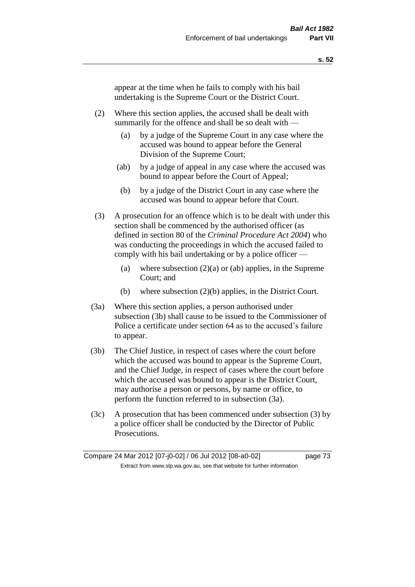appear at the time when he fails to comply with his bail undertaking is the Supreme Court or the District Court.

- (2) Where this section applies, the accused shall be dealt with summarily for the offence and shall be so dealt with —
	- (a) by a judge of the Supreme Court in any case where the accused was bound to appear before the General Division of the Supreme Court;
	- (ab) by a judge of appeal in any case where the accused was bound to appear before the Court of Appeal;
	- (b) by a judge of the District Court in any case where the accused was bound to appear before that Court.
- (3) A prosecution for an offence which is to be dealt with under this section shall be commenced by the authorised officer (as defined in section 80 of the *Criminal Procedure Act 2004*) who was conducting the proceedings in which the accused failed to comply with his bail undertaking or by a police officer —
	- (a) where subsection  $(2)(a)$  or (ab) applies, in the Supreme Court; and
	- (b) where subsection (2)(b) applies, in the District Court.
- (3a) Where this section applies, a person authorised under subsection (3b) shall cause to be issued to the Commissioner of Police a certificate under section 64 as to the accused's failure to appear.
- (3b) The Chief Justice, in respect of cases where the court before which the accused was bound to appear is the Supreme Court, and the Chief Judge, in respect of cases where the court before which the accused was bound to appear is the District Court, may authorise a person or persons, by name or office, to perform the function referred to in subsection (3a).
- (3c) A prosecution that has been commenced under subsection (3) by a police officer shall be conducted by the Director of Public Prosecutions.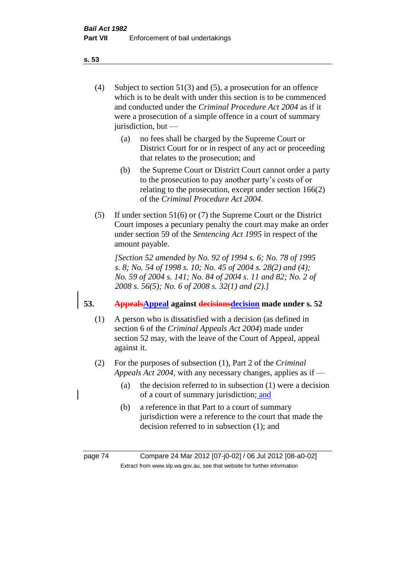(4) Subject to section 51(3) and (5), a prosecution for an offence which is to be dealt with under this section is to be commenced and conducted under the *Criminal Procedure Act 2004* as if it were a prosecution of a simple offence in a court of summary jurisdiction, but —

- (a) no fees shall be charged by the Supreme Court or District Court for or in respect of any act or proceeding that relates to the prosecution; and
- (b) the Supreme Court or District Court cannot order a party to the prosecution to pay another party's costs of or relating to the prosecution, except under section 166(2) of the *Criminal Procedure Act 2004*.
- (5) If under section 51(6) or (7) the Supreme Court or the District Court imposes a pecuniary penalty the court may make an order under section 59 of the *Sentencing Act 1995* in respect of the amount payable.

*[Section 52 amended by No. 92 of 1994 s. 6; No. 78 of 1995 s. 8; No. 54 of 1998 s. 10; No. 45 of 2004 s. 28(2) and (4); No. 59 of 2004 s. 141; No. 84 of 2004 s. 11 and 82; No. 2 of 2008 s. 56(5); No. 6 of 2008 s. 32(1) and (2).]* 

# **53. AppealsAppeal against decisionsdecision made under s. 52**

- (1) A person who is dissatisfied with a decision (as defined in section 6 of the *Criminal Appeals Act 2004*) made under section 52 may, with the leave of the Court of Appeal, appeal against it.
- (2) For the purposes of subsection (1), Part 2 of the *Criminal Appeals Act 2004*, with any necessary changes, applies as if —
	- (a) the decision referred to in subsection (1) were a decision of a court of summary jurisdiction; and
	- (b) a reference in that Part to a court of summary jurisdiction were a reference to the court that made the decision referred to in subsection (1); and

page 74 Compare 24 Mar 2012 [07-j0-02] / 06 Jul 2012 [08-a0-02] Extract from www.slp.wa.gov.au, see that website for further information

**s. 53**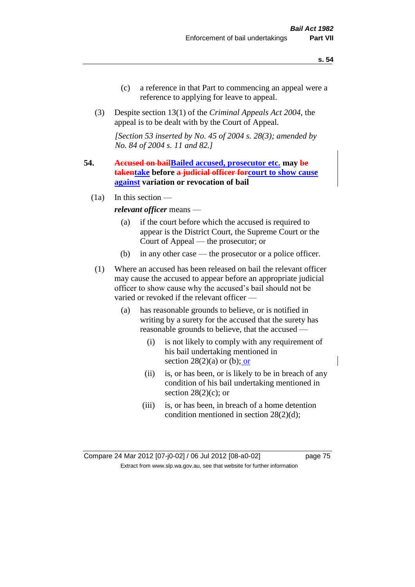- (c) a reference in that Part to commencing an appeal were a reference to applying for leave to appeal.
- (3) Despite section 13(1) of the *Criminal Appeals Act 2004*, the appeal is to be dealt with by the Court of Appeal.

*[Section 53 inserted by No. 45 of 2004 s. 28(3); amended by No. 84 of 2004 s. 11 and 82.]*

- **54. Accused on bailBailed accused, prosecutor etc. may be takentake before a judicial officer forcourt to show cause against variation or revocation of bail** 
	- (1a) In this section —

*relevant officer* means —

- (a) if the court before which the accused is required to appear is the District Court, the Supreme Court or the Court of Appeal — the prosecutor; or
- (b) in any other case the prosecutor or a police officer.
- (1) Where an accused has been released on bail the relevant officer may cause the accused to appear before an appropriate judicial officer to show cause why the accused's bail should not be varied or revoked if the relevant officer —
	- (a) has reasonable grounds to believe, or is notified in writing by a surety for the accused that the surety has reasonable grounds to believe, that the accused —
		- (i) is not likely to comply with any requirement of his bail undertaking mentioned in section  $28(2)(a)$  or (b); or
		- (ii) is, or has been, or is likely to be in breach of any condition of his bail undertaking mentioned in section  $28(2)(c)$ ; or
		- (iii) is, or has been, in breach of a home detention condition mentioned in section 28(2)(d);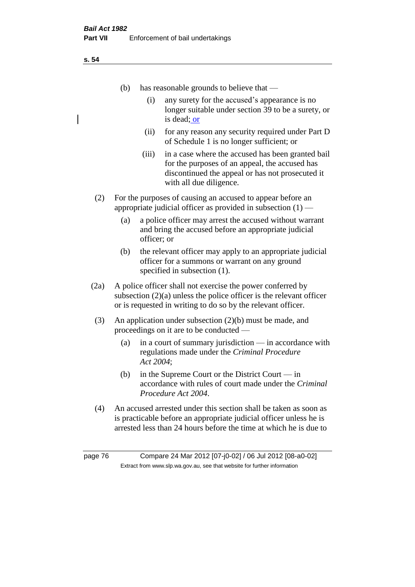**s. 54**

|         | (b)                                                                                                                                                                                                         | has reasonable grounds to believe that —                                                                                                                                           |  |
|---------|-------------------------------------------------------------------------------------------------------------------------------------------------------------------------------------------------------------|------------------------------------------------------------------------------------------------------------------------------------------------------------------------------------|--|
|         |                                                                                                                                                                                                             | (i)<br>any surety for the accused's appearance is no<br>longer suitable under section 39 to be a surety, or<br>is dead; or                                                         |  |
|         |                                                                                                                                                                                                             | for any reason any security required under Part D<br>(ii)<br>of Schedule 1 is no longer sufficient; or                                                                             |  |
|         | (iii)                                                                                                                                                                                                       | in a case where the accused has been granted bail<br>for the purposes of an appeal, the accused has<br>discontinued the appeal or has not prosecuted it<br>with all due diligence. |  |
| (2)     | For the purposes of causing an accused to appear before an<br>appropriate judicial officer as provided in subsection $(1)$ —                                                                                |                                                                                                                                                                                    |  |
|         | a police officer may arrest the accused without warrant<br>(a)<br>and bring the accused before an appropriate judicial<br>officer; or                                                                       |                                                                                                                                                                                    |  |
|         | (b)                                                                                                                                                                                                         | the relevant officer may apply to an appropriate judicial<br>officer for a summons or warrant on any ground<br>specified in subsection (1).                                        |  |
| (2a)    | A police officer shall not exercise the power conferred by<br>subsection $(2)(a)$ unless the police officer is the relevant officer<br>or is requested in writing to do so by the relevant officer.         |                                                                                                                                                                                    |  |
| (3)     | An application under subsection $(2)(b)$ must be made, and<br>proceedings on it are to be conducted —                                                                                                       |                                                                                                                                                                                    |  |
|         | (a)                                                                                                                                                                                                         | in a court of summary jurisdiction $-$ in accordance with<br>regulations made under the Criminal Procedure<br>Act 2004;                                                            |  |
|         | (b)                                                                                                                                                                                                         | in the Supreme Court or the District Court $-\text{in}$<br>accordance with rules of court made under the Criminal<br>Procedure Act 2004.                                           |  |
| (4)     | An accused arrested under this section shall be taken as soon as<br>is practicable before an appropriate judicial officer unless he is<br>arrested less than 24 hours before the time at which he is due to |                                                                                                                                                                                    |  |
| page 76 |                                                                                                                                                                                                             | Compare 24 Mar 2012 [07-j0-02] / 06 Jul 2012 [08-a0-02]<br>Extract from www.slp.wa.gov.au, see that website for further information                                                |  |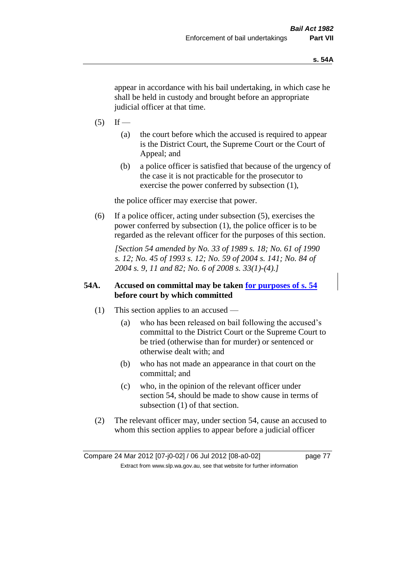appear in accordance with his bail undertaking, in which case he shall be held in custody and brought before an appropriate judicial officer at that time.

- $(5)$  If
	- (a) the court before which the accused is required to appear is the District Court, the Supreme Court or the Court of Appeal; and
	- (b) a police officer is satisfied that because of the urgency of the case it is not practicable for the prosecutor to exercise the power conferred by subsection (1),

the police officer may exercise that power.

(6) If a police officer, acting under subsection (5), exercises the power conferred by subsection (1), the police officer is to be regarded as the relevant officer for the purposes of this section.

*[Section 54 amended by No. 33 of 1989 s. 18; No. 61 of 1990 s. 12; No. 45 of 1993 s. 12; No. 59 of 2004 s. 141; No. 84 of 2004 s. 9, 11 and 82; No. 6 of 2008 s. 33(1)-(4).]* 

# **54A. Accused on committal may be taken for purposes of s. 54 before court by which committed**

- (1) This section applies to an accused
	- (a) who has been released on bail following the accused's committal to the District Court or the Supreme Court to be tried (otherwise than for murder) or sentenced or otherwise dealt with; and
	- (b) who has not made an appearance in that court on the committal; and
	- (c) who, in the opinion of the relevant officer under section 54, should be made to show cause in terms of subsection (1) of that section.
- (2) The relevant officer may, under section 54, cause an accused to whom this section applies to appear before a judicial officer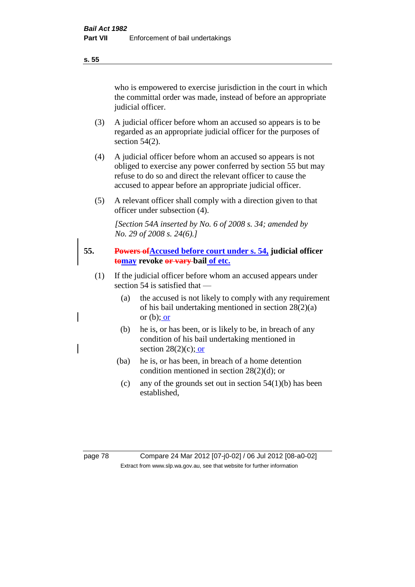who is empowered to exercise jurisdiction in the court in which the committal order was made, instead of before an appropriate judicial officer.

- (3) A judicial officer before whom an accused so appears is to be regarded as an appropriate judicial officer for the purposes of section 54(2).
- (4) A judicial officer before whom an accused so appears is not obliged to exercise any power conferred by section 55 but may refuse to do so and direct the relevant officer to cause the accused to appear before an appropriate judicial officer.
- (5) A relevant officer shall comply with a direction given to that officer under subsection (4).

*[Section 54A inserted by No. 6 of 2008 s. 34; amended by No. 29 of 2008 s. 24(6).]*

- **55. Powers ofAccused before court under s. 54, judicial officer tomay revoke or vary bail of etc.**
	- (1) If the judicial officer before whom an accused appears under section 54 is satisfied that —
		- (a) the accused is not likely to comply with any requirement of his bail undertaking mentioned in section 28(2)(a) or  $(b)$ ; or
		- (b) he is, or has been, or is likely to be, in breach of any condition of his bail undertaking mentioned in section  $28(2)(c)$ ; or
		- (ba) he is, or has been, in breach of a home detention condition mentioned in section 28(2)(d); or
			- (c) any of the grounds set out in section  $54(1)(b)$  has been established,

### **s. 55**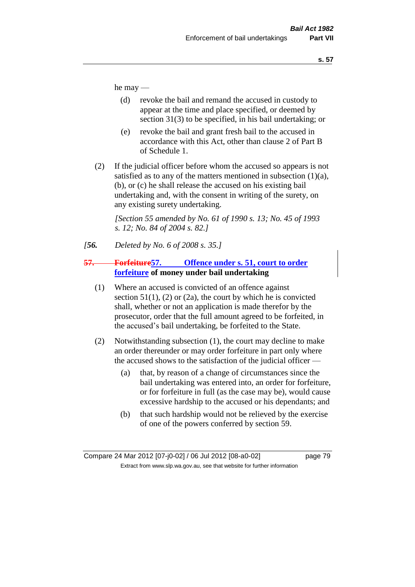he may —

- (d) revoke the bail and remand the accused in custody to appear at the time and place specified, or deemed by section 31(3) to be specified, in his bail undertaking; or
- (e) revoke the bail and grant fresh bail to the accused in accordance with this Act, other than clause 2 of Part B of Schedule 1.
- (2) If the judicial officer before whom the accused so appears is not satisfied as to any of the matters mentioned in subsection  $(1)(a)$ , (b), or (c) he shall release the accused on his existing bail undertaking and, with the consent in writing of the surety, on any existing surety undertaking.

*[Section 55 amended by No. 61 of 1990 s. 13; No. 45 of 1993 s. 12; No. 84 of 2004 s. 82.]* 

*[56. Deleted by No. 6 of 2008 s. 35.]*

# **57. Forfeiture57. Offence under s. 51, court to order forfeiture of money under bail undertaking**

- (1) Where an accused is convicted of an offence against section  $51(1)$ , (2) or (2a), the court by which he is convicted shall, whether or not an application is made therefor by the prosecutor, order that the full amount agreed to be forfeited, in the accused's bail undertaking, be forfeited to the State.
- (2) Notwithstanding subsection (1), the court may decline to make an order thereunder or may order forfeiture in part only where the accused shows to the satisfaction of the judicial officer —
	- (a) that, by reason of a change of circumstances since the bail undertaking was entered into, an order for forfeiture, or for forfeiture in full (as the case may be), would cause excessive hardship to the accused or his dependants; and
	- (b) that such hardship would not be relieved by the exercise of one of the powers conferred by section 59.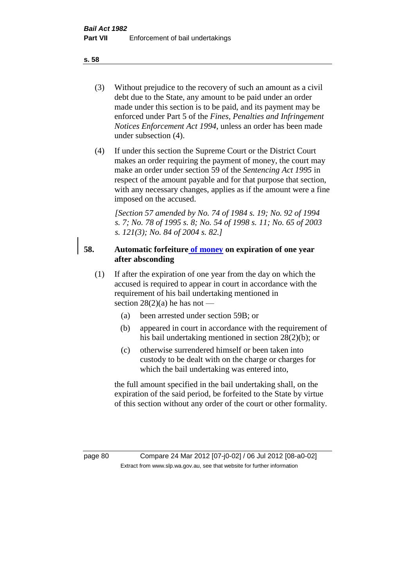- (3) Without prejudice to the recovery of such an amount as a civil debt due to the State, any amount to be paid under an order made under this section is to be paid, and its payment may be enforced under Part 5 of the *Fines, Penalties and Infringement Notices Enforcement Act 1994*, unless an order has been made under subsection (4).
- (4) If under this section the Supreme Court or the District Court makes an order requiring the payment of money, the court may make an order under section 59 of the *Sentencing Act 1995* in respect of the amount payable and for that purpose that section, with any necessary changes, applies as if the amount were a fine imposed on the accused.

*[Section 57 amended by No. 74 of 1984 s. 19; No. 92 of 1994 s. 7; No. 78 of 1995 s. 8; No. 54 of 1998 s. 11; No. 65 of 2003 s. 121(3); No. 84 of 2004 s. 82.]* 

# **58. Automatic forfeiture of money on expiration of one year after absconding**

- (1) If after the expiration of one year from the day on which the accused is required to appear in court in accordance with the requirement of his bail undertaking mentioned in section  $28(2)(a)$  he has not —
	- (a) been arrested under section 59B; or
	- (b) appeared in court in accordance with the requirement of his bail undertaking mentioned in section 28(2)(b); or
	- (c) otherwise surrendered himself or been taken into custody to be dealt with on the charge or charges for which the bail undertaking was entered into,

the full amount specified in the bail undertaking shall, on the expiration of the said period, be forfeited to the State by virtue of this section without any order of the court or other formality.

page 80 Compare 24 Mar 2012 [07-j0-02] / 06 Jul 2012 [08-a0-02] Extract from www.slp.wa.gov.au, see that website for further information

### **s. 58**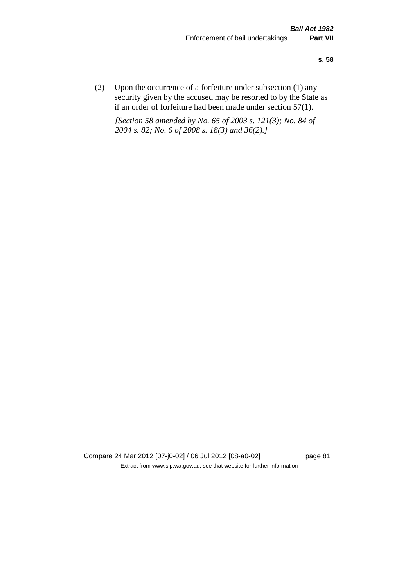(2) Upon the occurrence of a forfeiture under subsection (1) any security given by the accused may be resorted to by the State as if an order of forfeiture had been made under section 57(1).

*[Section 58 amended by No. 65 of 2003 s. 121(3); No. 84 of 2004 s. 82; No. 6 of 2008 s. 18(3) and 36(2).]*

Compare 24 Mar 2012 [07-j0-02] / 06 Jul 2012 [08-a0-02] page 81 Extract from www.slp.wa.gov.au, see that website for further information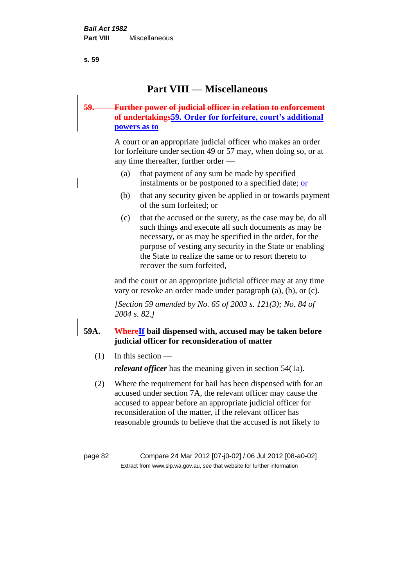**s. 59**

# **Part VIII — Miscellaneous**

# **59. Further power of judicial officer in relation to enforcement of undertakings59. Order for forfeiture, court's additional powers as to**

A court or an appropriate judicial officer who makes an order for forfeiture under section 49 or 57 may, when doing so, or at any time thereafter, further order —

- (a) that payment of any sum be made by specified instalments or be postponed to a specified date; or
- (b) that any security given be applied in or towards payment of the sum forfeited; or
- (c) that the accused or the surety, as the case may be, do all such things and execute all such documents as may be necessary, or as may be specified in the order, for the purpose of vesting any security in the State or enabling the State to realize the same or to resort thereto to recover the sum forfeited,

and the court or an appropriate judicial officer may at any time vary or revoke an order made under paragraph (a), (b), or (c).

*[Section 59 amended by No. 65 of 2003 s. 121(3); No. 84 of 2004 s. 82.]*

# **59A. WhereIf bail dispensed with, accused may be taken before judicial officer for reconsideration of matter**

(1) In this section —

*relevant officer* has the meaning given in section 54(1a).

(2) Where the requirement for bail has been dispensed with for an accused under section 7A, the relevant officer may cause the accused to appear before an appropriate judicial officer for reconsideration of the matter, if the relevant officer has reasonable grounds to believe that the accused is not likely to

page 82 Compare 24 Mar 2012 [07-j0-02] / 06 Jul 2012 [08-a0-02] Extract from www.slp.wa.gov.au, see that website for further information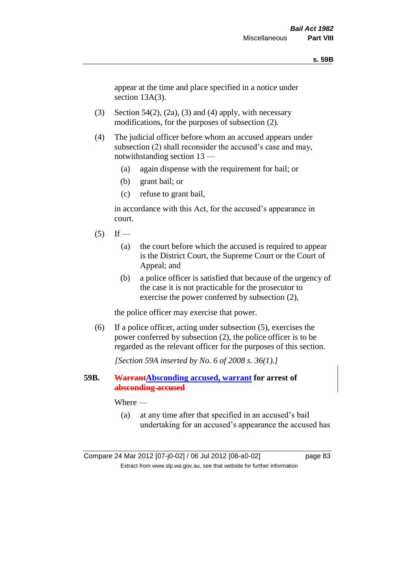### **s. 59B**

appear at the time and place specified in a notice under section 13A(3).

- (3) Section 54(2), (2a), (3) and (4) apply, with necessary modifications, for the purposes of subsection (2).
- (4) The judicial officer before whom an accused appears under subsection (2) shall reconsider the accused's case and may, notwithstanding section 13 —
	- (a) again dispense with the requirement for bail; or
	- (b) grant bail; or
	- (c) refuse to grant bail,

in accordance with this Act, for the accused's appearance in court.

- $(5)$  If
	- (a) the court before which the accused is required to appear is the District Court, the Supreme Court or the Court of Appeal; and
	- (b) a police officer is satisfied that because of the urgency of the case it is not practicable for the prosecutor to exercise the power conferred by subsection (2),

the police officer may exercise that power.

(6) If a police officer, acting under subsection (5), exercises the power conferred by subsection (2), the police officer is to be regarded as the relevant officer for the purposes of this section.

*[Section 59A inserted by No. 6 of 2008 s. 36(1).]*

**59B. WarrantAbsconding accused, warrant for arrest of absconding accused**

### Where —

(a) at any time after that specified in an accused's bail undertaking for an accused's appearance the accused has

Compare 24 Mar 2012 [07-j0-02] / 06 Jul 2012 [08-a0-02] page 83 Extract from www.slp.wa.gov.au, see that website for further information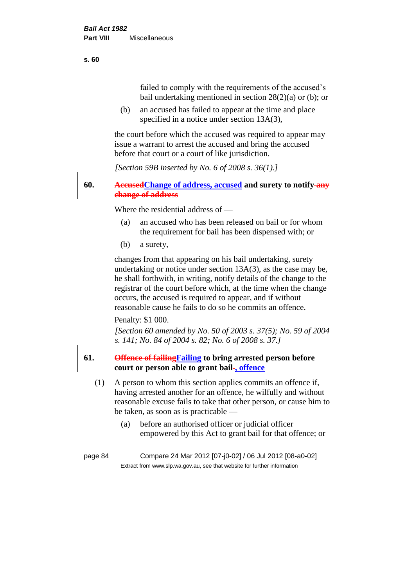### **s. 60**

failed to comply with the requirements of the accused's bail undertaking mentioned in section 28(2)(a) or (b); or

(b) an accused has failed to appear at the time and place specified in a notice under section 13A(3),

the court before which the accused was required to appear may issue a warrant to arrest the accused and bring the accused before that court or a court of like jurisdiction.

*[Section 59B inserted by No. 6 of 2008 s. 36(1).]*

**60. AccusedChange of address, accused and surety to notify any change of address**

Where the residential address of —

- (a) an accused who has been released on bail or for whom the requirement for bail has been dispensed with; or
- (b) a surety,

changes from that appearing on his bail undertaking, surety undertaking or notice under section 13A(3), as the case may be, he shall forthwith, in writing, notify details of the change to the registrar of the court before which, at the time when the change occurs, the accused is required to appear, and if without reasonable cause he fails to do so he commits an offence.

### Penalty: \$1 000.

*[Section 60 amended by No. 50 of 2003 s. 37(5); No. 59 of 2004 s. 141; No. 84 of 2004 s. 82; No. 6 of 2008 s. 37.]*

# **61. Offence of failingFailing to bring arrested person before court or person able to grant bail , offence**

- (1) A person to whom this section applies commits an offence if, having arrested another for an offence, he wilfully and without reasonable excuse fails to take that other person, or cause him to be taken, as soon as is practicable —
	- (a) before an authorised officer or judicial officer empowered by this Act to grant bail for that offence; or

page 84 Compare 24 Mar 2012 [07-j0-02] / 06 Jul 2012 [08-a0-02] Extract from www.slp.wa.gov.au, see that website for further information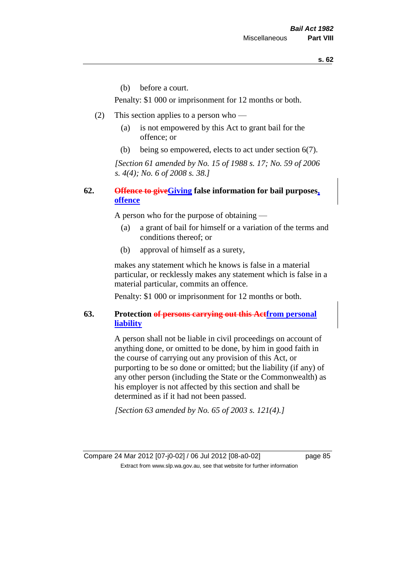(b) before a court.

Penalty: \$1 000 or imprisonment for 12 months or both.

- (2) This section applies to a person who
	- (a) is not empowered by this Act to grant bail for the offence; or
	- (b) being so empowered, elects to act under section 6(7).

*[Section 61 amended by No. 15 of 1988 s. 17; No. 59 of 2006 s. 4(4); No. 6 of 2008 s. 38.]* 

# **62. Offence to giveGiving false information for bail purposes, offence**

A person who for the purpose of obtaining —

- (a) a grant of bail for himself or a variation of the terms and conditions thereof; or
- (b) approval of himself as a surety,

makes any statement which he knows is false in a material particular, or recklessly makes any statement which is false in a material particular, commits an offence.

Penalty: \$1 000 or imprisonment for 12 months or both.

# **63. Protection of persons carrying out this Actfrom personal liability**

A person shall not be liable in civil proceedings on account of anything done, or omitted to be done, by him in good faith in the course of carrying out any provision of this Act, or purporting to be so done or omitted; but the liability (if any) of any other person (including the State or the Commonwealth) as his employer is not affected by this section and shall be determined as if it had not been passed.

*[Section 63 amended by No. 65 of 2003 s. 121(4).]*

Compare 24 Mar 2012 [07-j0-02] / 06 Jul 2012 [08-a0-02] page 85 Extract from www.slp.wa.gov.au, see that website for further information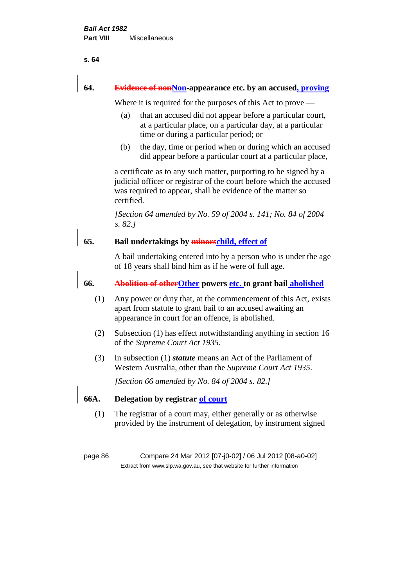#### **s. 64**

### **64. Evidence of nonNon-appearance etc. by an accused, proving**

Where it is required for the purposes of this Act to prove —

- (a) that an accused did not appear before a particular court, at a particular place, on a particular day, at a particular time or during a particular period; or
- (b) the day, time or period when or during which an accused did appear before a particular court at a particular place,

a certificate as to any such matter, purporting to be signed by a judicial officer or registrar of the court before which the accused was required to appear, shall be evidence of the matter so certified.

*[Section 64 amended by No. 59 of 2004 s. 141; No. 84 of 2004 s. 82.]* 

# **65. Bail undertakings by minorschild, effect of**

A bail undertaking entered into by a person who is under the age of 18 years shall bind him as if he were of full age.

## **66. Abolition of otherOther powers etc. to grant bail abolished**

- (1) Any power or duty that, at the commencement of this Act, exists apart from statute to grant bail to an accused awaiting an appearance in court for an offence, is abolished.
- (2) Subsection (1) has effect notwithstanding anything in section 16 of the *Supreme Court Act 1935*.
- (3) In subsection (1) *statute* means an Act of the Parliament of Western Australia, other than the *Supreme Court Act 1935*.

*[Section 66 amended by No. 84 of 2004 s. 82.]*

### **66A. Delegation by registrar of court**

(1) The registrar of a court may, either generally or as otherwise provided by the instrument of delegation, by instrument signed

page 86 Compare 24 Mar 2012 [07-j0-02] / 06 Jul 2012 [08-a0-02] Extract from www.slp.wa.gov.au, see that website for further information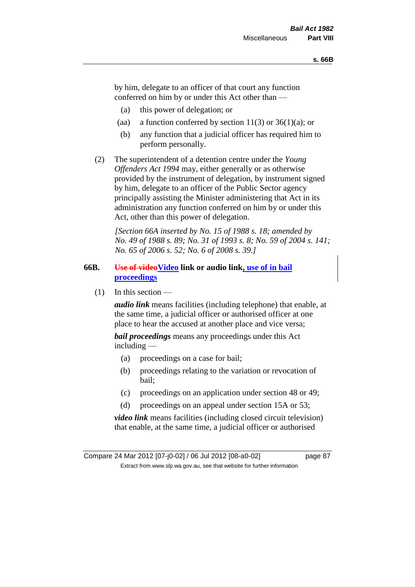by him, delegate to an officer of that court any function conferred on him by or under this Act other than —

- (a) this power of delegation; or
- (aa) a function conferred by section 11(3) or  $36(1)(a)$ ; or
- (b) any function that a judicial officer has required him to perform personally.
- (2) The superintendent of a detention centre under the *Young Offenders Act 1994* may, either generally or as otherwise provided by the instrument of delegation, by instrument signed by him, delegate to an officer of the Public Sector agency principally assisting the Minister administering that Act in its administration any function conferred on him by or under this Act, other than this power of delegation.

*[Section 66A inserted by No. 15 of 1988 s. 18; amended by No. 49 of 1988 s. 89; No. 31 of 1993 s. 8; No. 59 of 2004 s. 141; No. 65 of 2006 s. 52; No. 6 of 2008 s. 39.]* 

# **66B. Use of videoVideo link or audio link, use of in bail proceedings**

(1) In this section —

*audio link* means facilities (including telephone) that enable, at the same time, a judicial officer or authorised officer at one place to hear the accused at another place and vice versa;

*bail proceedings* means any proceedings under this Act including —

- (a) proceedings on a case for bail;
- (b) proceedings relating to the variation or revocation of bail;
- (c) proceedings on an application under section 48 or 49;
- (d) proceedings on an appeal under section 15A or 53;

*video link* means facilities (including closed circuit television) that enable, at the same time, a judicial officer or authorised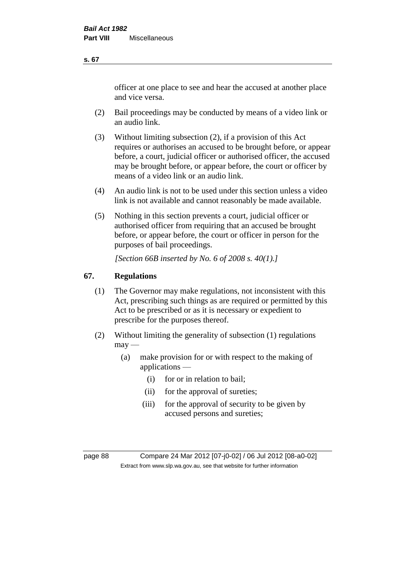officer at one place to see and hear the accused at another place and vice versa.

- (2) Bail proceedings may be conducted by means of a video link or an audio link.
- (3) Without limiting subsection (2), if a provision of this Act requires or authorises an accused to be brought before, or appear before, a court, judicial officer or authorised officer, the accused may be brought before, or appear before, the court or officer by means of a video link or an audio link.
- (4) An audio link is not to be used under this section unless a video link is not available and cannot reasonably be made available.
- (5) Nothing in this section prevents a court, judicial officer or authorised officer from requiring that an accused be brought before, or appear before, the court or officer in person for the purposes of bail proceedings.

*[Section 66B inserted by No. 6 of 2008 s. 40(1).]*

# **67. Regulations**

- (1) The Governor may make regulations, not inconsistent with this Act, prescribing such things as are required or permitted by this Act to be prescribed or as it is necessary or expedient to prescribe for the purposes thereof.
- (2) Without limiting the generality of subsection (1) regulations  $may -$ 
	- (a) make provision for or with respect to the making of applications —
		- (i) for or in relation to bail;
		- (ii) for the approval of sureties;
		- (iii) for the approval of security to be given by accused persons and sureties;

page 88 Compare 24 Mar 2012 [07-j0-02] / 06 Jul 2012 [08-a0-02] Extract from www.slp.wa.gov.au, see that website for further information

#### **s. 67**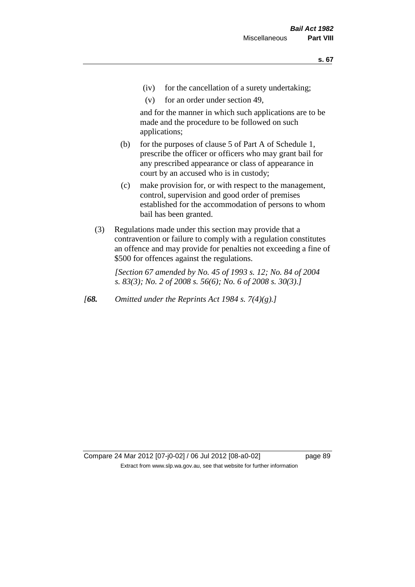- (iv) for the cancellation of a surety undertaking;
- (v) for an order under section 49,

and for the manner in which such applications are to be made and the procedure to be followed on such applications;

- (b) for the purposes of clause 5 of Part A of Schedule 1, prescribe the officer or officers who may grant bail for any prescribed appearance or class of appearance in court by an accused who is in custody;
- (c) make provision for, or with respect to the management, control, supervision and good order of premises established for the accommodation of persons to whom bail has been granted.
- (3) Regulations made under this section may provide that a contravention or failure to comply with a regulation constitutes an offence and may provide for penalties not exceeding a fine of \$500 for offences against the regulations.

*[Section 67 amended by No. 45 of 1993 s. 12; No. 84 of 2004 s. 83(3); No. 2 of 2008 s. 56(6); No. 6 of 2008 s. 30(3).]* 

*[68. Omitted under the Reprints Act 1984 s. 7(4)(g).]*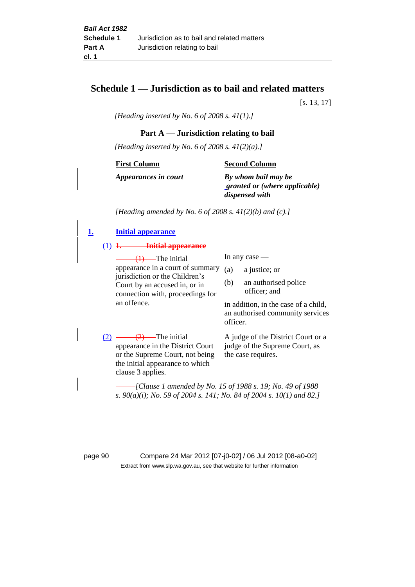# **Schedule 1 — Jurisdiction as to bail and related matters**

[s. 13, 17]

*[Heading inserted by No. 6 of 2008 s. 41(1).]*

### **Part A** — **Jurisdiction relating to bail**

*[Heading inserted by No. 6 of 2008 s. 41(2)(a).]*

**First Column**

**Second Column**

*Appearances in court*

*By whom bail may be granted or (where applicable) dispensed with*

*[Heading amended by No. 6 of 2008 s. 41(2)(b) and (c).]*

**1. Initial appearance** (1) **1. Initial appearance**  $(1)$ —The initial appearance in a court of summary jurisdiction or the Children's Court by an accused in, or in connection with, proceedings for an offence. In any case — (a) a justice; or (b) an authorised police officer; and in addition, in the case of a child, an authorised community services officer.  $(2)$   $\longrightarrow$   $(2)$   $\longrightarrow$  The initial appearance in the District Court or the Supreme Court, not being the initial appearance to which clause 3 applies. A judge of the District Court or a judge of the Supreme Court, as the case requires. *[Clause 1 amended by No. 15 of 1988 s. 19; No. 49 of 1988* 

*s. 90(a)(i); No. 59 of 2004 s. 141; No. 84 of 2004 s. 10(1) and 82.]*

page 90 Compare 24 Mar 2012 [07-j0-02] / 06 Jul 2012 [08-a0-02] Extract from www.slp.wa.gov.au, see that website for further information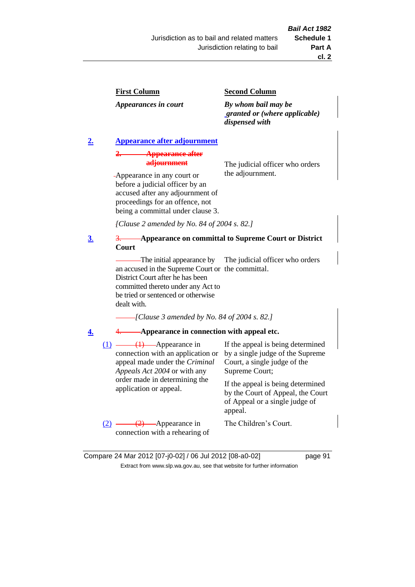### **First Column**

*Appearances in court*

### **Second Column**

*By whom bail may be granted or (where applicable) dispensed with*

# **2. Appearance after adjournment**

**2. Appearance after adjournment**

The judicial officer who orders the adjournment.

Appearance in any court or before a judicial officer by an accused after any adjournment of proceedings for an offence, not being a committal under clause 3.

*[Clause 2 amended by No. 84 of 2004 s. 82.]*

### **3**. 3. **Appearance on committal to Supreme Court or District Court**

The initial appearance by an accused in the Supreme Court or the committal. District Court after he has been The judicial officer who orders

committed thereto under any Act to be tried or sentenced or otherwise dealt with.

*[Clause 3 amended by No. 84 of 2004 s. 82.]*

### **4.** 4. **Appearance in connection with appeal etc.**

(1) (1) Appearance in connection with an application or appeal made under the *Criminal Appeals Act 2004* or with any order made in determining the application or appeal.

If the appeal is being determined by a single judge of the Supreme Court, a single judge of the Supreme Court;

If the appeal is being determined by the Court of Appeal, the Court of Appeal or a single judge of appeal.

 $(2)$  —  $(2)$  — Appearance in connection with a rehearing of The Children's Court.

Compare 24 Mar 2012 [07-j0-02] / 06 Jul 2012 [08-a0-02] page 91 Extract from www.slp.wa.gov.au, see that website for further information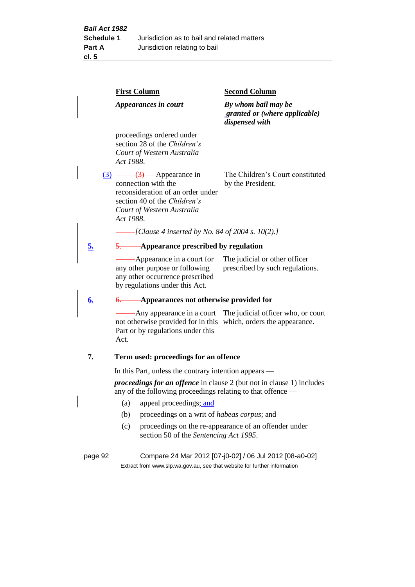page 92 Compare 24 Mar 2012 [07-j0-02] / 06 Jul 2012 [08-a0-02] Extract from www.slp.wa.gov.au, see that website for further information **First Column** *Appearances in court* **Second Column** *By whom bail may be granted or (where applicable) dispensed with* proceedings ordered under section 28 of the *Children's Court of Western Australia Act 1988*. (3) (3) Appearance in connection with the reconsideration of an order under section 40 of the *Children's Court of Western Australia Act 1988*. The Children's Court constituted by the President. *[Clause 4 inserted by No. 84 of 2004 s. 10(2).]* **5.** 5. **Appearance prescribed by regulation** Appearance in a court for any other purpose or following any other occurrence prescribed by regulations under this Act. The judicial or other officer prescribed by such regulations. **6.** 6. **Appearances not otherwise provided for** Any appearance in a court The judicial officer who, or court not otherwise provided for in this which, orders the appearance. Part or by regulations under this Act. **7. Term used: proceedings for an offence** In this Part, unless the contrary intention appears *proceedings for an offence* in clause 2 (but not in clause 1) includes any of the following proceedings relating to that offence — (a) appeal proceedings; and (b) proceedings on a writ of *habeas corpus*; and (c) proceedings on the re-appearance of an offender under section 50 of the *Sentencing Act 1995*.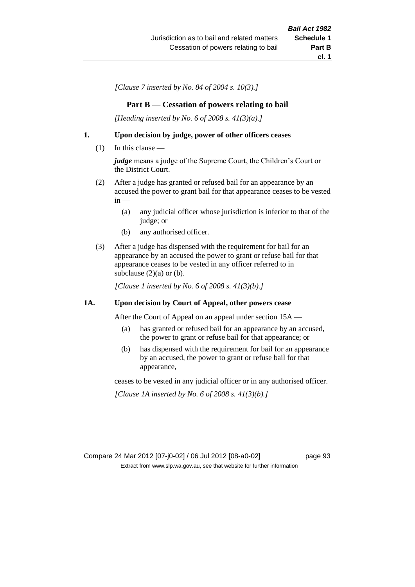*[Clause 7 inserted by No. 84 of 2004 s. 10(3).]*

### **Part B** — **Cessation of powers relating to bail**

*[Heading inserted by No. 6 of 2008 s. 41(3)(a).]*

### **1. Upon decision by judge, power of other officers ceases**

(1) In this clause —

*judge* means a judge of the Supreme Court, the Children's Court or the District Court.

- (2) After a judge has granted or refused bail for an appearance by an accused the power to grant bail for that appearance ceases to be vested  $in -$ 
	- (a) any judicial officer whose jurisdiction is inferior to that of the judge; or
	- (b) any authorised officer.
- (3) After a judge has dispensed with the requirement for bail for an appearance by an accused the power to grant or refuse bail for that appearance ceases to be vested in any officer referred to in subclause  $(2)(a)$  or  $(b)$ .

*[Clause 1 inserted by No. 6 of 2008 s. 41(3)(b).]*

### **1A. Upon decision by Court of Appeal, other powers cease**

After the Court of Appeal on an appeal under section 15A —

- (a) has granted or refused bail for an appearance by an accused, the power to grant or refuse bail for that appearance; or
- (b) has dispensed with the requirement for bail for an appearance by an accused, the power to grant or refuse bail for that appearance,

ceases to be vested in any judicial officer or in any authorised officer.

*[Clause 1A inserted by No. 6 of 2008 s. 41(3)(b).]*

Compare 24 Mar 2012 [07-j0-02] / 06 Jul 2012 [08-a0-02] page 93 Extract from www.slp.wa.gov.au, see that website for further information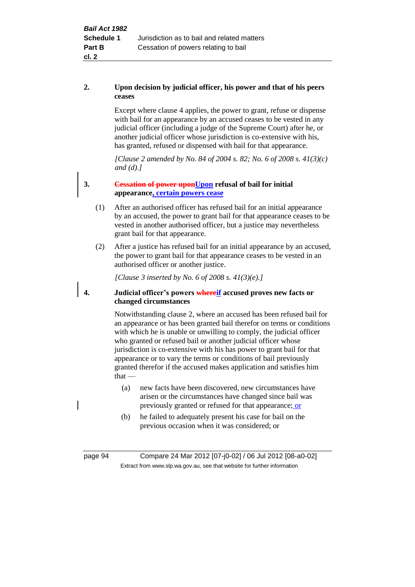### **2. Upon decision by judicial officer, his power and that of his peers ceases**

Except where clause 4 applies, the power to grant, refuse or dispense with bail for an appearance by an accused ceases to be vested in any judicial officer (including a judge of the Supreme Court) after he, or another judicial officer whose jurisdiction is co-extensive with his, has granted, refused or dispensed with bail for that appearance.

*[Clause 2 amended by No. 84 of 2004 s. 82; No. 6 of 2008 s. 41(3)(c) and (d).]*

## **3. Cessation of power uponUpon refusal of bail for initial appearance, certain powers cease**

- (1) After an authorised officer has refused bail for an initial appearance by an accused, the power to grant bail for that appearance ceases to be vested in another authorised officer, but a justice may nevertheless grant bail for that appearance.
- (2) After a justice has refused bail for an initial appearance by an accused, the power to grant bail for that appearance ceases to be vested in an authorised officer or another justice.

*[Clause 3 inserted by No. 6 of 2008 s. 41(3)(e).]*

### **4. Judicial officer's powers whereif accused proves new facts or changed circumstances**

Notwithstanding clause 2, where an accused has been refused bail for an appearance or has been granted bail therefor on terms or conditions with which he is unable or unwilling to comply, the judicial officer who granted or refused bail or another judicial officer whose jurisdiction is co-extensive with his has power to grant bail for that appearance or to vary the terms or conditions of bail previously granted therefor if the accused makes application and satisfies him  $that -$ 

- (a) new facts have been discovered, new circumstances have arisen or the circumstances have changed since bail was previously granted or refused for that appearance; or
- (b) he failed to adequately present his case for bail on the previous occasion when it was considered; or

page 94 Compare 24 Mar 2012 [07-j0-02] / 06 Jul 2012 [08-a0-02] Extract from www.slp.wa.gov.au, see that website for further information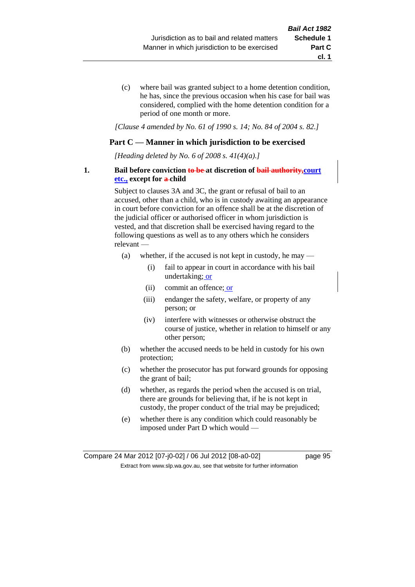(c) where bail was granted subject to a home detention condition, he has, since the previous occasion when his case for bail was considered, complied with the home detention condition for a period of one month or more.

*[Clause 4 amended by No. 61 of 1990 s. 14; No. 84 of 2004 s. 82.]*

### **Part C — Manner in which jurisdiction to be exercised**

*[Heading deleted by No. 6 of 2008 s. 41(4)(a).]*

### **1. Bail before conviction to be at discretion of bail authority,court etc., except for a-child**

Subject to clauses 3A and 3C, the grant or refusal of bail to an accused, other than a child, who is in custody awaiting an appearance in court before conviction for an offence shall be at the discretion of the judicial officer or authorised officer in whom jurisdiction is vested, and that discretion shall be exercised having regard to the following questions as well as to any others which he considers relevant —

- (a) whether, if the accused is not kept in custody, he may
	- (i) fail to appear in court in accordance with his bail undertaking; or
	- (ii) commit an offence; or
	- (iii) endanger the safety, welfare, or property of any person; or
	- (iv) interfere with witnesses or otherwise obstruct the course of justice, whether in relation to himself or any other person;
- (b) whether the accused needs to be held in custody for his own protection;
- (c) whether the prosecutor has put forward grounds for opposing the grant of bail;
- (d) whether, as regards the period when the accused is on trial, there are grounds for believing that, if he is not kept in custody, the proper conduct of the trial may be prejudiced;
- (e) whether there is any condition which could reasonably be imposed under Part D which would —

**cl. 1**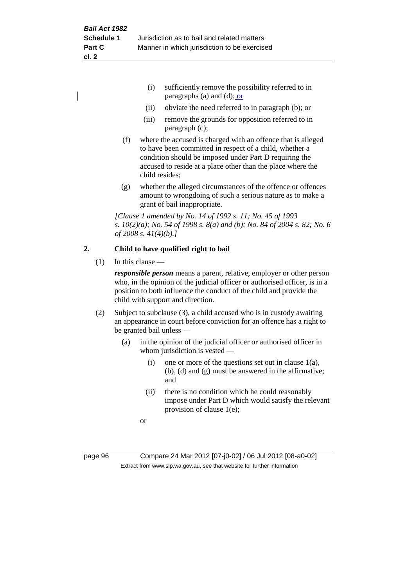- (i) sufficiently remove the possibility referred to in paragraphs (a) and (d); or
- (ii) obviate the need referred to in paragraph (b); or
- (iii) remove the grounds for opposition referred to in paragraph (c);
- (f) where the accused is charged with an offence that is alleged to have been committed in respect of a child, whether a condition should be imposed under Part D requiring the accused to reside at a place other than the place where the child resides;
- (g) whether the alleged circumstances of the offence or offences amount to wrongdoing of such a serious nature as to make a grant of bail inappropriate.

*[Clause 1 amended by No. 14 of 1992 s. 11; No. 45 of 1993 s. 10(2)(a); No. 54 of 1998 s. 8(a) and (b); No. 84 of 2004 s. 82; No. 6 of 2008 s. 41(4)(b).]*

# **2. Child to have qualified right to bail**

(1) In this clause —

*responsible person* means a parent, relative, employer or other person who, in the opinion of the judicial officer or authorised officer, is in a position to both influence the conduct of the child and provide the child with support and direction.

- (2) Subject to subclause (3), a child accused who is in custody awaiting an appearance in court before conviction for an offence has a right to be granted bail unless —
	- (a) in the opinion of the judicial officer or authorised officer in whom jurisdiction is vested —
		- (i) one or more of the questions set out in clause  $1(a)$ , (b), (d) and (g) must be answered in the affirmative; and
		- (ii) there is no condition which he could reasonably impose under Part D which would satisfy the relevant provision of clause 1(e);
		- or

| page 96 |  |
|---------|--|
|---------|--|

page 96 Compare 24 Mar 2012 [07-j0-02] / 06 Jul 2012 [08-a0-02] Extract from www.slp.wa.gov.au, see that website for further information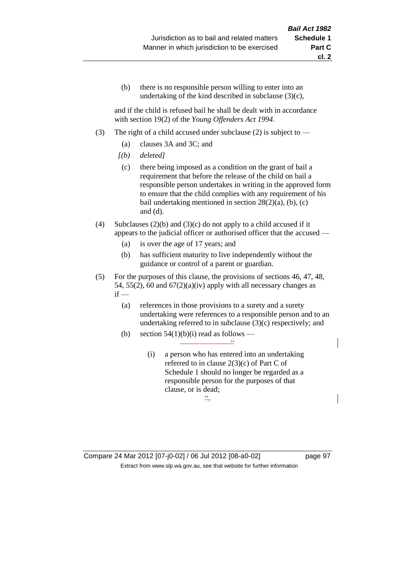(b) there is no responsible person willing to enter into an undertaking of the kind described in subclause (3)(c),

and if the child is refused bail he shall be dealt with in accordance with section 19(2) of the *Young Offenders Act 1994*.

- (3) The right of a child accused under subclause (2) is subject to  $-$ 
	- (a) clauses 3A and 3C; and
	- *[(b) deleted]*
	- (c) there being imposed as a condition on the grant of bail a requirement that before the release of the child on bail a responsible person undertakes in writing in the approved form to ensure that the child complies with any requirement of his bail undertaking mentioned in section  $28(2)(a)$ , (b), (c) and (d).
- (4) Subclauses (2)(b) and (3)(c) do not apply to a child accused if it appears to the judicial officer or authorised officer that the accused —
	- (a) is over the age of 17 years; and
	- (b) has sufficient maturity to live independently without the guidance or control of a parent or guardian.
- (5) For the purposes of this clause, the provisions of sections 46, 47, 48, 54, 55(2), 60 and  $67(2)(a)(iv)$  apply with all necessary changes as  $if -$ 
	- (a) references in those provisions to a surety and a surety undertaking were references to a responsible person and to an undertaking referred to in subclause (3)(c) respectively; and
	- (b) section  $54(1)(b)(i)$  read as follows  $\frac{1}{\sqrt{2}}$ 
		- (i) a person who has entered into an undertaking referred to in clause 2(3)(c) of Part C of Schedule 1 should no longer be regarded as a responsible person for the purposes of that clause, or is dead;  $\stackrel{22}{-}$

**cl. 2**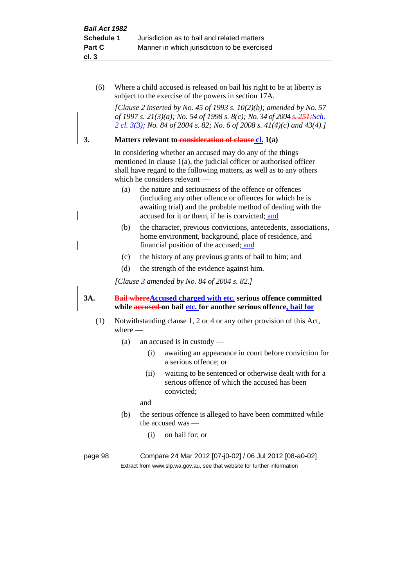(6) Where a child accused is released on bail his right to be at liberty is subject to the exercise of the powers in section 17A.

*[Clause 2 inserted by No. 45 of 1993 s. 10(2)(b); amended by No. 57 of 1997 s. 21(3)(a); No. 54 of 1998 s. 8(c); No. 34 of 2004 s. 251;Sch. 2 cl. 3(3); No. 84 of 2004 s. 82; No. 6 of 2008 s. 41(4)(c) and 43(4).]*

## **3. Matters relevant to consideration of clause cl. 1(a)**

In considering whether an accused may do any of the things mentioned in clause 1(a), the judicial officer or authorised officer shall have regard to the following matters, as well as to any others which he considers relevant —

- (a) the nature and seriousness of the offence or offences (including any other offence or offences for which he is awaiting trial) and the probable method of dealing with the accused for it or them, if he is convicted; and
- (b) the character, previous convictions, antecedents, associations, home environment, background, place of residence, and financial position of the accused; and
- (c) the history of any previous grants of bail to him; and
- (d) the strength of the evidence against him.

*[Clause 3 amended by No. 84 of 2004 s. 82.]*

### **3A. Bail whereAccused charged with etc. serious offence committed while accused on bail etc. for another serious offence, bail for**

- (1) Notwithstanding clause 1, 2 or 4 or any other provision of this Act, where —
	- (a) an accused is in custody
		- (i) awaiting an appearance in court before conviction for a serious offence; or
		- (ii) waiting to be sentenced or otherwise dealt with for a serious offence of which the accused has been convicted;

and

- (b) the serious offence is alleged to have been committed while the accused was —
	- (i) on bail for; or

page 98 Compare 24 Mar 2012 [07-j0-02] / 06 Jul 2012 [08-a0-02] Extract from www.slp.wa.gov.au, see that website for further information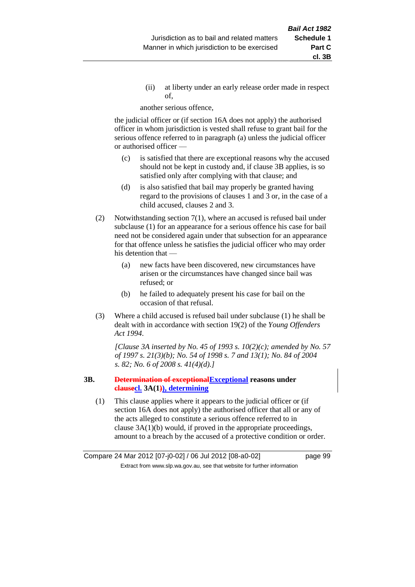(ii) at liberty under an early release order made in respect of,

another serious offence,

the judicial officer or (if section 16A does not apply) the authorised officer in whom jurisdiction is vested shall refuse to grant bail for the serious offence referred to in paragraph (a) unless the judicial officer or authorised officer —

- (c) is satisfied that there are exceptional reasons why the accused should not be kept in custody and, if clause 3B applies, is so satisfied only after complying with that clause; and
- (d) is also satisfied that bail may properly be granted having regard to the provisions of clauses 1 and 3 or, in the case of a child accused, clauses 2 and 3.
- (2) Notwithstanding section 7(1), where an accused is refused bail under subclause (1) for an appearance for a serious offence his case for bail need not be considered again under that subsection for an appearance for that offence unless he satisfies the judicial officer who may order his detention that —
	- (a) new facts have been discovered, new circumstances have arisen or the circumstances have changed since bail was refused; or
	- (b) he failed to adequately present his case for bail on the occasion of that refusal.
- (3) Where a child accused is refused bail under subclause (1) he shall be dealt with in accordance with section 19(2) of the *Young Offenders Act 1994*.

*[Clause 3A inserted by No. 45 of 1993 s. 10(2)(c); amended by No. 57 of 1997 s. 21(3)(b); No. 54 of 1998 s. 7 and 13(1); No. 84 of 2004 s. 82; No. 6 of 2008 s. 41(4)(d).]*

### **3B. Determination of exceptionalExceptional reasons under clausecl. 3A(1)), determining**

(1) This clause applies where it appears to the judicial officer or (if section 16A does not apply) the authorised officer that all or any of the acts alleged to constitute a serious offence referred to in clause 3A(1)(b) would, if proved in the appropriate proceedings, amount to a breach by the accused of a protective condition or order.

Compare 24 Mar 2012 [07-j0-02] / 06 Jul 2012 [08-a0-02] page 99 Extract from www.slp.wa.gov.au, see that website for further information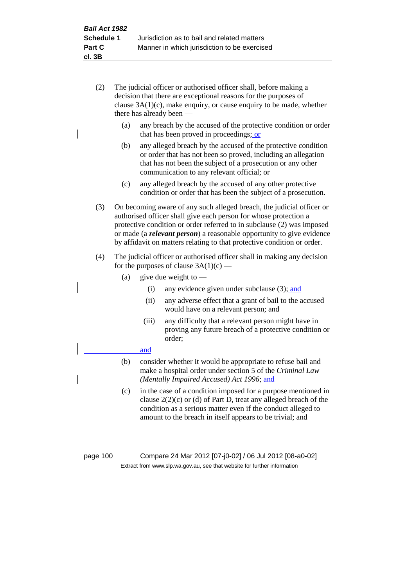- (2) The judicial officer or authorised officer shall, before making a decision that there are exceptional reasons for the purposes of clause  $3A(1)(c)$ , make enquiry, or cause enquiry to be made, whether there has already been —
	- (a) any breach by the accused of the protective condition or order that has been proved in proceedings; or
	- (b) any alleged breach by the accused of the protective condition or order that has not been so proved, including an allegation that has not been the subject of a prosecution or any other communication to any relevant official; or
	- (c) any alleged breach by the accused of any other protective condition or order that has been the subject of a prosecution.
- (3) On becoming aware of any such alleged breach, the judicial officer or authorised officer shall give each person for whose protection a protective condition or order referred to in subclause (2) was imposed or made (a *relevant person*) a reasonable opportunity to give evidence by affidavit on matters relating to that protective condition or order.
- (4) The judicial officer or authorised officer shall in making any decision for the purposes of clause  $3A(1)(c)$  —
	- (a) give due weight to  $-$ 
		- (i) any evidence given under subclause (3); and
		- (ii) any adverse effect that a grant of bail to the accused would have on a relevant person; and
		- (iii) any difficulty that a relevant person might have in proving any future breach of a protective condition or order;

### and

- (b) consider whether it would be appropriate to refuse bail and make a hospital order under section 5 of the *Criminal Law (Mentally Impaired Accused) Act 1996*; and
- (c) in the case of a condition imposed for a purpose mentioned in clause 2(2)(c) or (d) of Part D, treat any alleged breach of the condition as a serious matter even if the conduct alleged to amount to the breach in itself appears to be trivial; and

page 100 Compare 24 Mar 2012 [07-j0-02] / 06 Jul 2012 [08-a0-02] Extract from www.slp.wa.gov.au, see that website for further information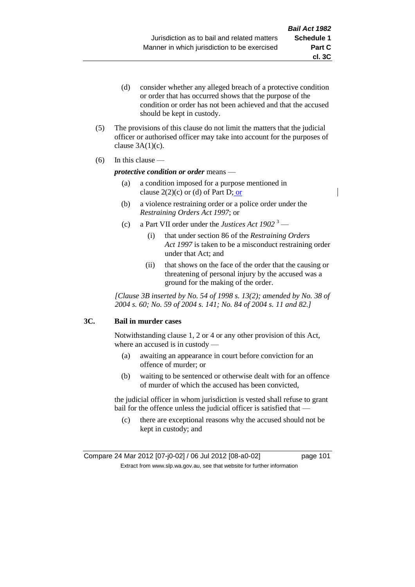- (d) consider whether any alleged breach of a protective condition or order that has occurred shows that the purpose of the condition or order has not been achieved and that the accused should be kept in custody.
- (5) The provisions of this clause do not limit the matters that the judicial officer or authorised officer may take into account for the purposes of clause  $3A(1)(c)$ .
- (6) In this clause —

### *protective condition or order* means —

- (a) a condition imposed for a purpose mentioned in clause  $2(2)(c)$  or (d) of Part D; or
- (b) a violence restraining order or a police order under the *Restraining Orders Act 1997*; or
- (c) a Part VII order under the *Justices Act 1902* <sup>3</sup>
	- (i) that under section 86 of the *Restraining Orders Act 1997* is taken to be a misconduct restraining order under that Act; and
	- (ii) that shows on the face of the order that the causing or threatening of personal injury by the accused was a ground for the making of the order.

*[Clause 3B inserted by No. 54 of 1998 s. 13(2); amended by No. 38 of 2004 s. 60; No. 59 of 2004 s. 141; No. 84 of 2004 s. 11 and 82.]*

### **3C. Bail in murder cases**

Notwithstanding clause 1, 2 or 4 or any other provision of this Act, where an accused is in custody —

- (a) awaiting an appearance in court before conviction for an offence of murder; or
- (b) waiting to be sentenced or otherwise dealt with for an offence of murder of which the accused has been convicted,

the judicial officer in whom jurisdiction is vested shall refuse to grant bail for the offence unless the judicial officer is satisfied that —

(c) there are exceptional reasons why the accused should not be kept in custody; and

Compare 24 Mar 2012 [07-j0-02] / 06 Jul 2012 [08-a0-02] page 101 Extract from www.slp.wa.gov.au, see that website for further information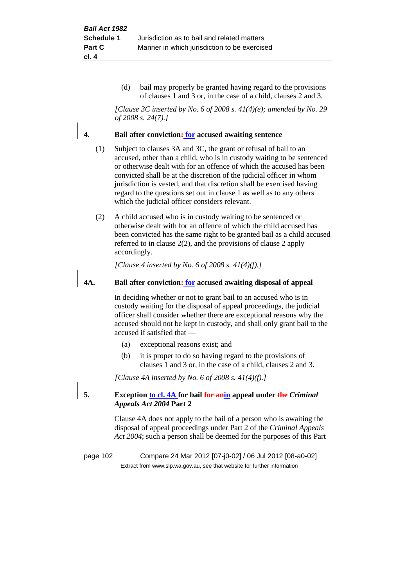(d) bail may properly be granted having regard to the provisions of clauses 1 and 3 or, in the case of a child, clauses 2 and 3.

*[Clause 3C inserted by No. 6 of 2008 s. 41(4)(e); amended by No. 29 of 2008 s. 24(7).]*

### **4. Bail after conviction: for accused awaiting sentence**

- (1) Subject to clauses 3A and 3C, the grant or refusal of bail to an accused, other than a child, who is in custody waiting to be sentenced or otherwise dealt with for an offence of which the accused has been convicted shall be at the discretion of the judicial officer in whom jurisdiction is vested, and that discretion shall be exercised having regard to the questions set out in clause 1 as well as to any others which the judicial officer considers relevant.
- (2) A child accused who is in custody waiting to be sentenced or otherwise dealt with for an offence of which the child accused has been convicted has the same right to be granted bail as a child accused referred to in clause 2(2), and the provisions of clause 2 apply accordingly.

*[Clause 4 inserted by No. 6 of 2008 s. 41(4)(f).]*

### **4A. Bail after conviction: for accused awaiting disposal of appeal**

In deciding whether or not to grant bail to an accused who is in custody waiting for the disposal of appeal proceedings, the judicial officer shall consider whether there are exceptional reasons why the accused should not be kept in custody, and shall only grant bail to the accused if satisfied that —

- (a) exceptional reasons exist; and
- (b) it is proper to do so having regard to the provisions of clauses 1 and 3 or, in the case of a child, clauses 2 and 3.

*[Clause 4A inserted by No. 6 of 2008 s. 41(4)(f).]*

**5. Exception to cl. 4A for bail for anin appeal under the** *Criminal Appeals Act 2004* **Part 2**

> Clause 4A does not apply to the bail of a person who is awaiting the disposal of appeal proceedings under Part 2 of the *Criminal Appeals Act 2004*; such a person shall be deemed for the purposes of this Part

page 102 Compare 24 Mar 2012 [07-j0-02] / 06 Jul 2012 [08-a0-02] Extract from www.slp.wa.gov.au, see that website for further information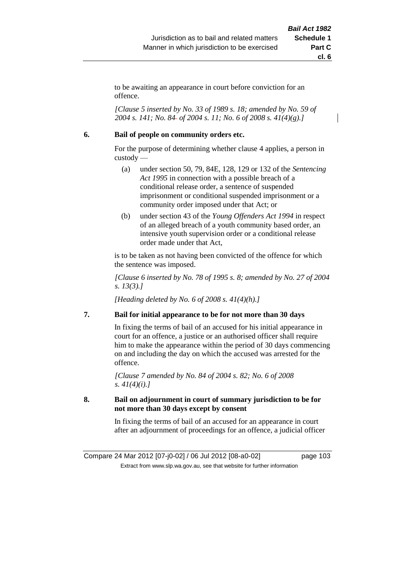to be awaiting an appearance in court before conviction for an offence.

*[Clause 5 inserted by No. 33 of 1989 s. 18; amended by No. 59 of 2004 s. 141; No. 84 of 2004 s. 11; No. 6 of 2008 s. 41(4)(g).]*

### **6. Bail of people on community orders etc.**

For the purpose of determining whether clause 4 applies, a person in custody —

- (a) under section 50, 79, 84E, 128, 129 or 132 of the *Sentencing Act 1995* in connection with a possible breach of a conditional release order, a sentence of suspended imprisonment or conditional suspended imprisonment or a community order imposed under that Act; or
- (b) under section 43 of the *Young Offenders Act 1994* in respect of an alleged breach of a youth community based order, an intensive youth supervision order or a conditional release order made under that Act,

is to be taken as not having been convicted of the offence for which the sentence was imposed.

*[Clause 6 inserted by No. 78 of 1995 s. 8; amended by No. 27 of 2004 s. 13(3).]*

*[Heading deleted by No. 6 of 2008 s. 41(4)(h).]*

### **7. Bail for initial appearance to be for not more than 30 days**

In fixing the terms of bail of an accused for his initial appearance in court for an offence, a justice or an authorised officer shall require him to make the appearance within the period of 30 days commencing on and including the day on which the accused was arrested for the offence.

*[Clause 7 amended by No. 84 of 2004 s. 82; No. 6 of 2008 s. 41(4)(i).]*

### **8. Bail on adjournment in court of summary jurisdiction to be for not more than 30 days except by consent**

In fixing the terms of bail of an accused for an appearance in court after an adjournment of proceedings for an offence, a judicial officer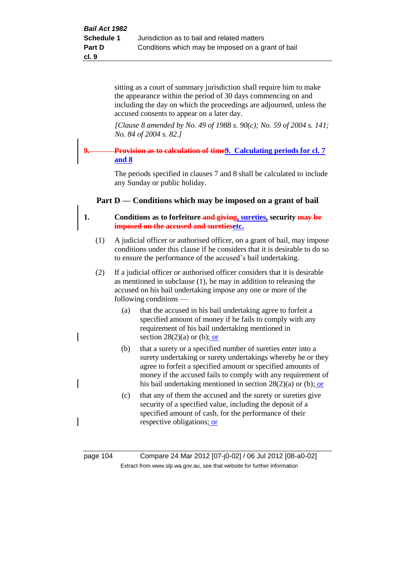sitting as a court of summary jurisdiction shall require him to make the appearance within the period of 30 days commencing on and including the day on which the proceedings are adjourned, unless the accused consents to appear on a later day.

*[Clause 8 amended by No. 49 of 1988 s. 90(c); No. 59 of 2004 s. 141; No. 84 of 2004 s. 82.]*

# **9. Provision as to calculation of time9. Calculating periods for cl. 7 and 8**

The periods specified in clauses 7 and 8 shall be calculated to include any Sunday or public holiday.

# **Part D — Conditions which may be imposed on a grant of bail**

# **1. Conditions as to forfeiture and giving, sureties, security may be imposed on the accused and suretiesetc.**

- (1) A judicial officer or authorised officer, on a grant of bail, may impose conditions under this clause if he considers that it is desirable to do so to ensure the performance of the accused's bail undertaking.
- (2) If a judicial officer or authorised officer considers that it is desirable as mentioned in subclause (1), he may in addition to releasing the accused on his bail undertaking impose any one or more of the following conditions —
	- (a) that the accused in his bail undertaking agree to forfeit a specified amount of money if he fails to comply with any requirement of his bail undertaking mentioned in section  $28(2)(a)$  or (b); or
	- (b) that a surety or a specified number of sureties enter into a surety undertaking or surety undertakings whereby he or they agree to forfeit a specified amount or specified amounts of money if the accused fails to comply with any requirement of his bail undertaking mentioned in section 28(2)(a) or (b); or
	- (c) that any of them the accused and the surety or sureties give security of a specified value, including the deposit of a specified amount of cash, for the performance of their respective obligations; or

page 104 Compare 24 Mar 2012 [07-j0-02] / 06 Jul 2012 [08-a0-02] Extract from www.slp.wa.gov.au, see that website for further information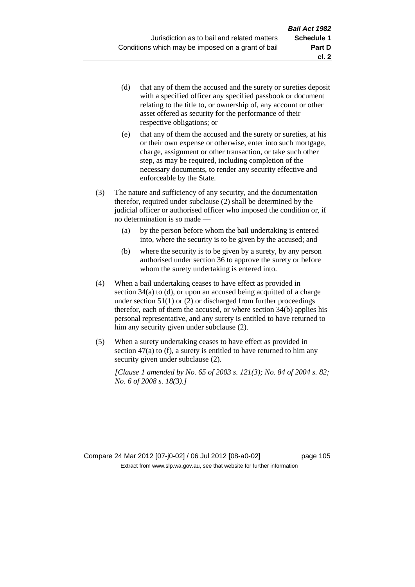- (d) that any of them the accused and the surety or sureties deposit with a specified officer any specified passbook or document relating to the title to, or ownership of, any account or other asset offered as security for the performance of their respective obligations; or
- (e) that any of them the accused and the surety or sureties, at his or their own expense or otherwise, enter into such mortgage, charge, assignment or other transaction, or take such other step, as may be required, including completion of the necessary documents, to render any security effective and enforceable by the State.
- (3) The nature and sufficiency of any security, and the documentation therefor, required under subclause (2) shall be determined by the judicial officer or authorised officer who imposed the condition or, if no determination is so made —
	- (a) by the person before whom the bail undertaking is entered into, where the security is to be given by the accused; and
	- (b) where the security is to be given by a surety, by any person authorised under section 36 to approve the surety or before whom the surety undertaking is entered into.
- (4) When a bail undertaking ceases to have effect as provided in section 34(a) to (d), or upon an accused being acquitted of a charge under section  $51(1)$  or  $(2)$  or discharged from further proceedings therefor, each of them the accused, or where section  $34(b)$  applies his personal representative, and any surety is entitled to have returned to him any security given under subclause (2).
- (5) When a surety undertaking ceases to have effect as provided in section 47(a) to (f), a surety is entitled to have returned to him any security given under subclause  $(2)$ .

*[Clause 1 amended by No. 65 of 2003 s. 121(3); No. 84 of 2004 s. 82; No. 6 of 2008 s. 18(3).]*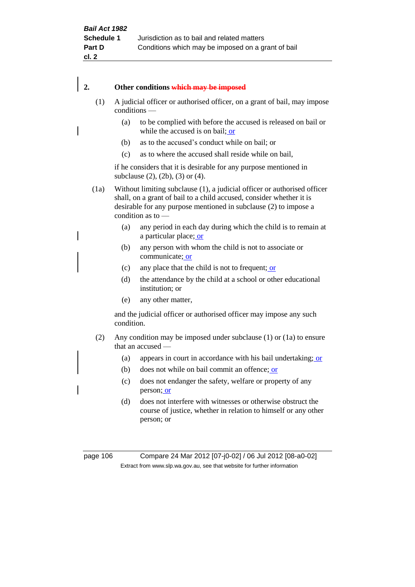# **2. Other conditions which may be imposed**

- (1) A judicial officer or authorised officer, on a grant of bail, may impose conditions —
	- (a) to be complied with before the accused is released on bail or while the accused is on bail; or
		- (b) as to the accused's conduct while on bail; or
		- (c) as to where the accused shall reside while on bail,

if he considers that it is desirable for any purpose mentioned in subclause (2), (2b), (3) or (4).

(1a) Without limiting subclause (1), a judicial officer or authorised officer shall, on a grant of bail to a child accused, consider whether it is desirable for any purpose mentioned in subclause (2) to impose a condition as to —

- (a) any period in each day during which the child is to remain at a particular place; or
- (b) any person with whom the child is not to associate or communicate; or
- (c) any place that the child is not to frequent; or
- (d) the attendance by the child at a school or other educational institution; or
- (e) any other matter,

and the judicial officer or authorised officer may impose any such condition.

- (2) Any condition may be imposed under subclause (1) or (1a) to ensure that an accused —
	- (a) appears in court in accordance with his bail undertaking; or
	- (b) does not while on bail commit an offence; or
	- (c) does not endanger the safety, welfare or property of any person; or
	- (d) does not interfere with witnesses or otherwise obstruct the course of justice, whether in relation to himself or any other person; or

page 106 Compare 24 Mar 2012 [07-j0-02] / 06 Jul 2012 [08-a0-02] Extract from www.slp.wa.gov.au, see that website for further information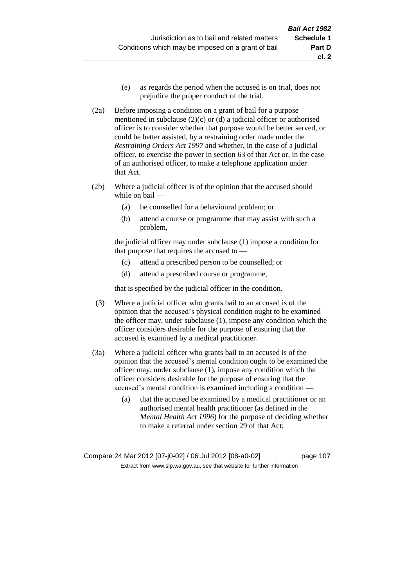(e) as regards the period when the accused is on trial, does not prejudice the proper conduct of the trial.

**cl. 2**

- (2a) Before imposing a condition on a grant of bail for a purpose mentioned in subclause (2)(c) or (d) a judicial officer or authorised officer is to consider whether that purpose would be better served, or could be better assisted, by a restraining order made under the *Restraining Orders Act 1997* and whether, in the case of a judicial officer, to exercise the power in section 63 of that Act or, in the case of an authorised officer, to make a telephone application under that Act.
- (2b) Where a judicial officer is of the opinion that the accused should while on bail —
	- (a) be counselled for a behavioural problem; or
	- (b) attend a course or programme that may assist with such a problem,

the judicial officer may under subclause (1) impose a condition for that purpose that requires the accused to —

- (c) attend a prescribed person to be counselled; or
- (d) attend a prescribed course or programme,

that is specified by the judicial officer in the condition.

- (3) Where a judicial officer who grants bail to an accused is of the opinion that the accused's physical condition ought to be examined the officer may, under subclause (1), impose any condition which the officer considers desirable for the purpose of ensuring that the accused is examined by a medical practitioner.
- (3a) Where a judicial officer who grants bail to an accused is of the opinion that the accused's mental condition ought to be examined the officer may, under subclause (1), impose any condition which the officer considers desirable for the purpose of ensuring that the accused's mental condition is examined including a condition —
	- (a) that the accused be examined by a medical practitioner or an authorised mental health practitioner (as defined in the *Mental Health Act 1996*) for the purpose of deciding whether to make a referral under section 29 of that Act;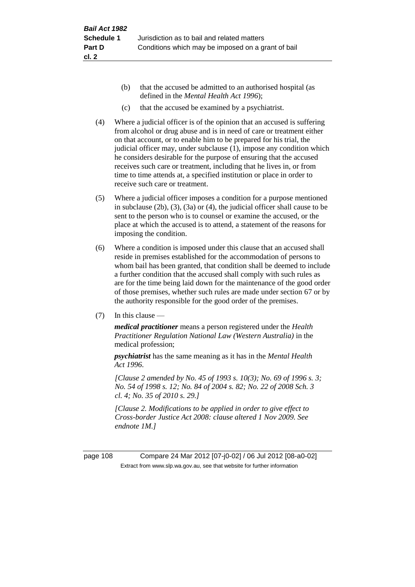- (b) that the accused be admitted to an authorised hospital (as defined in the *Mental Health Act 1996*);
- (c) that the accused be examined by a psychiatrist.
- (4) Where a judicial officer is of the opinion that an accused is suffering from alcohol or drug abuse and is in need of care or treatment either on that account, or to enable him to be prepared for his trial, the judicial officer may, under subclause (1), impose any condition which he considers desirable for the purpose of ensuring that the accused receives such care or treatment, including that he lives in, or from time to time attends at, a specified institution or place in order to receive such care or treatment.
- (5) Where a judicial officer imposes a condition for a purpose mentioned in subclause (2b), (3), (3a) or (4), the judicial officer shall cause to be sent to the person who is to counsel or examine the accused, or the place at which the accused is to attend, a statement of the reasons for imposing the condition.
- (6) Where a condition is imposed under this clause that an accused shall reside in premises established for the accommodation of persons to whom bail has been granted, that condition shall be deemed to include a further condition that the accused shall comply with such rules as are for the time being laid down for the maintenance of the good order of those premises, whether such rules are made under section 67 or by the authority responsible for the good order of the premises.
- (7) In this clause —

*medical practitioner* means a person registered under the *Health Practitioner Regulation National Law (Western Australia)* in the medical profession;

*psychiatrist* has the same meaning as it has in the *Mental Health Act 1996*.

*[Clause 2 amended by No. 45 of 1993 s. 10(3); No. 69 of 1996 s. 3; No. 54 of 1998 s. 12; No. 84 of 2004 s. 82; No. 22 of 2008 Sch. 3 cl. 4; No. 35 of 2010 s. 29.]*

*[Clause 2. Modifications to be applied in order to give effect to Cross-border Justice Act 2008: clause altered 1 Nov 2009. See endnote 1M.]*

page 108 Compare 24 Mar 2012 [07-j0-02] / 06 Jul 2012 [08-a0-02] Extract from www.slp.wa.gov.au, see that website for further information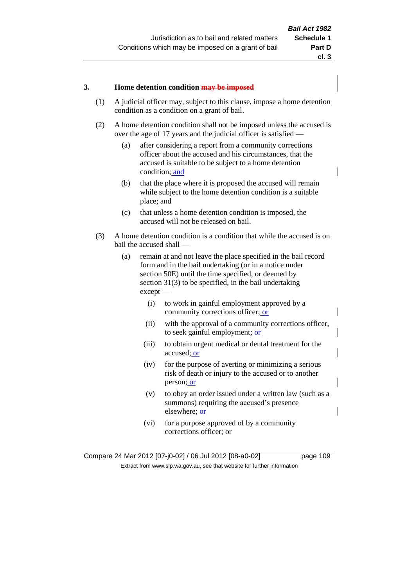#### **3. Home detention condition may be imposed**

- (1) A judicial officer may, subject to this clause, impose a home detention condition as a condition on a grant of bail.
- (2) A home detention condition shall not be imposed unless the accused is over the age of 17 years and the judicial officer is satisfied —
	- (a) after considering a report from a community corrections officer about the accused and his circumstances, that the accused is suitable to be subject to a home detention condition; and
	- (b) that the place where it is proposed the accused will remain while subject to the home detention condition is a suitable place; and
	- (c) that unless a home detention condition is imposed, the accused will not be released on bail.
- (3) A home detention condition is a condition that while the accused is on bail the accused shall —
	- (a) remain at and not leave the place specified in the bail record form and in the bail undertaking (or in a notice under section 50E) until the time specified, or deemed by section 31(3) to be specified, in the bail undertaking except —
		- (i) to work in gainful employment approved by a community corrections officer; or
		- (ii) with the approval of a community corrections officer, to seek gainful employment; or
		- (iii) to obtain urgent medical or dental treatment for the accused; or
		- (iv) for the purpose of averting or minimizing a serious risk of death or injury to the accused or to another person; or
		- (v) to obey an order issued under a written law (such as a summons) requiring the accused's presence elsewhere; or
		- (vi) for a purpose approved of by a community corrections officer; or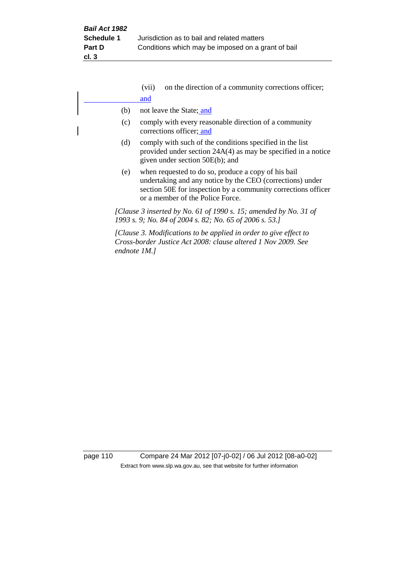|              | (vii) | on the direction of a community corrections officer;                                                                                                                                                                  |
|--------------|-------|-----------------------------------------------------------------------------------------------------------------------------------------------------------------------------------------------------------------------|
|              | and   |                                                                                                                                                                                                                       |
| (b)          |       | not leave the State; and                                                                                                                                                                                              |
| (c)          |       | comply with every reasonable direction of a community<br>corrections officer; and                                                                                                                                     |
| (d)          |       | comply with such of the conditions specified in the list<br>provided under section $24A(4)$ as may be specified in a notice<br>given under section 50E(b); and                                                        |
| (e)          |       | when requested to do so, produce a copy of his bail<br>undertaking and any notice by the CEO (corrections) under<br>section 50E for inspection by a community corrections officer<br>or a member of the Police Force. |
|              |       | [Clause 3 inserted by No. 61 of 1990 s. 15; amended by No. 31 of<br>1993 s. 9; No. 84 of 2004 s. 82; No. 65 of 2006 s. 53.]                                                                                           |
| endnote 1M.] |       | [Clause 3. Modifications to be applied in order to give effect to<br>Cross-border Justice Act 2008: clause altered 1 Nov 2009. See                                                                                    |

page 110 Compare 24 Mar 2012 [07-j0-02] / 06 Jul 2012 [08-a0-02] Extract from www.slp.wa.gov.au, see that website for further information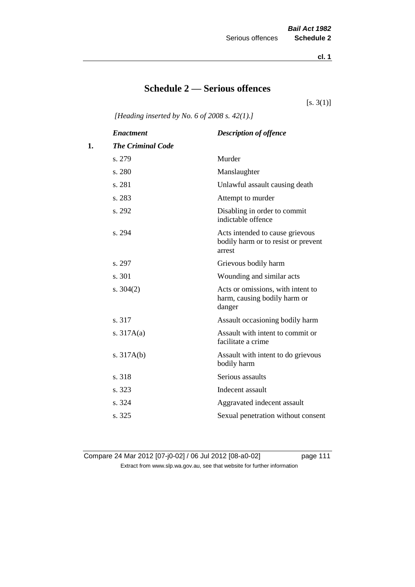**cl. 1**

# **Schedule 2 — Serious offences**

 $[s. 3(1)]$ 

*[Heading inserted by No. 6 of 2008 s. 42(1).]*

|    | <b>Enactment</b>         | <b>Description of offence</b>                                                    |
|----|--------------------------|----------------------------------------------------------------------------------|
| 1. | <b>The Criminal Code</b> |                                                                                  |
|    | s. 279                   | Murder                                                                           |
|    | s. 280                   | Manslaughter                                                                     |
|    | s. 281                   | Unlawful assault causing death                                                   |
|    | s. 283                   | Attempt to murder                                                                |
|    | s. 292                   | Disabling in order to commit<br>indictable offence                               |
|    | s. 294                   | Acts intended to cause grievous<br>bodily harm or to resist or prevent<br>arrest |
|    | s. 297                   | Grievous bodily harm                                                             |
|    | s. 301                   | Wounding and similar acts                                                        |
|    | s. $304(2)$              | Acts or omissions, with intent to<br>harm, causing bodily harm or<br>danger      |
|    | s. 317                   | Assault occasioning bodily harm                                                  |
|    | s. $317A(a)$             | Assault with intent to commit or<br>facilitate a crime                           |
|    | s. $317A(b)$             | Assault with intent to do grievous<br>bodily harm                                |
|    | s. 318                   | Serious assaults                                                                 |
|    | s. 323                   | Indecent assault                                                                 |
|    | s. 324                   | Aggravated indecent assault                                                      |
|    | s. 325                   | Sexual penetration without consent                                               |

Compare 24 Mar 2012 [07-j0-02] / 06 Jul 2012 [08-a0-02] page 111 Extract from www.slp.wa.gov.au, see that website for further information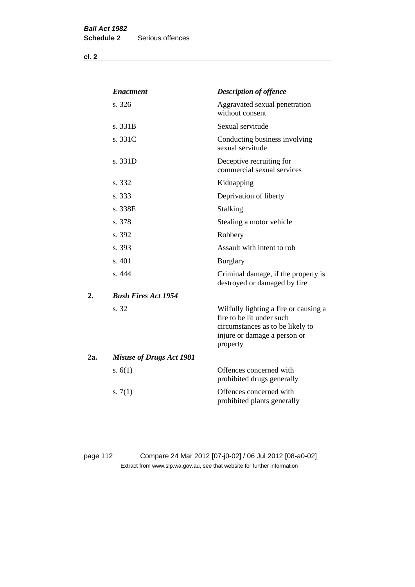**cl. 2**

|     | <b>Enactment</b>                | <b>Description of offence</b>                                                                                                                      |
|-----|---------------------------------|----------------------------------------------------------------------------------------------------------------------------------------------------|
|     | s. 326                          | Aggravated sexual penetration<br>without consent                                                                                                   |
|     | s. 331B                         | Sexual servitude                                                                                                                                   |
|     | s. 331C                         | Conducting business involving<br>sexual servitude                                                                                                  |
|     | s. 331D                         | Deceptive recruiting for<br>commercial sexual services                                                                                             |
|     | s. 332                          | Kidnapping                                                                                                                                         |
|     | s. 333                          | Deprivation of liberty                                                                                                                             |
|     | s. 338E                         | Stalking                                                                                                                                           |
|     | s. 378                          | Stealing a motor vehicle                                                                                                                           |
|     | s. 392                          | Robbery                                                                                                                                            |
|     | s. 393                          | Assault with intent to rob                                                                                                                         |
|     | s. 401                          | <b>Burglary</b>                                                                                                                                    |
|     | s. 444                          | Criminal damage, if the property is<br>destroyed or damaged by fire                                                                                |
| 2.  | <b>Bush Fires Act 1954</b>      |                                                                                                                                                    |
|     | s. 32                           | Wilfully lighting a fire or causing a<br>fire to be lit under such<br>circumstances as to be likely to<br>injure or damage a person or<br>property |
| 2a. | <b>Misuse of Drugs Act 1981</b> |                                                                                                                                                    |
|     | s. $6(1)$                       | Offences concerned with<br>prohibited drugs generally                                                                                              |
|     | s. $7(1)$                       | Offences concerned with<br>prohibited plants generally                                                                                             |

page 112 Compare 24 Mar 2012 [07-j0-02] / 06 Jul 2012 [08-a0-02] Extract from www.slp.wa.gov.au, see that website for further information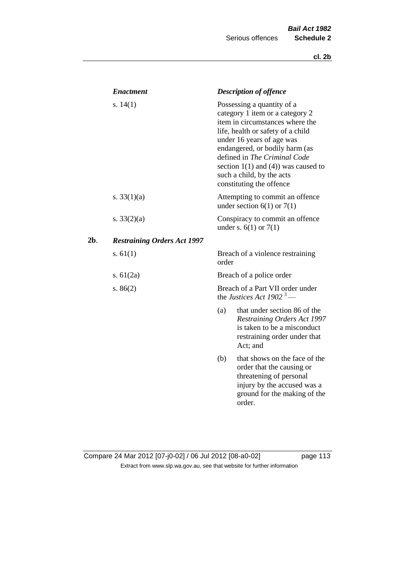|     | <b>Enactment</b>                   |       | <b>Description of offence</b>                                                                                                                                                                                                                                                                                                             |
|-----|------------------------------------|-------|-------------------------------------------------------------------------------------------------------------------------------------------------------------------------------------------------------------------------------------------------------------------------------------------------------------------------------------------|
|     | s. $14(1)$                         |       | Possessing a quantity of a<br>category 1 item or a category 2<br>item in circumstances where the<br>life, health or safety of a child<br>under 16 years of age was<br>endangered, or bodily harm (as<br>defined in The Criminal Code<br>section $1(1)$ and $(4)$ ) was caused to<br>such a child, by the acts<br>constituting the offence |
|     | s. $33(1)(a)$                      |       | Attempting to commit an offence<br>under section $6(1)$ or $7(1)$                                                                                                                                                                                                                                                                         |
|     | s. $33(2)(a)$                      |       | Conspiracy to commit an offence<br>under s. $6(1)$ or $7(1)$                                                                                                                                                                                                                                                                              |
| 2b. | <b>Restraining Orders Act 1997</b> |       |                                                                                                                                                                                                                                                                                                                                           |
|     | s. $61(1)$                         | order | Breach of a violence restraining                                                                                                                                                                                                                                                                                                          |
|     | s. $61(2a)$                        |       | Breach of a police order                                                                                                                                                                                                                                                                                                                  |
|     | s. $86(2)$                         |       | Breach of a Part VII order under<br>the Justices Act 1902 <sup>3</sup> —                                                                                                                                                                                                                                                                  |
|     |                                    | (a)   | that under section 86 of the<br>Restraining Orders Act 1997<br>is taken to be a misconduct<br>restraining order under that<br>Act; and                                                                                                                                                                                                    |
|     |                                    | (b)   | that shows on the face of the<br>order that the causing or<br>threatening of personal<br>injury by the accused was a<br>ground for the making of the<br>order.                                                                                                                                                                            |

## Compare 24 Mar 2012 [07-j0-02] / 06 Jul 2012 [08-a0-02] page 113 Extract from www.slp.wa.gov.au, see that website for further information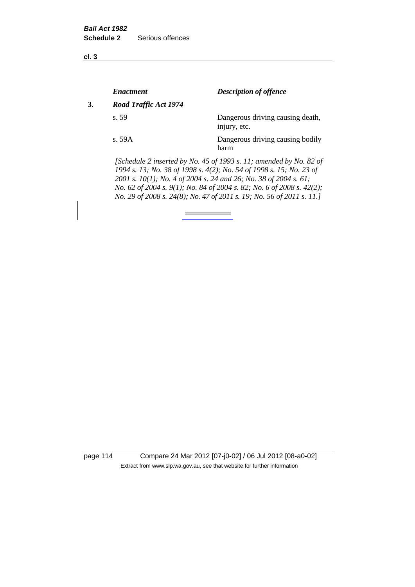**cl. 3**

|    | <i><b>Enactment</b></i> | <b>Description of offence</b>                                                                                                                                                                                                                                                          |
|----|-------------------------|----------------------------------------------------------------------------------------------------------------------------------------------------------------------------------------------------------------------------------------------------------------------------------------|
| 3. | Road Traffic Act 1974   |                                                                                                                                                                                                                                                                                        |
|    | s. 59                   | Dangerous driving causing death,<br>injury, etc.                                                                                                                                                                                                                                       |
|    | s.59A                   | Dangerous driving causing bodily<br>harm                                                                                                                                                                                                                                               |
|    |                         | [Schedule 2 inserted by No. 45 of 1993 s. 11; amended by No. 82 of<br>1994 s. 13; No. 38 of 1998 s. 4(2); No. 54 of 1998 s. 15; No. 23 of<br>2001 s. 10(1); No. 4 of 2004 s. 24 and 26; No. 38 of 2004 s. 61;<br>No. 62 of 2004 s. 9(1); No. 84 of 2004 s. 82; No. 6 of 2008 s. 42(2); |

*No. 29 of 2008 s. 24(8); No. 47 of 2011 s. 19; No. 56 of 2011 s. 11.]* 

page 114 Compare 24 Mar 2012 [07-j0-02] / 06 Jul 2012 [08-a0-02] Extract from www.slp.wa.gov.au, see that website for further information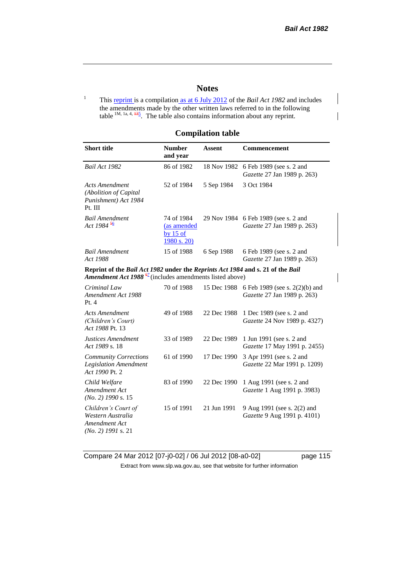### **Notes**

<sup>1</sup> This reprint is a compilation as at 6 July 2012 of the *Bail Act 1982* and includes the amendments made by the other written laws referred to in the following table  $1M$ , 1a, 4,  $\frac{135}{2}$ . The table also contains information about any reprint.

#### **Compilation table**

| <b>Short title</b>                                                                                                                                     | <b>Number</b><br>and year                             | <b>Assent</b> | Commencement                                                        |
|--------------------------------------------------------------------------------------------------------------------------------------------------------|-------------------------------------------------------|---------------|---------------------------------------------------------------------|
| Bail Act 1982                                                                                                                                          | 86 of 1982                                            | 18 Nov 1982   | 6 Feb 1989 (see s. 2 and<br>Gazette 27 Jan 1989 p. 263)             |
| Acts Amendment<br>(Abolition of Capital<br>Punishment) Act 1984<br>Pt. III                                                                             | 52 of 1984                                            | 5 Sep 1984    | 3 Oct 1984                                                          |
| <b>Bail Amendment</b><br>Act 1984 <sup>56</sup>                                                                                                        | 74 of 1984<br>(as amended<br>by $15$ of<br>1980 s. 20 |               | 29 Nov 1984 6 Feb 1989 (see s. 2 and<br>Gazette 27 Jan 1989 p. 263) |
| <b>Bail Amendment</b><br>Act 1988                                                                                                                      | 15 of 1988                                            | 6 Sep 1988    | 6 Feb 1989 (see s. 2 and<br>Gazette 27 Jan 1989 p. 263)             |
| Reprint of the Bail Act 1982 under the Reprints Act 1984 and s. 21 of the Bail<br>Amendment Act 1988 $\frac{67}{2}$ (includes amendments listed above) |                                                       |               |                                                                     |
| Criminal Law<br>Amendment Act 1988<br>Pt.4                                                                                                             | 70 of 1988                                            | 15 Dec 1988   | 6 Feb 1989 (see s. 2(2)(b) and<br>Gazette 27 Jan 1989 p. 263)       |
| <b>Acts Amendment</b><br>(Children's Court)<br>Act 1988 Pt. 13                                                                                         | 49 of 1988                                            | 22 Dec 1988   | 1 Dec 1989 (see s. 2 and<br>Gazette 24 Nov 1989 p. 4327)            |
| Justices Amendment<br>Act 1989 s. 18                                                                                                                   | 33 of 1989                                            | 22 Dec 1989   | 1 Jun 1991 (see s. 2 and<br>Gazette 17 May 1991 p. 2455)            |
| <b>Community Corrections</b><br><b>Legislation Amendment</b><br>Act 1990 Pt. 2                                                                         | 61 of 1990                                            | 17 Dec 1990   | 3 Apr 1991 (see s. 2 and<br>Gazette 22 Mar 1991 p. 1209)            |
| Child Welfare<br>Amendment Act<br>$(No. 2)$ 1990 s. 15                                                                                                 | 83 of 1990                                            | 22 Dec 1990   | 1 Aug 1991 (see s. 2 and<br>Gazette 1 Aug 1991 p. 3983)             |
| Children's Court of<br>Western Australia<br>Amendment Act<br>$(No. 2)$ 1991 s. 21                                                                      | 15 of 1991                                            | 21 Jun 1991   | 9 Aug 1991 (see s. 2(2) and<br>Gazette 9 Aug 1991 p. 4101)          |

Compare 24 Mar 2012 [07-j0-02] / 06 Jul 2012 [08-a0-02] page 115 Extract from www.slp.wa.gov.au, see that website for further information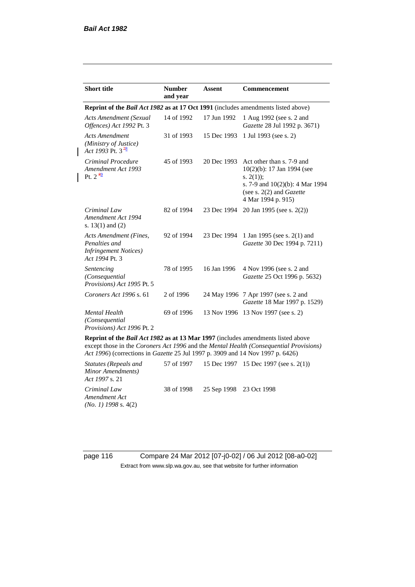| <b>Short title</b>                                                                         | <b>Number</b><br>and year | <b>Assent</b> | <b>Commencement</b>                                                                                                                                                        |
|--------------------------------------------------------------------------------------------|---------------------------|---------------|----------------------------------------------------------------------------------------------------------------------------------------------------------------------------|
| <b>Reprint of the Bail Act 1982 as at 17 Oct 1991</b> (includes amendments listed above)   |                           |               |                                                                                                                                                                            |
| <b>Acts Amendment (Sexual</b><br>Offences) Act 1992 Pt. 3                                  | 14 of 1992                | 17 Jun 1992   | 1 Aug 1992 (see s. 2 and<br>Gazette 28 Jul 1992 p. 3671)                                                                                                                   |
| <b>Acts Amendment</b><br>(Ministry of Justice)<br>Act 1993 Pt. 3 $\frac{48}{5}$            | 31 of 1993                | 15 Dec 1993   | 1 Jul 1993 (see s. 2)                                                                                                                                                      |
| Criminal Procedure<br>Amendment Act 1993<br>Pt. $2^{\frac{89}{2}}$                         | 45 of 1993                | 20 Dec 1993   | Act other than s. 7-9 and<br>$10(2)(b)$ : 17 Jan 1994 (see<br>s. $2(1)$ ;<br>s. 7-9 and $10(2)(b)$ : 4 Mar 1994<br>(see s. $2(2)$ and <i>Gazette</i><br>4 Mar 1994 p. 915) |
| Criminal Law<br>Amendment Act 1994<br>s. $13(1)$ and $(2)$                                 | 82 of 1994                | 23 Dec 1994   | 20 Jan 1995 (see s. 2(2))                                                                                                                                                  |
| Acts Amendment (Fines,<br>Penalties and<br><b>Infringement Notices</b> )<br>Act 1994 Pt. 3 | 92 of 1994                | 23 Dec 1994   | 1 Jan 1995 (see s. 2(1) and<br>Gazette 30 Dec 1994 p. 7211)                                                                                                                |
| Sentencing<br>(Consequential<br>Provisions) Act 1995 Pt. 5                                 | 78 of 1995                | 16 Jan 1996   | 4 Nov 1996 (see s. 2 and<br>Gazette 25 Oct 1996 p. 5632)                                                                                                                   |
| Coroners Act 1996 s. 61                                                                    | 2 of 1996                 |               | 24 May 1996 7 Apr 1997 (see s. 2 and<br>Gazette 18 Mar 1997 p. 1529)                                                                                                       |
| <b>Mental Health</b><br>(Consequential)<br>Provisions) Act 1996 Pt. 2                      | 69 of 1996                |               | 13 Nov 1996 13 Nov 1997 (see s. 2)                                                                                                                                         |

**Reprint of the** *Bail Act 1982* **as at 13 Mar 1997** (includes amendments listed above except those in the *Coroners Act 1996* and the *Mental Health (Consequential Provisions) Act 1996*) (corrections in *Gazette* 25 Jul 1997 p. 3909 and 14 Nov 1997 p. 6426)

*Statutes (Repeals and Minor Amendments) Act 1997* s. 21 57 of 1997 15 Dec 1997 15 Dec 1997 (see s. 2(1)) *Criminal Law Amendment Act (No. 1) 1998* s. 4(2) 38 of 1998 25 Sep 1998 23 Oct 1998

page 116 Compare 24 Mar 2012 [07-j0-02] / 06 Jul 2012 [08-a0-02] Extract from www.slp.wa.gov.au, see that website for further information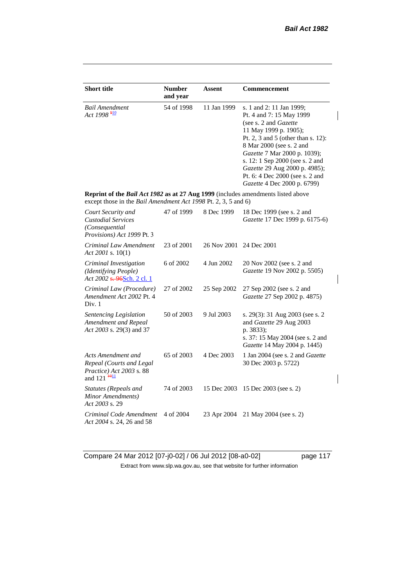$\begin{array}{c} \rule{0pt}{2ex} \rule{0pt}{2ex} \rule{0pt}{2ex} \rule{0pt}{2ex} \rule{0pt}{2ex} \rule{0pt}{2ex} \rule{0pt}{2ex} \rule{0pt}{2ex} \rule{0pt}{2ex} \rule{0pt}{2ex} \rule{0pt}{2ex} \rule{0pt}{2ex} \rule{0pt}{2ex} \rule{0pt}{2ex} \rule{0pt}{2ex} \rule{0pt}{2ex} \rule{0pt}{2ex} \rule{0pt}{2ex} \rule{0pt}{2ex} \rule{0pt}{2ex} \rule{0pt}{2ex} \rule{0pt}{2ex} \rule{0pt}{2ex} \rule{0pt}{$ 

 $\overline{\phantom{a}}$ 

 $\overline{\phantom{a}}$ 

| <b>Short title</b>                                                                                                                                 | <b>Number</b><br>and year | Assent                  | Commencement                                                                                                                                                                                                                                                                                                                                            |
|----------------------------------------------------------------------------------------------------------------------------------------------------|---------------------------|-------------------------|---------------------------------------------------------------------------------------------------------------------------------------------------------------------------------------------------------------------------------------------------------------------------------------------------------------------------------------------------------|
| <b>Bail Amendment</b><br>Act 1998 <sup>910</sup>                                                                                                   | 54 of 1998                | 11 Jan 1999             | s. 1 and 2: 11 Jan 1999;<br>Pt. 4 and 7: 15 May 1999<br>(see s. 2 and <i>Gazette</i> )<br>11 May 1999 p. 1905);<br>Pt. 2, 3 and 5 (other than s. 12):<br>8 Mar 2000 (see s. 2 and<br>Gazette 7 Mar 2000 p. 1039);<br>s. 12: 1 Sep 2000 (see s. 2 and<br>Gazette 29 Aug 2000 p. 4985);<br>Pt. 6: 4 Dec 2000 (see s. 2 and<br>Gazette 4 Dec 2000 p. 6799) |
| Reprint of the Bail Act 1982 as at 27 Aug 1999 (includes amendments listed above<br>except those in the Bail Amendment Act 1998 Pt. 2, 3, 5 and 6) |                           |                         |                                                                                                                                                                                                                                                                                                                                                         |
| Court Security and<br><b>Custodial Services</b><br>(Consequential<br>Provisions) Act 1999 Pt. 3                                                    | 47 of 1999                | 8 Dec 1999              | 18 Dec 1999 (see s. 2 and<br>Gazette 17 Dec 1999 p. 6175-6)                                                                                                                                                                                                                                                                                             |
| Criminal Law Amendment<br>Act 2001 s. $10(1)$                                                                                                      | 23 of 2001                | 26 Nov 2001 24 Dec 2001 |                                                                                                                                                                                                                                                                                                                                                         |
| Criminal Investigation<br>(Identifying People)<br>Act 2002 s. 96Sch. 2 cl. 1                                                                       | 6 of 2002                 | 4 Jun 2002              | 20 Nov 2002 (see s. 2 and<br>Gazette 19 Nov 2002 p. 5505)                                                                                                                                                                                                                                                                                               |
| Criminal Law (Procedure)<br>Amendment Act 2002 Pt. 4<br>Div. 1                                                                                     | 27 of 2002                | 25 Sep 2002             | 27 Sep 2002 (see s. 2 and<br>Gazette 27 Sep 2002 p. 4875)                                                                                                                                                                                                                                                                                               |
| Sentencing Legislation<br><b>Amendment and Repeal</b><br>Act 2003 s. 29(3) and 37                                                                  | 50 of 2003                | 9 Jul 2003              | s. 29(3): 31 Aug 2003 (see s. 2<br>and Gazette 29 Aug 2003<br>p. 3833);<br>s. 37: 15 May 2004 (see s. 2 and<br>Gazette 14 May 2004 p. 1445)                                                                                                                                                                                                             |
| Acts Amendment and<br>Repeal (Courts and Legal<br>Practice) Act 2003 s. 88<br>and $121 \frac{4011}{ }$                                             | 65 of 2003                | 4 Dec 2003              | 1 Jan 2004 (see s. 2 and Gazette<br>30 Dec 2003 p. 5722)                                                                                                                                                                                                                                                                                                |
| <b>Statutes (Repeals and</b><br>Minor Amendments)<br>Act 2003 s. 29                                                                                | 74 of 2003                | 15 Dec 2003             | 15 Dec 2003 (see s. 2)                                                                                                                                                                                                                                                                                                                                  |
| Criminal Code Amendment<br>Act 2004 s. 24, 26 and 58                                                                                               | 4 of 2004                 | 23 Apr 2004             | 21 May 2004 (see s. 2)                                                                                                                                                                                                                                                                                                                                  |

Compare 24 Mar 2012 [07-j0-02] / 06 Jul 2012 [08-a0-02] page 117 Extract from www.slp.wa.gov.au, see that website for further information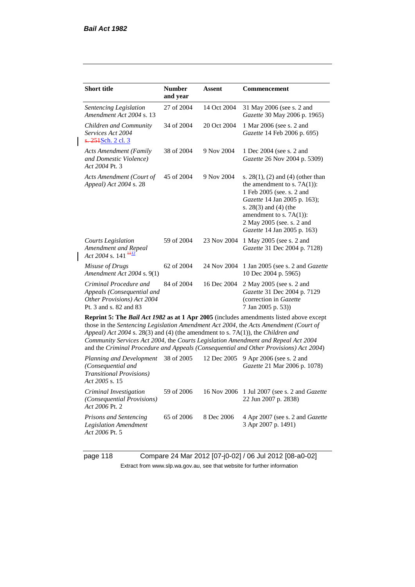*Act 2006* Pt. 5

 $\overline{\phantom{a}}$ 

| <b>Short title</b>                                                                                           | <b>Number</b><br>and year | Assent      | Commencement                                                                                                                                                                                                                                                                                                                                                 |
|--------------------------------------------------------------------------------------------------------------|---------------------------|-------------|--------------------------------------------------------------------------------------------------------------------------------------------------------------------------------------------------------------------------------------------------------------------------------------------------------------------------------------------------------------|
| Sentencing Legislation<br>Amendment Act 2004 s. 13                                                           | 27 of 2004                | 14 Oct 2004 | 31 May 2006 (see s. 2 and<br>Gazette 30 May 2006 p. 1965)                                                                                                                                                                                                                                                                                                    |
| Children and Community<br>Services Act 2004<br>s. 251Sch. 2 cl. 3                                            | 34 of 2004                | 20 Oct 2004 | 1 Mar 2006 (see s. 2 and<br>Gazette 14 Feb 2006 p. 695)                                                                                                                                                                                                                                                                                                      |
| <b>Acts Amendment (Family</b><br>and Domestic Violence)<br>Act 2004 Pt. 3                                    | 38 of 2004                | 9 Nov 2004  | 1 Dec 2004 (see s. 2 and<br>Gazette 26 Nov 2004 p. 5309)                                                                                                                                                                                                                                                                                                     |
| Acts Amendment (Court of<br>Appeal) Act 2004 s. 28                                                           | 45 of 2004                | 9 Nov 2004  | s. $28(1)$ , (2) and (4) (other than<br>the amendment to s. $7A(1)$ :<br>1 Feb 2005 (see. s. 2 and<br>Gazette 14 Jan 2005 p. 163);<br>s. $28(3)$ and $(4)$ (the<br>amendment to s. $7A(1)$ :<br>2 May 2005 (see. s. 2 and<br>Gazette 14 Jan 2005 p. 163)                                                                                                     |
| Courts Legislation<br>Amendment and Repeal<br>Act 2004 s. 141 $\frac{112}{1}$                                | 59 of 2004                | 23 Nov 2004 | 1 May 2005 (see s. 2 and<br>Gazette 31 Dec 2004 p. 7128)                                                                                                                                                                                                                                                                                                     |
| Misuse of Drugs<br>Amendment Act 2004 s. 9(1)                                                                | 62 of 2004                | 24 Nov 2004 | 1 Jan 2005 (see s. 2 and <i>Gazette</i><br>10 Dec 2004 p. 5965)                                                                                                                                                                                                                                                                                              |
| Criminal Procedure and<br>Appeals (Consequential and<br>Other Provisions) Act 2004<br>Pt. 3 and s. 82 and 83 | 84 of 2004                | 16 Dec 2004 | 2 May 2005 (see s. 2 and<br>Gazette 31 Dec 2004 p. 7129<br>(correction in Gazette<br>7 Jan 2005 p. 53))                                                                                                                                                                                                                                                      |
| Appeal) Act 2004 s. 28(3) and (4) (the amendment to s. 7A(1)), the Children and                              |                           |             | Reprint 5: The Bail Act 1982 as at 1 Apr 2005 (includes amendments listed above except<br>those in the Sentencing Legislation Amendment Act 2004, the Acts Amendment (Court of<br>Community Services Act 2004, the Courts Legislation Amendment and Repeal Act 2004<br>and the Criminal Procedure and Appeals (Consequential and Other Provisions) Act 2004) |
| Planning and Development<br>(Consequential and<br><b>Transitional Provisions</b> )<br>Act 2005 s. 15         | 38 of 2005                | 12 Dec 2005 | 9 Apr 2006 (see s. 2 and<br>Gazette 21 Mar 2006 p. 1078)                                                                                                                                                                                                                                                                                                     |
| Criminal Investigation<br>(Consequential Provisions)<br>Act 2006 Pt. 2                                       | 59 of 2006                | 16 Nov 2006 | 1 Jul 2007 (see s. 2 and <i>Gazette</i><br>22 Jun 2007 p. 2838)                                                                                                                                                                                                                                                                                              |
| Prisons and Sentencing<br><b>Legislation Amendment</b>                                                       | 65 of 2006                | 8 Dec 2006  | 4 Apr 2007 (see s. 2 and Gazette<br>3 Apr 2007 p. 1491)                                                                                                                                                                                                                                                                                                      |

page 118 Compare 24 Mar 2012 [07-j0-02] / 06 Jul 2012 [08-a0-02] Extract from www.slp.wa.gov.au, see that website for further information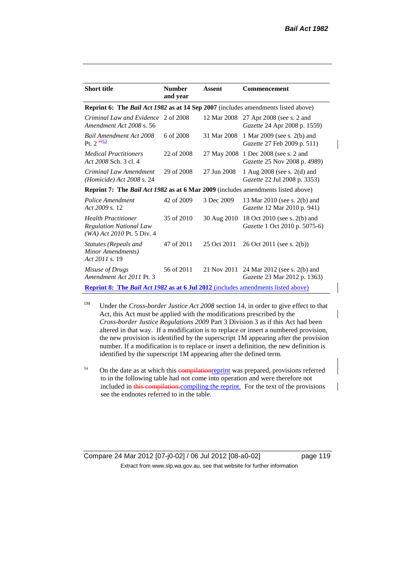| <b>Short title</b>                                                                              | <b>Number</b><br>and year | Assent      | <b>Commencement</b>                                                  |
|-------------------------------------------------------------------------------------------------|---------------------------|-------------|----------------------------------------------------------------------|
| <b>Reprint 6:</b> The <i>Bail Act 1982</i> as at 14 Sep 2007 (includes amendments listed above) |                           |             |                                                                      |
| Criminal Law and Evidence<br>Amendment Act 2008 s. 56                                           | 2 of 2008                 | 12 Mar 2008 | 27 Apr 2008 (see s. 2 and<br>Gazette 24 Apr 2008 p. 1559)            |
| Bail Amendment Act 2008<br>Pt. $2^{\frac{1213}{2}}$                                             | 6 of 2008                 | 31 Mar 2008 | 1 Mar 2009 (see s. 2(b) and<br>Gazette 27 Feb 2009 p. 511)           |
| <i>Medical Practitioners</i><br>Act 2008 Sch. 3 cl. 4                                           | 22 of 2008                |             | 27 May 2008 1 Dec 2008 (see s. 2 and<br>Gazette 25 Nov 2008 p. 4989) |
| Criminal Law Amendment<br>$(Homicide)$ Act 2008 s. 24                                           | 29 of 2008                | 27 Jun 2008 | 1 Aug $2008$ (see s. $2(d)$ and<br>Gazette 22 Jul 2008 p. 3353)      |
| <b>Reprint 7:</b> The <i>Bail Act 1982</i> as at 6 Mar 2009 (includes amendments listed above)  |                           |             |                                                                      |
| Police Amendment<br>Act 2009 s. 12                                                              | 42 of 2009                | 3 Dec 2009  | 13 Mar 2010 (see s. 2(b) and<br><i>Gazette</i> 12 Mar 2010 p. 941)   |
| <b>Health Practitioner</b><br><b>Regulation National Law</b><br>$(WA)$ Act 2010 Pt. 5 Div. 4    | 35 of 2010                | 30 Aug 2010 | 18 Oct 2010 (see s. 2(b) and<br>Gazette 1 Oct 2010 p. 5075-6)        |
| Statutes (Repeals and<br>Minor Amendments)<br>Act 2011 s. 19                                    | 47 of 2011                | 25 Oct 2011 | 26 Oct 2011 (see s. 2(b))                                            |
| Misuse of Drugs<br>Amendment Act 2011 Pt. 3                                                     | 56 of 2011                | 21 Nov 2011 | 24 Mar 2012 (see s. 2(b) and<br>Gazette 23 Mar 2012 p. 1363)         |
| <b>Reprint 8:</b> The <i>Bail Act 1982</i> as at 6 Jul 2012 (includes amendments listed above)  |                           |             |                                                                      |

<sup>1M</sup> Under the *Cross-border Justice Act 2008* section 14, in order to give effect to that Act, this Act must be applied with the modifications prescribed by the *Cross-border Justice Regulations 2009* Part 3 Division 3 as if this Act had been altered in that way. If a modification is to replace or insert a numbered provision, the new provision is identified by the superscript 1M appearing after the provision number. If a modification is to replace or insert a definition, the new definition is identified by the superscript 1M appearing after the defined term.

<sup>1a</sup> On the date as at which this compilation eprint was prepared, provisions referred to in the following table had not come into operation and were therefore not included in this compilation.compiling the reprint. For the text of the provisions see the endnotes referred to in the table.

Compare 24 Mar 2012 [07-j0-02] / 06 Jul 2012 [08-a0-02] page 119 Extract from www.slp.wa.gov.au, see that website for further information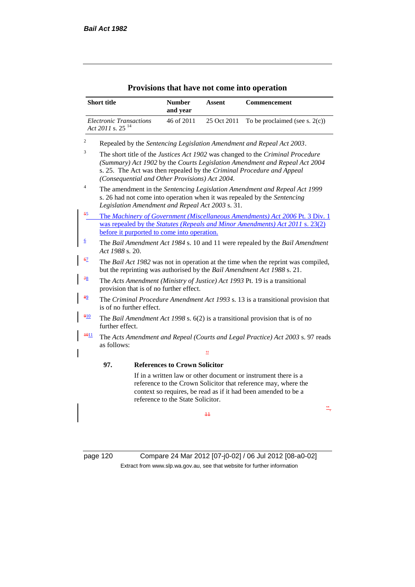| <b>Short title</b>                                             |                                                                                                              | <b>Number</b><br>and year                      | Assent                                           | Commencement                                                                                                                                                                                                                          |
|----------------------------------------------------------------|--------------------------------------------------------------------------------------------------------------|------------------------------------------------|--------------------------------------------------|---------------------------------------------------------------------------------------------------------------------------------------------------------------------------------------------------------------------------------------|
| <b>Electronic Transactions</b><br>Act 2011 s. 25 <sup>14</sup> |                                                                                                              | 46 of 2011                                     | 25 Oct 2011                                      | To be proclaimed (see s. $2(c)$ )                                                                                                                                                                                                     |
| 2                                                              |                                                                                                              |                                                |                                                  | Repealed by the Sentencing Legislation Amendment and Repeal Act 2003.                                                                                                                                                                 |
| 3                                                              |                                                                                                              | (Consequential and Other Provisions) Act 2004. |                                                  | The short title of the Justices Act 1902 was changed to the Criminal Procedure<br>(Summary) Act 1902 by the Courts Legislation Amendment and Repeal Act 2004<br>s. 25. The Act was then repealed by the Criminal Procedure and Appeal |
| 4                                                              |                                                                                                              |                                                | Legislation Amendment and Repeal Act 2003 s. 31. | The amendment in the Sentencing Legislation Amendment and Repeal Act 1999<br>s. 26 had not come into operation when it was repealed by the Sentencing                                                                                 |
| 55                                                             |                                                                                                              | before it purported to come into operation.    |                                                  | The Machinery of Government (Miscellaneous Amendments) Act 2006 Pt. 3 Div. 1<br>was repealed by the <i>Statutes (Repeals and Minor Amendments) Act 2011 s. 23(2)</i>                                                                  |
| <u>6</u>                                                       | The Bail Amendment Act 1984 s. 10 and 11 were repealed by the Bail Amendment<br>Act 1988 s. 20.              |                                                |                                                  |                                                                                                                                                                                                                                       |
| 67                                                             |                                                                                                              |                                                |                                                  | The Bail Act 1982 was not in operation at the time when the reprint was compiled,<br>but the reprinting was authorised by the Bail Amendment Act 1988 s. 21.                                                                          |
| 78                                                             |                                                                                                              | provision that is of no further effect.        |                                                  | The Acts Amendment (Ministry of Justice) Act 1993 Pt. 19 is a transitional                                                                                                                                                            |
| 89                                                             | The Criminal Procedure Amendment Act 1993 s. 13 is a transitional provision that<br>is of no further effect. |                                                |                                                  |                                                                                                                                                                                                                                       |
| 910<br>further effect.                                         |                                                                                                              |                                                |                                                  | The Bail Amendment Act 1998 s. $6(2)$ is a transitional provision that is of no                                                                                                                                                       |
| $+011$<br>as follows:                                          |                                                                                                              |                                                |                                                  | The Acts Amendment and Repeal (Courts and Legal Practice) Act 2003 s. 97 reads                                                                                                                                                        |
| 97.                                                            |                                                                                                              | <b>References to Crown Solicitor</b>           |                                                  |                                                                                                                                                                                                                                       |
|                                                                |                                                                                                              | reference to the State Solicitor.              |                                                  | If in a written law or other document or instrument there is a<br>reference to the Crown Solicitor that reference may, where the<br>context so requires, be read as if it had been amended to be a                                    |
|                                                                |                                                                                                              |                                                | #                                                | "                                                                                                                                                                                                                                     |

#### **Provisions that have not come into operation**

page 120 Compare 24 Mar 2012 [07-j0-02] / 06 Jul 2012 [08-a0-02] Extract from www.slp.wa.gov.au, see that website for further information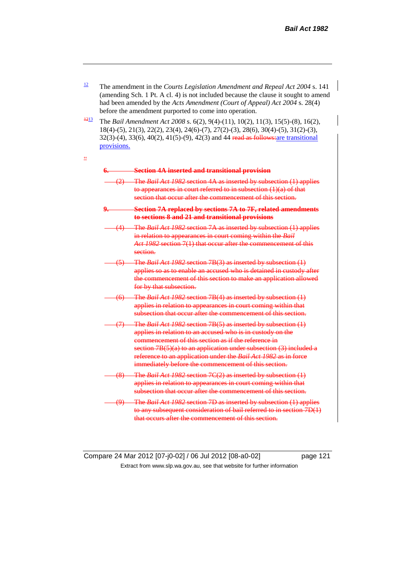- <sup>12</sup> The amendment in the *Courts Legislation Amendment and Repeal Act* 2004 s. 141 (amending Sch. 1 Pt. A cl. 4) is not included because the clause it sought to amend had been amended by the *Acts Amendment (Court of Appeal) Act 2004* s. 28(4) before the amendment purported to come into operation.
- <sup>1213</sup> The *Bail Amendment Act 2008* s. 6(2), 9(4)-(11), 10(2), 11(3), 15(5)-(8), 16(2), 18(4)-(5), 21(3), 22(2), 23(4), 24(6)-(7), 27(2)-(3), 28(6), 30(4)-(5), 31(2)-(3), 32(3)-(4), 33(6), 40(2), 41(5)-(9), 42(3) and 44 read as follows:are transitional provisions.

"

#### **6. Section 4A inserted and transitional provision**

- (2) The *Bail Act 1982* section 4A as inserted by subsection (1) applies to appearances in court referred to in subsection (1)(a) of that section that occur after the commencement of this section.
- **9. Section 7A replaced by sections 7A to 7F, related amendments to sections 8 and 21 and transitional provisions**
- (4) The *Bail Act 1982* section 7A as inserted by subsection (1) applies in relation to appearances in court coming within the *Bail Act 1982* section 7(1) that occur after the commencement of this section.
- (5) The *Bail Act 1982* section 7B(3) as inserted by subsection (1) applies so as to enable an accused who is detained in custody after the commencement of this section to make an application allowed for by that subsection.
- (6) The *Bail Act 1982* section 7B(4) as inserted by subsection (1) applies in relation to appearances in court coming within that subsection that occur after the commencement of this section.
- (7) The *Bail Act 1982* section 7B(5) as inserted by subsection (1) applies in relation to an accused who is in custody on the commencement of this section as if the reference in section  $7B(5)(a)$  to an application under subsection  $(3)$  included a reference to an application under the *Bail Act 1982* as in force immediately before the commencement of this section.
- (8) The *Bail Act 1982* section 7C(2) as inserted by subsection (1) applies in relation to appearances in court coming within that subsection that occur after the commencement of this section.
- (9) The *Bail Act 1982* section 7D as inserted by subsection (1) applies to any subsequent consideration of bail referred to in section 7D(1) that occurs after the commencement of this section.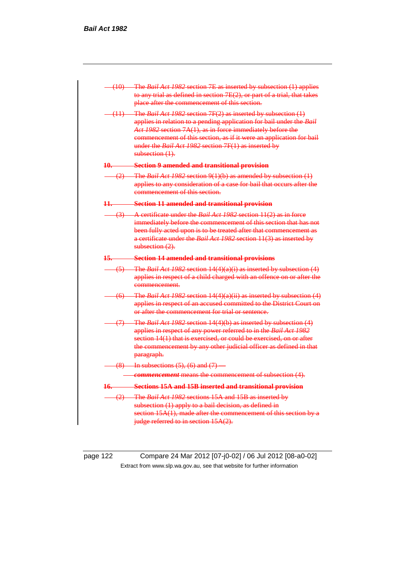| (10) The Bail Act 1982 section 7E as inserted by subsection (1) applies<br>to any trial as defined in section 7E(2), or part of a trial, that takes<br>place after the commencement of this section.                                                                                                                                                                  |
|-----------------------------------------------------------------------------------------------------------------------------------------------------------------------------------------------------------------------------------------------------------------------------------------------------------------------------------------------------------------------|
| $-$ (11) The <i>Bail Act 1982</i> section 7F(2) as inserted by subsection (1)<br>applies in relation to a pending application for bail under the Bail<br>Act 1982 section 7A(1), as in force immediately before the<br>commencement of this section, as if it were an application for bail<br>under the Bail Act 1982 section 7F(1) as inserted by<br>subsection (1). |
| 10. Section 9 amended and transitional provision                                                                                                                                                                                                                                                                                                                      |
| $\frac{1}{2}$ The <i>Bail Act 1982</i> section 9(1)(b) as amended by subsection (1)<br>applies to any consideration of a case for bail that occurs after the<br>commencement of this section.                                                                                                                                                                         |
| 11. Section 11 amended and transitional provision                                                                                                                                                                                                                                                                                                                     |
| (3) A certificate under the <i>Bail Act 1982</i> section 11(2) as in force<br>immediately before the commencement of this section that has not<br>been fully acted upon is to be treated after that commencement as<br>a certificate under the Bail Act 1982 section 11(3) as inserted by<br>subsection $(2)$ .                                                       |
| 15. Section 14 amended and transitional provisions                                                                                                                                                                                                                                                                                                                    |
| $(5)$ The <i>Bail Act 1982</i> section $14(4)(a)(i)$ as inserted by subsection $(4)$<br>applies in respect of a child charged with an offence on or after the<br>commencement.                                                                                                                                                                                        |
| $(6)$ The <i>Bail Act 1982</i> section 14(4)(a)(ii) as inserted by subsection (4)<br>applies in respect of an accused committed to the District Court on<br>or after the commencement for trial or sentence.                                                                                                                                                          |
| (7) The Bail Act 1982 section 14(4)(b) as inserted by subsection (4)<br>applies in respect of any power referred to in the Bail Act 1982<br>section 14(1) that is exercised, or could be exercised, on or after<br>the commencement by any other judicial officer as defined in that<br>paragraph.                                                                    |
|                                                                                                                                                                                                                                                                                                                                                                       |
| $(8)$ In subsections $(5)$ , $(6)$ and $(7)$ —                                                                                                                                                                                                                                                                                                                        |
| <b>Commencement</b> means the commencement of subsection (4).                                                                                                                                                                                                                                                                                                         |
| 16. Sections 15A and 15B inserted and transitional provision                                                                                                                                                                                                                                                                                                          |
| (2) The <i>Bail Act 1982</i> sections 15A and 15B as inserted by<br>subsection (1) apply to a bail decision, as defined in<br>section $15A(1)$ , made after the commencement of this section by a<br>judge referred to in section 15A(2).                                                                                                                             |

page 122 Compare 24 Mar 2012 [07-j0-02] / 06 Jul 2012 [08-a0-02] Extract from www.slp.wa.gov.au, see that website for further information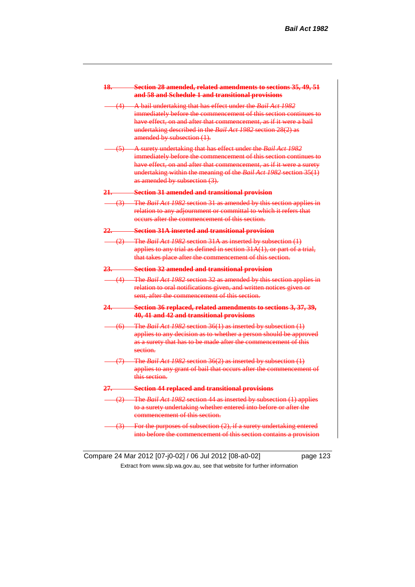| 18.              | Section 28 amended, related amendments to sections 35, 49, 51<br>and 58 and Schedule 1 and transitional provisions                                                                                                                                                                                            |
|------------------|---------------------------------------------------------------------------------------------------------------------------------------------------------------------------------------------------------------------------------------------------------------------------------------------------------------|
|                  | (4) A bail undertaking that has effect under the Bail Act 1982<br>immediately before the commencement of this section continues to<br>have effect, on and after that commencement, as if it were a bail<br>undertaking described in the Bail Act 1982 section 28(2) as<br>amended by subsection (1).          |
| $\left(5\right)$ | A surety undertaking that has effect under the Bail Act 1982<br>immediately before the commencement of this section continues to<br>have effect, on and after that commencement, as if it were a surety<br>undertaking within the meaning of the Bail Act 1982 section 35(1)<br>as amended by subsection (3). |
| <u> 21. – </u>   | <b>Section 31 amended and transitional provision</b>                                                                                                                                                                                                                                                          |
|                  | (3) The <i>Bail Act 1982</i> section 31 as amended by this section applies in<br>relation to any adjournment or committal to which it refers that<br>occurs after the commencement of this section.                                                                                                           |
| <u>22. – </u>    | <b>Section 31A inserted and transitional provision</b>                                                                                                                                                                                                                                                        |
|                  | (2) The <i>Bail Act 1982</i> section 31A as inserted by subsection (1)<br>applies to any trial as defined in section 31A(1), or part of a trial,<br>that takes place after the commencement of this section.                                                                                                  |
| 23.—             | <b>Section 32 amended and transitional provision</b>                                                                                                                                                                                                                                                          |
|                  | (4) The Bail Act 1982 section 32 as amended by this section applies in<br>relation to oral notifications given, and written notices given or<br>sent, after the commencement of this section.                                                                                                                 |
| 24.              | Section 36 replaced, related amendments to sections 3, 37, 39,<br>40, 41 and 42 and transitional provisions                                                                                                                                                                                                   |
|                  | $(6)$ The <i>Bail Act 1982</i> section 36(1) as inserted by subsection $(1)$<br>applies to any decision as to whether a person should be approved<br>as a surety that has to be made after the commencement of this<br>section.                                                                               |
|                  | $(7)$ The Bail Act 1982 section 36(2) as inserted by subsection (1)<br>applies to any grant of bail that occurs after the commencement of<br>this section.                                                                                                                                                    |
| <u> 27. – – </u> | <b>Section 44 replaced and transitional provisions</b>                                                                                                                                                                                                                                                        |
|                  | (2) The Bail Act 1982 section 44 as inserted by subsection (1) applies<br>to a surety undertaking whether entered into before or after the<br>commencement of this section.                                                                                                                                   |
|                  | $(3)$ For the purposes of subsection $(2)$ , if a surety undertaking entered<br>into before the commencement of this section contains a provision                                                                                                                                                             |

Compare 24 Mar 2012 [07-j0-02] / 06 Jul 2012 [08-a0-02] page 123 Extract from www.slp.wa.gov.au, see that website for further information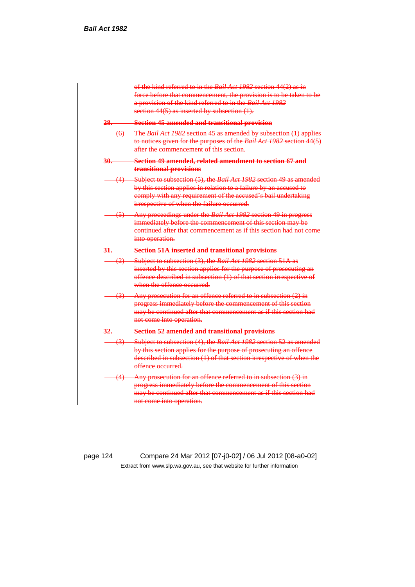

page 124 Compare 24 Mar 2012 [07-j0-02] / 06 Jul 2012 [08-a0-02] Extract from www.slp.wa.gov.au, see that website for further information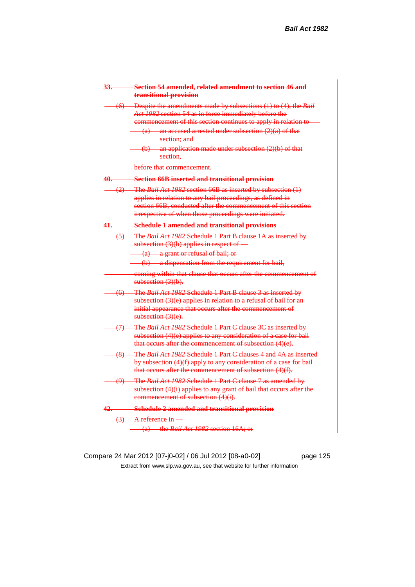| 33. | Section 54 amended, related amendment to section 46 and<br>transitional provision                                                                                                                                                                                              |
|-----|--------------------------------------------------------------------------------------------------------------------------------------------------------------------------------------------------------------------------------------------------------------------------------|
|     | (6) Despite the amendments made by subsections (1) to (4), the Bail<br>Act 1982 section 54 as in force immediately before the<br>commencement of this section continues to apply in relation to<br>$(a)$ an accused arrested under subsection $(2)(a)$ of that<br>section: and |
|     | $(b)$ an application made under subsection $(2)(b)$ of that<br>section.                                                                                                                                                                                                        |
|     | before that commencement.                                                                                                                                                                                                                                                      |
| 40. | <b>Section 66B inserted and transitional provision</b>                                                                                                                                                                                                                         |
|     | (2) The Bail Act 1982 section 66B as inserted by subsection (1)<br>applies in relation to any bail proceedings, as defined in<br>section 66B, conducted after the commencement of this section<br>irrespective of when those proceedings were initiated.                       |
| 41. | <b>Schedule 1 amended and transitional provisions</b>                                                                                                                                                                                                                          |
|     | (5) The Bail Act 1982 Schedule 1 Part B clause 1A as inserted by<br>subsection $(3)(b)$ applies in respect of $-$                                                                                                                                                              |
|     | (a) a grant or refusal of bail; or<br>(b) a dispensation from the requirement for bail,                                                                                                                                                                                        |
|     | coming within that clause that occurs after the commencement of<br>subsection $(3)(b)$ .                                                                                                                                                                                       |
|     | (6) The Bail Act 1982 Schedule 1 Part B clause 3 as inserted by<br>subsection (3)(e) applies in relation to a refusal of bail for an<br>initial appearance that occurs after the commencement of<br>subsection $(3)(e)$ .                                                      |
|     | (7) The Bail Act 1982 Schedule 1 Part C clause 3C as inserted by<br>subsection $(4)(e)$ applies to any consideration of a case for bail<br>that occurs after the commencement of subsection (4)(e).                                                                            |
|     | (8) The Bail Act 1982 Schedule 1 Part C clauses 4 and 4A as inserted<br>by subsection (4)(f) apply to any consideration of a case for bail<br>that occurs after the commencement of subsection (4)(f).                                                                         |
|     | (9) The Bail Act 1982 Schedule 1 Part C clause 7 as amended by<br>subsection $(4)(i)$ applies to any grant of bail that occurs after the<br>commencement of subsection (4)(i).                                                                                                 |
| 42. | <b>Schedule 2 amended and transitional provision</b>                                                                                                                                                                                                                           |
|     | $(3)$ A reference in<br>(a) the <i>Bail Act 1982</i> section 16A; or                                                                                                                                                                                                           |

Compare 24 Mar 2012 [07-j0-02] / 06 Jul 2012 [08-a0-02] page 125 Extract from www.slp.wa.gov.au, see that website for further information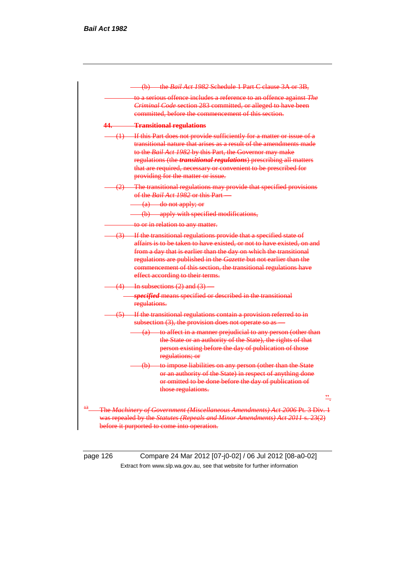|      | to a serious offence includes a reference to an offence against The<br>Criminal Code section 283 committed, or alleged to have been<br>committed, before the commencement of this section.                                                                                                                                                                                                           |
|------|------------------------------------------------------------------------------------------------------------------------------------------------------------------------------------------------------------------------------------------------------------------------------------------------------------------------------------------------------------------------------------------------------|
| 44.— | <b>Transitional regulations</b>                                                                                                                                                                                                                                                                                                                                                                      |
|      | $(1)$ If this Part does not provide sufficiently for a matter or issue of a<br>transitional nature that arises as a result of the amendments made<br>to the Bail Act 1982 by this Part, the Governor may make<br>regulations (the <i>transitional regulations</i> ) prescribing all matters<br>that are required, necessary or convenient to be prescribed for<br>providing for the matter or issue. |
|      | (2) The transitional regulations may provide that specified provisions<br>of the <i>Bail Act 1982</i> or this Part—                                                                                                                                                                                                                                                                                  |
|      | (a) do not apply; or                                                                                                                                                                                                                                                                                                                                                                                 |
|      | (b) apply with specified modifications,                                                                                                                                                                                                                                                                                                                                                              |
|      | to or in relation to any matter.                                                                                                                                                                                                                                                                                                                                                                     |
|      | (3) If the transitional regulations provide that a specified state of<br>affairs is to be taken to have existed, or not to have existed, on and<br>from a day that is earlier than the day on which the transitional<br>regulations are published in the Gazette but not earlier than the<br>commencement of this section, the transitional regulations have<br>effect according to their terms.     |
|      | $(4)$ In subsections $(2)$ and $(3)$                                                                                                                                                                                                                                                                                                                                                                 |
|      | specified means specified or described in the transitional<br>regulations.                                                                                                                                                                                                                                                                                                                           |
|      | (5) If the transitional regulations contain a provision referred to in<br>subsection (3), the provision does not operate so as                                                                                                                                                                                                                                                                       |
|      | (a) to affect in a manner prejudicial to any person (other than<br>the State or an authority of the State), the rights of that<br>person existing before the day of publication of those<br>regulations; or                                                                                                                                                                                          |
|      | (b) to impose liabilities on any person (other than the State<br>or an authority of the State) in respect of anything done<br>or omitted to be done before the day of publication of<br>those regulations.                                                                                                                                                                                           |
|      |                                                                                                                                                                                                                                                                                                                                                                                                      |

page 126 Compare 24 Mar 2012 [07-j0-02] / 06 Jul 2012 [08-a0-02] Extract from www.slp.wa.gov.au, see that website for further information